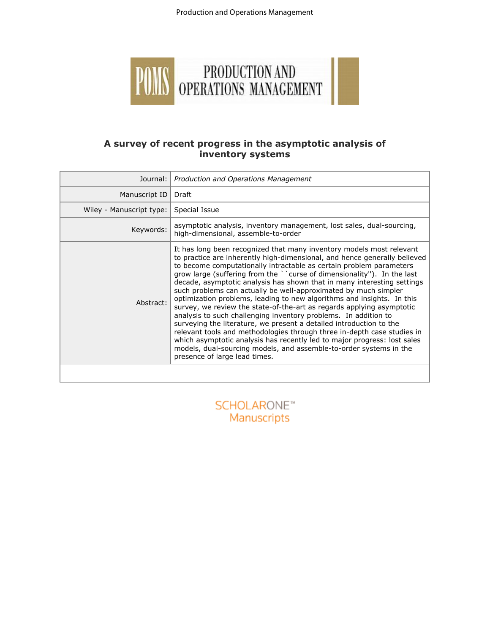

# **A survey of recent progress in the asymptotic analysis of inventory systems**

| Journal:                               | Production and Operations Management                                                                                                                                                                                                                                                                                                                                                                                                                                                                                                                                                                                                                                                                                                                                                                                                                                                                                                                                                                         |  |
|----------------------------------------|--------------------------------------------------------------------------------------------------------------------------------------------------------------------------------------------------------------------------------------------------------------------------------------------------------------------------------------------------------------------------------------------------------------------------------------------------------------------------------------------------------------------------------------------------------------------------------------------------------------------------------------------------------------------------------------------------------------------------------------------------------------------------------------------------------------------------------------------------------------------------------------------------------------------------------------------------------------------------------------------------------------|--|
| Manuscript ID                          | Draft                                                                                                                                                                                                                                                                                                                                                                                                                                                                                                                                                                                                                                                                                                                                                                                                                                                                                                                                                                                                        |  |
| Wiley - Manuscript type:               | Special Issue                                                                                                                                                                                                                                                                                                                                                                                                                                                                                                                                                                                                                                                                                                                                                                                                                                                                                                                                                                                                |  |
| Keywords:                              | asymptotic analysis, inventory management, lost sales, dual-sourcing,<br>high-dimensional, assemble-to-order                                                                                                                                                                                                                                                                                                                                                                                                                                                                                                                                                                                                                                                                                                                                                                                                                                                                                                 |  |
| Abstract:                              | It has long been recognized that many inventory models most relevant<br>to practice are inherently high-dimensional, and hence generally believed<br>to become computationally intractable as certain problem parameters<br>grow large (suffering from the ``curse of dimensionality"). In the last<br>decade, asymptotic analysis has shown that in many interesting settings<br>such problems can actually be well-approximated by much simpler<br>optimization problems, leading to new algorithms and insights. In this<br>survey, we review the state-of-the-art as regards applying asymptotic<br>analysis to such challenging inventory problems. In addition to<br>surveying the literature, we present a detailed introduction to the<br>relevant tools and methodologies through three in-depth case studies in<br>which asymptotic analysis has recently led to major progress: lost sales<br>models, dual-sourcing models, and assemble-to-order systems in the<br>presence of large lead times. |  |
|                                        |                                                                                                                                                                                                                                                                                                                                                                                                                                                                                                                                                                                                                                                                                                                                                                                                                                                                                                                                                                                                              |  |
| SCHOLARONE <sup>*</sup><br>Manuscripts |                                                                                                                                                                                                                                                                                                                                                                                                                                                                                                                                                                                                                                                                                                                                                                                                                                                                                                                                                                                                              |  |

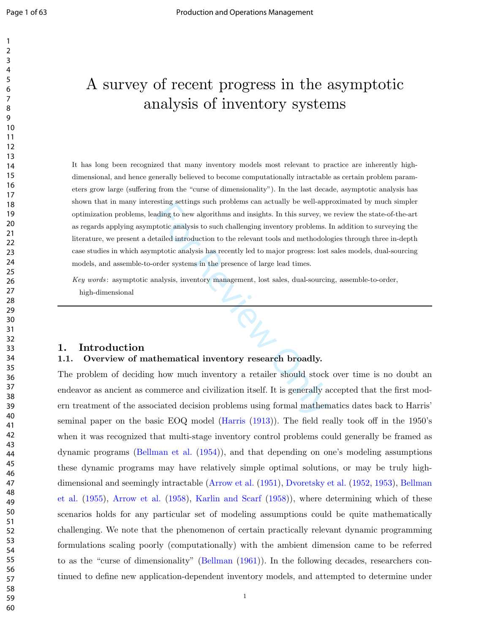$\overline{2}$ 

# A survey of recent progress in the asymptotic analysis of inventory systems

stang settings start problems can actually be wen-app<br>ding to new algorithms and insights. In this survey, we<br>totic analysis to such challenging inventory problems. I<br>tailed introduction to the relevant tools and methodolo It has long been recognized that many inventory models most relevant to practice are inherently highdimensional, and hence generally believed to become computationally intractable as certain problem parameters grow large (suffering from the "curse of dimensionality"). In the last decade, asymptotic analysis has shown that in many interesting settings such problems can actually be well-approximated by much simpler optimization problems, leading to new algorithms and insights. In this survey, we review the state-of-the-art as regards applying asymptotic analysis to such challenging inventory problems. In addition to surveying the literature, we present a detailed introduction to the relevant tools and methodologies through three in-depth case studies in which asymptotic analysis has recently led to major progress: lost sales models, dual-sourcing models, and assemble-to-order systems in the presence of large lead times.

Key words : asymptotic analysis, inventory management, lost sales, dual-sourcing, assemble-to-order, high-dimensional

## 1. Introduction

#### 1.1. Overview of mathematical inventory research broadly.

The problem of deciding how much inventory a retailer should stock over time is no doubt an endeavor as ancient as commerce and civilization itself. It is generally accepted that the first modern treatment of the associated decision problems using formal mathematics dates back to Harris' seminal paper on the basic EOQ model (Harris (1913)). The field really took off in the 1950's when it was recognized that multi-stage inventory control problems could generally be framed as dynamic programs (Bellman et al. (1954)), and that depending on one's modeling assumptions these dynamic programs may have relatively simple optimal solutions, or may be truly highdimensional and seemingly intractable (Arrow et al. (1951), Dvoretsky et al. (1952, 1953), Bellman et al. (1955), Arrow et al. (1958), Karlin and Scarf (1958)), where determining which of these scenarios holds for any particular set of modeling assumptions could be quite mathematically challenging. We note that the phenomenon of certain practically relevant dynamic programming formulations scaling poorly (computationally) with the ambient dimension came to be referred to as the "curse of dimensionality" (Bellman (1961)). In the following decades, researchers continued to define new application-dependent inventory models, and attempted to determine under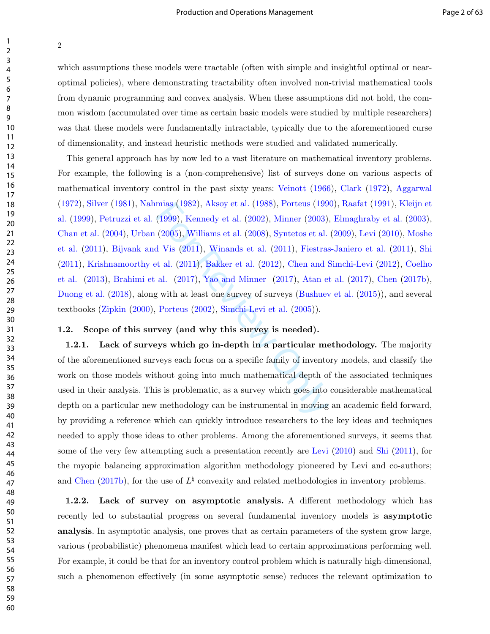which assumptions these models were tractable (often with simple and insightful optimal or nearoptimal policies), where demonstrating tractability often involved non-trivial mathematical tools from dynamic programming and convex analysis. When these assumptions did not hold, the common wisdom (accumulated over time as certain basic models were studied by multiple researchers) was that these models were fundamentally intractable, typically due to the aforementioned curse of dimensionality, and instead heuristic methods were studied and validated numerically.

mias (1982), Aksoy et al. (1988), Porteus (199<br>(1999), Kennedy et al. (2002), Minner (2003)<br>(2005), Williams et al. (2008), Syntetos et al.<br>d Vis (2011), Winands et al. (2012), Chen and S<br>al. (2017), Yao and Minner (2017) This general approach has by now led to a vast literature on mathematical inventory problems. For example, the following is a (non-comprehensive) list of surveys done on various aspects of mathematical inventory control in the past sixty years: Veinott (1966), Clark (1972), Aggarwal (1972), Silver (1981), Nahmias (1982), Aksoy et al. (1988), Porteus (1990), Raafat (1991), Kleijn et al. (1999), Petruzzi et al. (1999), Kennedy et al. (2002), Minner (2003), Elmaghraby et al. (2003), Chan et al. (2004), Urban (2005), Williams et al. (2008), Syntetos et al. (2009), Levi (2010), Moshe et al. (2011), Bijvank and Vis (2011), Winands et al. (2011), Fiestras-Janiero et al. (2011), Shi (2011), Krishnamoorthy et al. (2011), Bakker et al. (2012), Chen and Simchi-Levi (2012), Coelho et al. (2013), Brahimi et al. (2017), Yao and Minner (2017), Atan et al. (2017), Chen (2017b), Duong et al. (2018), along with at least one survey of surveys (Bushuev et al. (2015)), and several textbooks (Zipkin (2000), Porteus (2002), Simchi-Levi et al. (2005)).

## 1.2. Scope of this survey (and why this survey is needed).

1.2.1. Lack of surveys which go in-depth in a particular methodology. The majority of the aforementioned surveys each focus on a specific family of inventory models, and classify the work on those models without going into much mathematical depth of the associated techniques used in their analysis. This is problematic, as a survey which goes into considerable mathematical depth on a particular new methodology can be instrumental in moving an academic field forward, by providing a reference which can quickly introduce researchers to the key ideas and techniques needed to apply those ideas to other problems. Among the aforementioned surveys, it seems that some of the very few attempting such a presentation recently are Levi (2010) and Shi (2011), for the myopic balancing approximation algorithm methodology pioneered by Levi and co-authors; and Chen (2017b), for the use of  $L^{\natural}$  convexity and related methodologies in inventory problems.

1.2.2. Lack of survey on asymptotic analysis. A different methodology which has recently led to substantial progress on several fundamental inventory models is asymptotic analysis. In asymptotic analysis, one proves that as certain parameters of the system grow large, various (probabilistic) phenomena manifest which lead to certain approximations performing well. For example, it could be that for an inventory control problem which is naturally high-dimensional, such a phenomenon effectively (in some asymptotic sense) reduces the relevant optimization to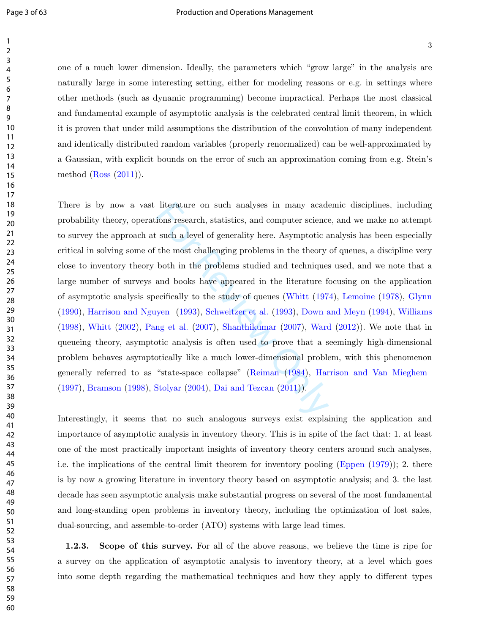one of a much lower dimension. Ideally, the parameters which "grow large" in the analysis are naturally large in some interesting setting, either for modeling reasons or e.g. in settings where other methods (such as dynamic programming) become impractical. Perhaps the most classical and fundamental example of asymptotic analysis is the celebrated central limit theorem, in which it is proven that under mild assumptions the distribution of the convolution of many independent and identically distributed random variables (properly renormalized) can be well-approximated by a Gaussian, with explicit bounds on the error of such an approximation coming from e.g. Stein's method (Ross (2011)).

literature on such analyses in many acade<br>ions research, statistics, and computer science<br>such a level of generality here. Asymptotic a<br>the most challenging problems in the theory<br>both in the problems studied and technique There is by now a vast literature on such analyses in many academic disciplines, including probability theory, operations research, statistics, and computer science, and we make no attempt to survey the approach at such a level of generality here. Asymptotic analysis has been especially critical in solving some of the most challenging problems in the theory of queues, a discipline very close to inventory theory both in the problems studied and techniques used, and we note that a large number of surveys and books have appeared in the literature focusing on the application of asymptotic analysis specifically to the study of queues (Whitt (1974), Lemoine (1978), Glynn (1990), Harrison and Nguyen (1993), Schweitzer et al. (1993), Down and Meyn (1994), Williams (1998), Whitt (2002), Pang et al. (2007), Shanthikumar (2007), Ward (2012)). We note that in queueing theory, asymptotic analysis is often used to prove that a seemingly high-dimensional problem behaves asymptotically like a much lower-dimensional problem, with this phenomenon generally referred to as "state-space collapse" (Reiman (1984), Harrison and Van Mieghem (1997), Bramson (1998), Stolyar (2004), Dai and Tezcan (2011)).

Interestingly, it seems that no such analogous surveys exist explaining the application and importance of asymptotic analysis in inventory theory. This is in spite of the fact that: 1. at least one of the most practically important insights of inventory theory centers around such analyses, i.e. the implications of the central limit theorem for inventory pooling (Eppen (1979)); 2. there is by now a growing literature in inventory theory based on asymptotic analysis; and 3. the last decade has seen asymptotic analysis make substantial progress on several of the most fundamental and long-standing open problems in inventory theory, including the optimization of lost sales, dual-sourcing, and assemble-to-order (ATO) systems with large lead times.

1.2.3. Scope of this survey. For all of the above reasons, we believe the time is ripe for a survey on the application of asymptotic analysis to inventory theory, at a level which goes into some depth regarding the mathematical techniques and how they apply to different types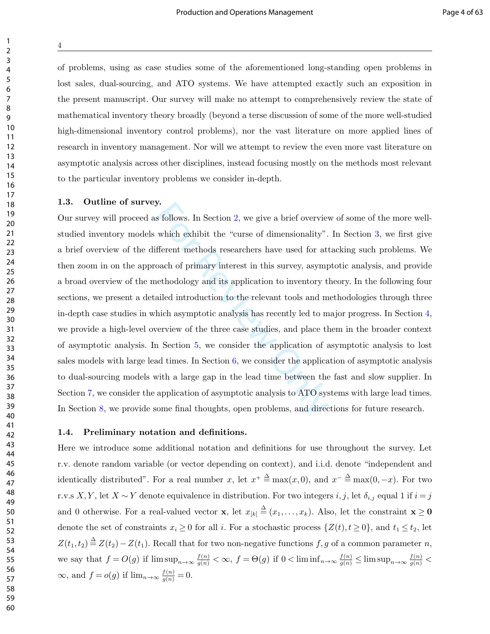of problems, using as case studies some of the aforementioned long-standing open problems in lost sales, dual-sourcing, and ATO systems. We have attempted exactly such an exposition in the present manuscript. Our survey will make no attempt to comprehensively review the state of mathematical inventory theory broadly (beyond a terse discussion of some of the more well-studied high-dimensional inventory control problems), nor the vast literature on more applied lines of research in inventory management. Nor will we attempt to review the even more vast literature on asymptotic analysis across other disciplines, instead focusing mostly on the methods most relevant to the particular inventory problems we consider in-depth.

#### 1.3. Outline of survey.

Sollows. In Section 2, we give a brief overvies<br>which exhibit the "curse of dimensionality".<br>fferent methods researchers have used for att<br>oach of primary interest in this survey, asymptical only and its application to in Our survey will proceed as follows. In Section 2, we give a brief overview of some of the more wellstudied inventory models which exhibit the "curse of dimensionality". In Section 3, we first give a brief overview of the different methods researchers have used for attacking such problems. We then zoom in on the approach of primary interest in this survey, asymptotic analysis, and provide a broad overview of the methodology and its application to inventory theory. In the following four sections, we present a detailed introduction to the relevant tools and methodologies through three in-depth case studies in which asymptotic analysis has recently led to major progress. In Section 4, we provide a high-level overview of the three case studies, and place them in the broader context of asymptotic analysis. In Section 5, we consider the application of asymptotic analysis to lost sales models with large lead times. In Section 6, we consider the application of asymptotic analysis to dual-sourcing models with a large gap in the lead time between the fast and slow supplier. In Section 7, we consider the application of asymptotic analysis to ATO systems with large lead times. In Section 8, we provide some final thoughts, open problems, and directions for future research.

#### 1.4. Preliminary notation and definitions.

Here we introduce some additional notation and definitions for use throughout the survey. Let r.v. denote random variable (or vector depending on context), and i.i.d. denote "independent and identically distributed". For a real number x, let  $x^+ \stackrel{\Delta}{=} \max(x,0)$ , and  $x^- \stackrel{\Delta}{=} \max(0,-x)$ . For two r.v.s X, Y, let  $X \sim Y$  denote equivalence in distribution. For two integers i, j, let  $\delta_{i,j}$  equal 1 if  $i = j$ and 0 otherwise. For a real-valued vector **x**, let  $x_{[k]} \triangleq (x_1, \ldots, x_k)$ . Also, let the constraint  $\mathbf{x} \geq \mathbf{0}$ denote the set of constraints  $x_i \ge 0$  for all i. For a stochastic process  $\{Z(t), t \ge 0\}$ , and  $t_1 \le t_2$ , let  $Z(t_1, t_2) \stackrel{\Delta}{=} Z(t_2) - Z(t_1)$ . Recall that for two non-negative functions f, g of a common parameter n, we say that  $f = O(g)$  if  $\limsup_{n \to \infty} \frac{f(n)}{g(n)} < \infty$ ,  $f = \Theta(g)$  if  $0 < \liminf_{n \to \infty} \frac{f(n)}{g(n)} \leq \limsup_{n \to \infty} \frac{f(n)}{g(n)} <$  $\infty$ , and  $f = o(g)$  if  $\lim_{n \to \infty} \frac{f(n)}{g(n)} = 0$ .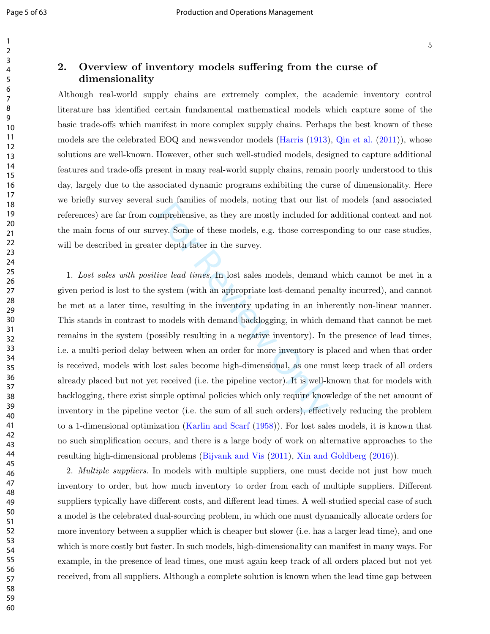# 2. Overview of inventory models suffering from the curse of dimensionality

Although real-world supply chains are extremely complex, the academic inventory control literature has identified certain fundamental mathematical models which capture some of the basic trade-offs which manifest in more complex supply chains. Perhaps the best known of these models are the celebrated EOQ and newsvendor models (Harris (1913), Qin et al. (2011)), whose solutions are well-known. However, other such well-studied models, designed to capture additional features and trade-offs present in many real-world supply chains, remain poorly understood to this day, largely due to the associated dynamic programs exhibiting the curse of dimensionality. Here we briefly survey several such families of models, noting that our list of models (and associated references) are far from comprehensive, as they are mostly included for additional context and not the main focus of our survey. Some of these models, e.g. those corresponding to our case studies, will be described in greater depth later in the survey.

back hammed of models, noting that our more interesting proper depth later in the survey.<br>For Review or models, e.g. those correspondent depth later in the survey.<br>For depth later in the survey.<br>For Review or Review of Sys 1. Lost sales with positive lead times. In lost sales models, demand which cannot be met in a given period is lost to the system (with an appropriate lost-demand penalty incurred), and cannot be met at a later time, resulting in the inventory updating in an inherently non-linear manner. This stands in contrast to models with demand backlogging, in which demand that cannot be met remains in the system (possibly resulting in a negative inventory). In the presence of lead times, i.e. a multi-period delay between when an order for more inventory is placed and when that order is received, models with lost sales become high-dimensional, as one must keep track of all orders already placed but not yet received (i.e. the pipeline vector). It is well-known that for models with backlogging, there exist simple optimal policies which only require knowledge of the net amount of inventory in the pipeline vector (i.e. the sum of all such orders), effectively reducing the problem to a 1-dimensional optimization (Karlin and Scarf (1958)). For lost sales models, it is known that no such simplification occurs, and there is a large body of work on alternative approaches to the resulting high-dimensional problems (Bijvank and Vis (2011), Xin and Goldberg (2016)).

2. Multiple suppliers. In models with multiple suppliers, one must decide not just how much inventory to order, but how much inventory to order from each of multiple suppliers. Different suppliers typically have different costs, and different lead times. A well-studied special case of such a model is the celebrated dual-sourcing problem, in which one must dynamically allocate orders for more inventory between a supplier which is cheaper but slower (i.e. has a larger lead time), and one which is more costly but faster. In such models, high-dimensionality can manifest in many ways. For example, in the presence of lead times, one must again keep track of all orders placed but not yet received, from all suppliers. Although a complete solution is known when the lead time gap between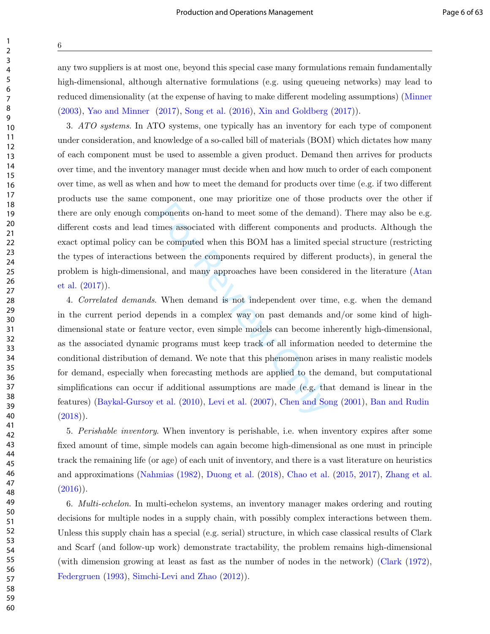any two suppliers is at most one, beyond this special case many formulations remain fundamentally high-dimensional, although alternative formulations (e.g. using queueing networks) may lead to reduced dimensionality (at the expense of having to make different modeling assumptions) (Minner (2003), Yao and Minner (2017), Song et al. (2016), Xin and Goldberg (2017)).

3. ATO systems. In ATO systems, one typically has an inventory for each type of component under consideration, and knowledge of a so-called bill of materials (BOM) which dictates how many of each component must be used to assemble a given product. Demand then arrives for products over time, and the inventory manager must decide when and how much to order of each component over time, as well as when and how to meet the demand for products over time (e.g. if two different products use the same component, one may prioritize one of those products over the other if there are only enough components on-hand to meet some of the demand). There may also be e.g. different costs and lead times associated with different components and products. Although the exact optimal policy can be computed when this BOM has a limited special structure (restricting the types of interactions between the components required by different products), in general the problem is high-dimensional, and many approaches have been considered in the literature (Atan et al. (2017)).

mponents on-hand to meet some of the demarmines associated with different components and be computed when this BOM has a limited spectween the components required by differen mal, and many approaches have been conside.<br>Whe 4. Correlated demands. When demand is not independent over time, e.g. when the demand in the current period depends in a complex way on past demands and/or some kind of highdimensional state or feature vector, even simple models can become inherently high-dimensional, as the associated dynamic programs must keep track of all information needed to determine the conditional distribution of demand. We note that this phenomenon arises in many realistic models for demand, especially when forecasting methods are applied to the demand, but computational simplifications can occur if additional assumptions are made (e.g. that demand is linear in the features) (Baykal-Gursoy et al. (2010), Levi et al. (2007), Chen and Song (2001), Ban and Rudin  $(2018)$ .

5. Perishable inventory. When inventory is perishable, i.e. when inventory expires after some fixed amount of time, simple models can again become high-dimensional as one must in principle track the remaining life (or age) of each unit of inventory, and there is a vast literature on heuristics and approximations (Nahmias (1982), Duong et al. (2018), Chao et al. (2015, 2017), Zhang et al.  $(2016)$ ).

6. Multi-echelon. In multi-echelon systems, an inventory manager makes ordering and routing decisions for multiple nodes in a supply chain, with possibly complex interactions between them. Unless this supply chain has a special (e.g. serial) structure, in which case classical results of Clark and Scarf (and follow-up work) demonstrate tractability, the problem remains high-dimensional (with dimension growing at least as fast as the number of nodes in the network) (Clark (1972), Federgruen (1993), Simchi-Levi and Zhao (2012)).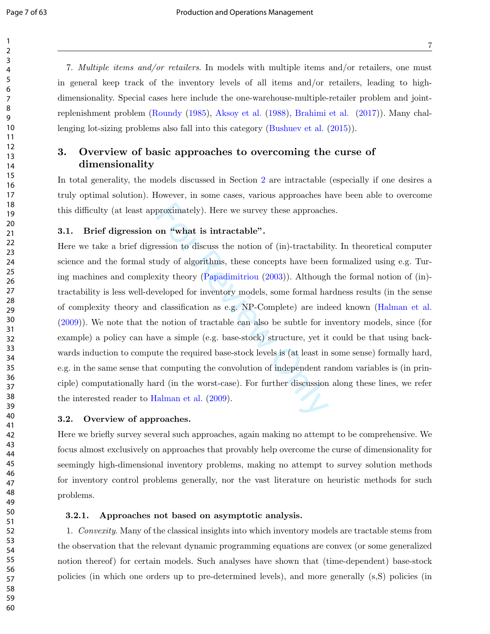7. Multiple items and/or retailers. In models with multiple items and/or retailers, one must in general keep track of the inventory levels of all items and/or retailers, leading to highdimensionality. Special cases here include the one-warehouse-multiple-retailer problem and jointreplenishment problem (Roundy (1985), Aksoy et al. (1988), Brahimi et al. (2017)). Many challenging lot-sizing problems also fall into this category (Bushuev et al. (2015)).

## 3. Overview of basic approaches to overcoming the curse of dimensionality

In total generality, the models discussed in Section 2 are intractable (especially if one desires a truly optimal solution). However, in some cases, various approaches have been able to overcome this difficulty (at least approximately). Here we survey these approaches.

## 3.1. Brief digression on "what is intractable".

proximately). Here we survey these approache<br>
on "what is intractable".<br>
ession to discuss the notion of (in)-tractability<br>
udy of algorithms, these concepts have been<br>
xity theory (Papadimitriou (2003)). Although<br>
veloped Here we take a brief digression to discuss the notion of (in)-tractability. In theoretical computer science and the formal study of algorithms, these concepts have been formalized using e.g. Turing machines and complexity theory (Papadimitriou (2003)). Although the formal notion of (in) tractability is less well-developed for inventory models, some formal hardness results (in the sense of complexity theory and classification as e.g. NP-Complete) are indeed known (Halman et al. (2009)). We note that the notion of tractable can also be subtle for inventory models, since (for example) a policy can have a simple (e.g. base-stock) structure, yet it could be that using backwards induction to compute the required base-stock levels is (at least in some sense) formally hard, e.g. in the same sense that computing the convolution of independent random variables is (in principle) computationally hard (in the worst-case). For further discussion along these lines, we refer the interested reader to Halman et al. (2009).

#### 3.2. Overview of approaches.

Here we briefly survey several such approaches, again making no attempt to be comprehensive. We focus almost exclusively on approaches that provably help overcome the curse of dimensionality for seemingly high-dimensional inventory problems, making no attempt to survey solution methods for inventory control problems generally, nor the vast literature on heuristic methods for such problems.

## 3.2.1. Approaches not based on asymptotic analysis.

1. Convexity. Many of the classical insights into which inventory models are tractable stems from the observation that the relevant dynamic programming equations are convex (or some generalized notion thereof) for certain models. Such analyses have shown that (time-dependent) base-stock policies (in which one orders up to pre-determined levels), and more generally (s,S) policies (in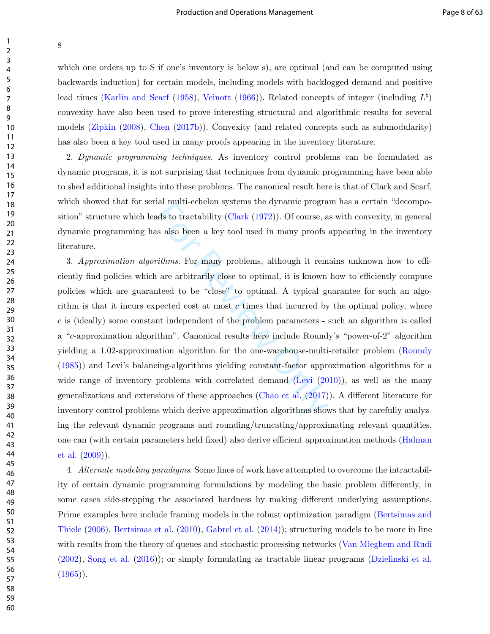which one orders up to S if one's inventory is below s), are optimal (and can be computed using backwards induction) for certain models, including models with backlogged demand and positive lead times (Karlin and Scarf (1958), Veinott (1966)). Related concepts of integer (including  $L^{\natural}$ ) convexity have also been used to prove interesting structural and algorithmic results for several models (Zipkin (2008), Chen (2017b)). Convexity (and related concepts such as submodularity) has also been a key tool used in many proofs appearing in the inventory literature.

2. Dynamic programming techniques. As inventory control problems can be formulated as dynamic programs, it is not surprising that techniques from dynamic programming have been able to shed additional insights into these problems. The canonical result here is that of Clark and Scarf, which showed that for serial multi-echelon systems the dynamic program has a certain "decomposition" structure which leads to tractability (Clark (1972)). Of course, as with convexity, in general dynamic programming has also been a key tool used in many proofs appearing in the inventory literature.

and matri-echeion systems the dynamic program<br>dds to tractability (Clark (1972)). Of course, a<br>salso been a key tool used in many proofs :<br><br>*ithms*. For many problems, although it rem<br>are arbitrarily close to optimal, it i 3. Approximation algorithms. For many problems, although it remains unknown how to efficiently find policies which are arbitrarily close to optimal, it is known how to efficiently compute policies which are guaranteed to be "close" to optimal. A typical guarantee for such an algorithm is that it incurs expected cost at most  $c$  times that incurred by the optimal policy, where c is (ideally) some constant independent of the problem parameters - such an algorithm is called a "c-approximation algorithm". Canonical results here include Roundy's "power-of-2" algorithm yielding a 1.02-approximation algorithm for the one-warehouse-multi-retailer problem (Roundy (1985)) and Levi's balancing-algorithms yielding constant-factor approximation algorithms for a wide range of inventory problems with correlated demand (Levi (2010)), as well as the many generalizations and extensions of these approaches (Chao et al. (2017)). A different literature for inventory control problems which derive approximation algorithms shows that by carefully analyzing the relevant dynamic programs and rounding/truncating/approximating relevant quantities, one can (with certain parameters held fixed) also derive efficient approximation methods (Halman et al. (2009)).

4. Alternate modeling paradigms. Some lines of work have attempted to overcome the intractability of certain dynamic programming formulations by modeling the basic problem differently, in some cases side-stepping the associated hardness by making different underlying assumptions. Prime examples here include framing models in the robust optimization paradigm (Bertsimas and Thiele (2006), Bertsimas et al. (2010), Gabrel et al. (2014)); structuring models to be more in line with results from the theory of queues and stochastic processing networks (Van Mieghem and Rudi (2002), Song et al. (2016)); or simply formulating as tractable linear programs (Dzielinski et al.  $(1965)$ .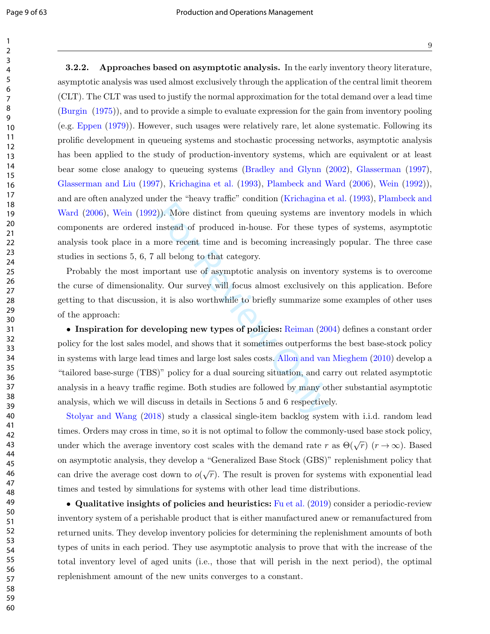3.2.2. Approaches based on asymptotic analysis. In the early inventory theory literature, asymptotic analysis was used almost exclusively through the application of the central limit theorem (CLT). The CLT was used to justify the normal approximation for the total demand over a lead time (Burgin (1975)), and to provide a simple to evaluate expression for the gain from inventory pooling (e.g. Eppen (1979)). However, such usages were relatively rare, let alone systematic. Following its prolific development in queueing systems and stochastic processing networks, asymptotic analysis has been applied to the study of production-inventory systems, which are equivalent or at least bear some close analogy to queueing systems (Bradley and Glynn (2002), Glasserman (1997), Glasserman and Liu (1997), Krichagina et al. (1993), Plambeck and Ward (2006), Wein (1992)), and are often analyzed under the "heavy traffic" condition (Krichagina et al. (1993), Plambeck and Ward  $(2006)$ , Wein  $(1992)$ ). More distinct from queuing systems are inventory models in which components are ordered instead of produced in-house. For these types of systems, asymptotic analysis took place in a more recent time and is becoming increasingly popular. The three case studies in sections 5, 6, 7 all belong to that category.

Probably the most important use of asymptotic analysis on inventory systems is to overcome the curse of dimensionality. Our survey will focus almost exclusively on this application. Before getting to that discussion, it is also worthwhile to briefly summarize some examples of other uses of the approach:

()). More distinct from queuing systems are instead of produced in-house. For these typ more recent time and is becoming increasing all belong to that category.<br>Sortant use of asymptotic analysis on inventory. Our survey w • Inspiration for developing new types of policies: Reiman (2004) defines a constant order policy for the lost sales model, and shows that it sometimes outperforms the best base-stock policy in systems with large lead times and large lost sales costs. Allon and van Mieghem (2010) develop a "tailored base-surge (TBS)" policy for a dual sourcing situation, and carry out related asymptotic analysis in a heavy traffic regime. Both studies are followed by many other substantial asymptotic analysis, which we will discuss in details in Sections 5 and 6 respectively.

Stolyar and Wang (2018) study a classical single-item backlog system with i.i.d. random lead times. Orders may cross in time, so it is not optimal to follow the commonly-used base stock policy, under which the average inventory cost scales with the demand rate r as  $\Theta(\sqrt{r})$  ( $r \to \infty$ ). Based on asymptotic analysis, they develop a "Generalized Base Stock (GBS)" replenishment policy that can drive the average cost down to  $o(\sqrt{r})$ . The result is proven for systems with exponential lead times and tested by simulations for systems with other lead time distributions.

• Qualitative insights of policies and heuristics:  $Fu$  et al. (2019) consider a periodic-review inventory system of a perishable product that is either manufactured anew or remanufactured from returned units. They develop inventory policies for determining the replenishment amounts of both types of units in each period. They use asymptotic analysis to prove that with the increase of the total inventory level of aged units (i.e., those that will perish in the next period), the optimal replenishment amount of the new units converges to a constant.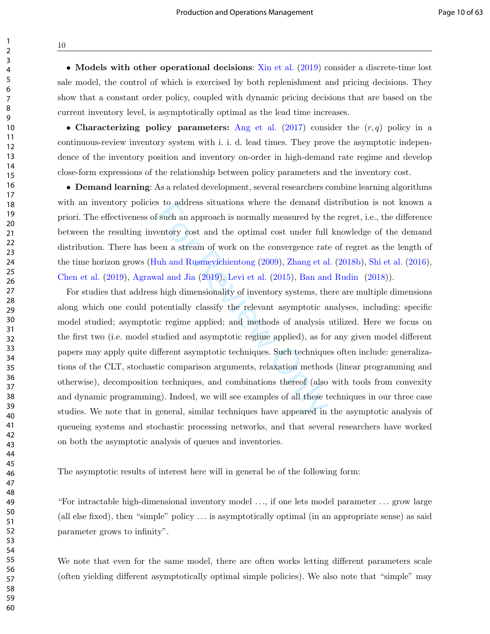• Models with other operational decisions: Xin et al. (2019) consider a discrete-time lost sale model, the control of which is exercised by both replenishment and pricing decisions. They show that a constant order policy, coupled with dynamic pricing decisions that are based on the current inventory level, is asymptotically optimal as the lead time increases.

• Characterizing policy parameters: Ang et al. (2017) consider the  $(r, q)$  policy in a continuous-review inventory system with i. i. d. lead times. They prove the asymptotic independence of the inventory position and inventory on-order in high-demand rate regime and develop close-form expressions of the relationship between policy parameters and the inventory cost.

• Demand learning: As a related development, several researchers combine learning algorithms with an inventory policies to address situations where the demand distribution is not known a priori. The effectiveness of such an approach is normally measured by the regret, i.e., the difference between the resulting inventory cost and the optimal cost under full knowledge of the demand distribution. There has been a stream of work on the convergence rate of regret as the length of the time horizon grows (Huh and Rusmevichientong (2009), Zhang et al. (2018b), Shi et al. (2016), Chen et al. (2019), Agrawal and Jia (2019), Levi et al. (2015), Ban and Rudin (2018)).

f such an approach is normally measured by the entropy cost and the optimal cost under full een a stream of work on the convergence rate uh and Rusmevichientong (2009), Zhang et al cal and Jia (2019), Levi et al. (2015), B For studies that address high dimensionality of inventory systems, there are multiple dimensions along which one could potentially classify the relevant asymptotic analyses, including: specific model studied; asymptotic regime applied; and methods of analysis utilized. Here we focus on the first two (i.e. model studied and asymptotic regime applied), as for any given model different papers may apply quite different asymptotic techniques. Such techniques often include: generalizations of the CLT, stochastic comparison arguments, relaxation methods (linear programming and otherwise), decomposition techniques, and combinations thereof (also with tools from convexity and dynamic programming). Indeed, we will see examples of all these techniques in our three case studies. We note that in general, similar techniques have appeared in the asymptotic analysis of queueing systems and stochastic processing networks, and that several researchers have worked on both the asymptotic analysis of queues and inventories.

The asymptotic results of interest here will in general be of the following form:

"For intractable high-dimensional inventory model ..., if one lets model parameter .. . grow large (all else fixed), then "simple" policy ... is asymptotically optimal (in an appropriate sense) as said parameter grows to infinity".

We note that even for the same model, there are often works letting different parameters scale (often yielding different asymptotically optimal simple policies). We also note that "simple" may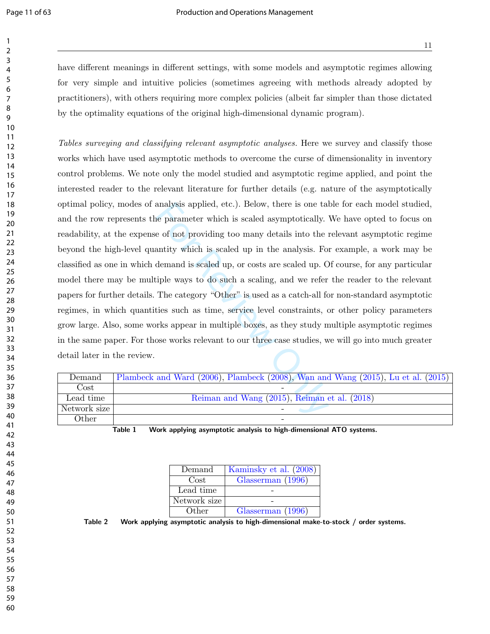have different meanings in different settings, with some models and asymptotic regimes allowing for very simple and intuitive policies (sometimes agreeing with methods already adopted by practitioners), with others requiring more complex policies (albeit far simpler than those dictated by the optimality equations of the original high-dimensional dynamic program).

analysis applied, etc.). Below, there is one tall<br>the parameter which is scaled asymptotically.<br>
e of not providing too many details into the intity which is scaled up in the analysis. For<br>
demand is scaled up, or costs ar Tables surveying and classifying relevant asymptotic analyses. Here we survey and classify those works which have used asymptotic methods to overcome the curse of dimensionality in inventory control problems. We note only the model studied and asymptotic regime applied, and point the interested reader to the relevant literature for further details (e.g. nature of the asymptotically optimal policy, modes of analysis applied, etc.). Below, there is one table for each model studied, and the row represents the parameter which is scaled asymptotically. We have opted to focus on readability, at the expense of not providing too many details into the relevant asymptotic regime beyond the high-level quantity which is scaled up in the analysis. For example, a work may be classified as one in which demand is scaled up, or costs are scaled up. Of course, for any particular model there may be multiple ways to do such a scaling, and we refer the reader to the relevant papers for further details. The category "Other" is used as a catch-all for non-standard asymptotic regimes, in which quantities such as time, service level constraints, or other policy parameters grow large. Also, some works appear in multiple boxes, as they study multiple asymptotic regimes in the same paper. For those works relevant to our three case studies, we will go into much greater detail later in the review.

| Demand       | Plambeck and Ward $(2006)$ , Plambeck $(2008)$ , Wan and Wang $(2015)$ , Lu et al. $(2015)$ |
|--------------|---------------------------------------------------------------------------------------------|
| Cost         |                                                                                             |
| Lead time    | Reiman and Wang (2015), Reiman et al. (2018)                                                |
| Network size |                                                                                             |
| Other        | $\overline{\phantom{0}}$                                                                    |

Table 1 Work applying asymptotic analysis to high-dimensional ATO systems.

| Demand       | Kaminsky et al. (2008) |
|--------------|------------------------|
| Cost         | Glasserman (1996)      |
| Lead time    |                        |
| Network size |                        |
| Other        | Glasserman (1996)      |

Table 2 Work applying asymptotic analysis to high-dimensional make-to-stock / order systems.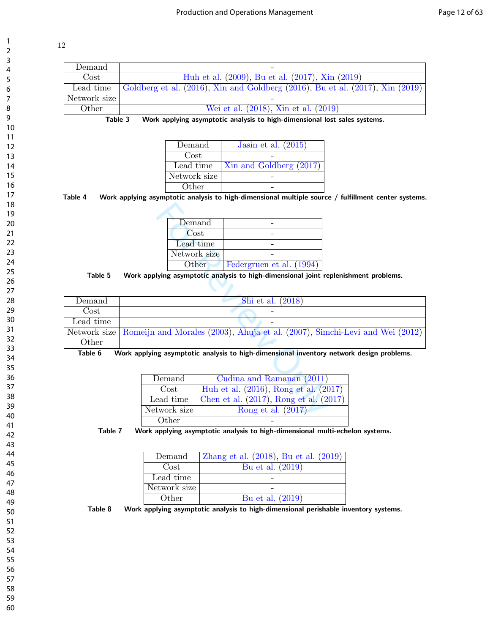

| Demand       |                                                                                          |
|--------------|------------------------------------------------------------------------------------------|
| Cost         | Huh et al. (2009), Bu et al. (2017), Xin (2019)                                          |
| Lead time    | Goldberg et al. $(2016)$ , Xin and Goldberg $(2016)$ , Bu et al. $(2017)$ , Xin $(2019)$ |
| Network size |                                                                                          |
| Other        | Wei et al. (2018), Xin et al. (2019)                                                     |

Table 3 Work applying asymptotic analysis to high-dimensional lost sales systems.

| Demand       | Jasin et al. $(2015)$   |
|--------------|-------------------------|
| Cost         |                         |
| Lead time    | Xin and Goldberg (2017) |
| Network size |                         |
| Other        |                         |

Table 4 Work applying asymptotic analysis to high-dimensional multiple source / fulfillment center systems.

| Demand       |                          |
|--------------|--------------------------|
| Cost         |                          |
| Lead time    |                          |
| Network size |                          |
| Other        | Federgruen et al. (1994) |

|              |  | Demand                                                                      |  |                                                                                          |  |  |
|--------------|--|-----------------------------------------------------------------------------|--|------------------------------------------------------------------------------------------|--|--|
|              |  | Cost                                                                        |  |                                                                                          |  |  |
|              |  | Lead time                                                                   |  |                                                                                          |  |  |
|              |  | Network size                                                                |  |                                                                                          |  |  |
|              |  | Other                                                                       |  | Federgruen et al. (1994)                                                                 |  |  |
| Table 5      |  |                                                                             |  | Work applying asymptotic analysis to high-dimensional joint replenishment problems.      |  |  |
|              |  |                                                                             |  |                                                                                          |  |  |
| Demand       |  | Shi et al. (2018)                                                           |  |                                                                                          |  |  |
| $\cos t$     |  |                                                                             |  |                                                                                          |  |  |
| Lead time    |  |                                                                             |  |                                                                                          |  |  |
| Network size |  | Romeijn and Morales (2003), Ahuja et al. (2007), Simchi-Levi and Wei (2012) |  |                                                                                          |  |  |
| Other        |  |                                                                             |  |                                                                                          |  |  |
| Table 6      |  |                                                                             |  | Work applying asymptotic analysis to high-dimensional inventory network design problems. |  |  |
|              |  |                                                                             |  |                                                                                          |  |  |
|              |  | Demand                                                                      |  | Cudina and Ramanan (2011)                                                                |  |  |
|              |  | $\cos t$                                                                    |  | Huh et al. (2016), Rong et al. (2017)                                                    |  |  |
|              |  | Lead time                                                                   |  | Chen et al. $(2017)$ , Rong et al. $(2017)$                                              |  |  |
|              |  | Network size                                                                |  | Rong et al. $(20\overline{17})$                                                          |  |  |
|              |  | Other                                                                       |  |                                                                                          |  |  |

| Demand       | Cudina and Ramanan (2011)                   |
|--------------|---------------------------------------------|
| Cost         | Huh et al. $(2016)$ , Rong et al. $(2017)$  |
| Lead time    | Chen et al. $(2017)$ , Rong et al. $(2017)$ |
| Network size | Rong et al. $(2017)$                        |
| Other        |                                             |

Table 7 Work applying asymptotic analysis to high-dimensional multi-echelon systems.

| Demand       | Zhang et al. $(2018)$ , Bu et al. $(2019)$ |
|--------------|--------------------------------------------|
| Cost         | Bu et al. (2019)                           |
| Lead time    |                                            |
| Network size |                                            |
| Other        | Bu et al. (2019)                           |

Table 8 Work applying asymptotic analysis to high-dimensional perishable inventory systems.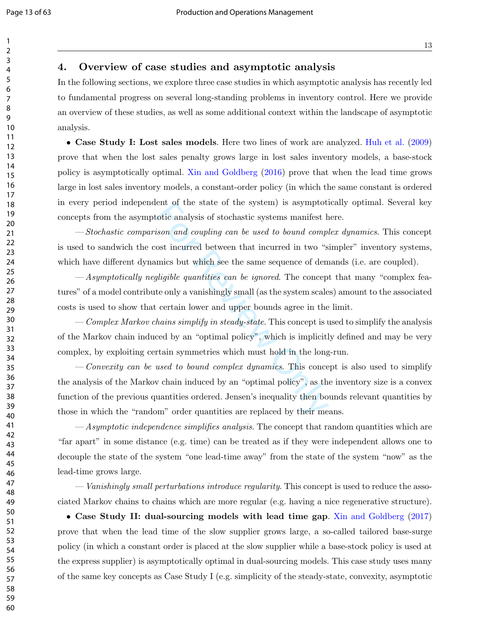## 4. Overview of case studies and asymptotic analysis

In the following sections, we explore three case studies in which asymptotic analysis has recently led to fundamental progress on several long-standing problems in inventory control. Here we provide an overview of these studies, as well as some additional context within the landscape of asymptotic analysis.

• Case Study I: Lost sales models. Here two lines of work are analyzed. Huh et al. (2009) prove that when the lost sales penalty grows large in lost sales inventory models, a base-stock policy is asymptotically optimal. Xin and Goldberg (2016) prove that when the lead time grows large in lost sales inventory models, a constant-order policy (in which the same constant is ordered in every period independent of the state of the system) is asymptotically optimal. Several key concepts from the asymptotic analysis of stochastic systems manifest here.

—Stochastic comparison and coupling can be used to bound complex dynamics. This concept is used to sandwich the cost incurred between that incurred in two "simpler" inventory systems, which have different dynamics but which see the same sequence of demands (i.e. are coupled).

 $-A$ symptotically negligible quantities can be ignored. The concept that many "complex features" of a model contribute only a vanishingly small (as the system scales) amount to the associated costs is used to show that certain lower and upper bounds agree in the limit.

— Complex Markov chains simplify in steady-state. This concept is used to simplify the analysis of the Markov chain induced by an "optimal policy", which is implicitly defined and may be very complex, by exploiting certain symmetries which must hold in the long-run.

ent of the state of the system) is asymptotic<br>otic analysis of stochastic systems manifest h<br>ison and coupling can be used to bound compl<br>ost incurred between that incurred in two "si<br>mics but which see the same sequence o — Convexity can be used to bound complex dynamics. This concept is also used to simplify the analysis of the Markov chain induced by an "optimal policy", as the inventory size is a convex function of the previous quantities ordered. Jensen's inequality then bounds relevant quantities by those in which the "random" order quantities are replaced by their means.

 $-A$ symptotic independence simplifies analysis. The concept that random quantities which are "far apart" in some distance (e.g. time) can be treated as if they were independent allows one to decouple the state of the system "one lead-time away" from the state of the system "now" as the lead-time grows large.

— Vanishingly small perturbations introduce regularity. This concept is used to reduce the associated Markov chains to chains which are more regular (e.g. having a nice regenerative structure).

• Case Study II: dual-sourcing models with lead time gap. Xin and Goldberg (2017) prove that when the lead time of the slow supplier grows large, a so-called tailored base-surge policy (in which a constant order is placed at the slow supplier while a base-stock policy is used at the express supplier) is asymptotically optimal in dual-sourcing models. This case study uses many of the same key concepts as Case Study I (e.g. simplicity of the steady-state, convexity, asymptotic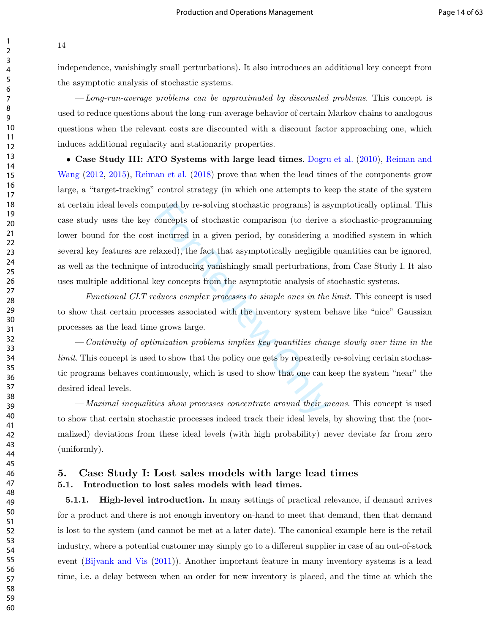independence, vanishingly small perturbations). It also introduces an additional key concept from the asymptotic analysis of stochastic systems.

 $\mu$ -Long-run-average problems can be approximated by discounted problems. This concept is used to reduce questions about the long-run-average behavior of certain Markov chains to analogous questions when the relevant costs are discounted with a discount factor approaching one, which induces additional regularity and stationarity properties.

puted by re-solving stochastic programs) is as<br>concepts of stochastic comparison (to derive<br>incurred in a given period, by considering a<br>laxed), the fact that asymptotically negligible<br>f introducing vanishingly small pertu • Case Study III: ATO Systems with large lead times. Dogru et al. (2010), Reiman and Wang (2012, 2015), Reiman et al. (2018) prove that when the lead times of the components grow large, a "target-tracking" control strategy (in which one attempts to keep the state of the system at certain ideal levels computed by re-solving stochastic programs) is asymptotically optimal. This case study uses the key concepts of stochastic comparison (to derive a stochastic-programming lower bound for the cost incurred in a given period, by considering a modified system in which several key features are relaxed), the fact that asymptotically negligible quantities can be ignored, as well as the technique of introducing vanishingly small perturbations, from Case Study I. It also uses multiple additional key concepts from the asymptotic analysis of stochastic systems.

—Functional CLT reduces complex processes to simple ones in the limit. This concept is used to show that certain processes associated with the inventory system behave like "nice" Gaussian processes as the lead time grows large.

—Continuity of optimization problems implies key quantities change slowly over time in the limit. This concept is used to show that the policy one gets by repeatedly re-solving certain stochastic programs behaves continuously, which is used to show that one can keep the system "near" the desired ideal levels.

—Maximal inequalities show processes concentrate around their means. This concept is used to show that certain stochastic processes indeed track their ideal levels, by showing that the (normalized) deviations from these ideal levels (with high probability) never deviate far from zero (uniformly).

## 5. Case Study I: Lost sales models with large lead times 5.1. Introduction to lost sales models with lead times.

5.1.1. High-level introduction. In many settings of practical relevance, if demand arrives for a product and there is not enough inventory on-hand to meet that demand, then that demand is lost to the system (and cannot be met at a later date). The canonical example here is the retail industry, where a potential customer may simply go to a different supplier in case of an out-of-stock event (Bijvank and Vis (2011)). Another important feature in many inventory systems is a lead time, i.e. a delay between when an order for new inventory is placed, and the time at which the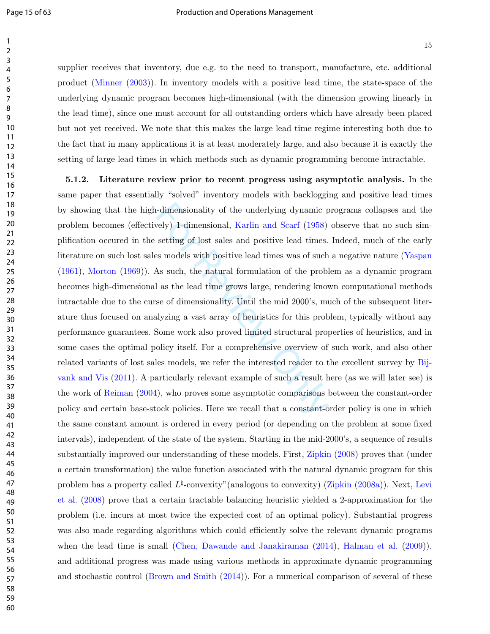supplier receives that inventory, due e.g. to the need to transport, manufacture, etc. additional product (Minner (2003)). In inventory models with a positive lead time, the state-space of the underlying dynamic program becomes high-dimensional (with the dimension growing linearly in the lead time), since one must account for all outstanding orders which have already been placed but not yet received. We note that this makes the large lead time regime interesting both due to the fact that in many applications it is at least moderately large, and also because it is exactly the setting of large lead times in which methods such as dynamic programming become intractable.

-dimensionality of the underlying dynamic productional, Karlin and Scarf (1958) setting of lost sales and positive lead times.<br>
se models with positive lead times was of such As such, the natural formulation of the proble 5.1.2. Literature review prior to recent progress using asymptotic analysis. In the same paper that essentially "solved" inventory models with backlogging and positive lead times by showing that the high-dimensionality of the underlying dynamic programs collapses and the problem becomes (effectively) 1-dimensional, Karlin and Scarf (1958) observe that no such simplification occured in the setting of lost sales and positive lead times. Indeed, much of the early literature on such lost sales models with positive lead times was of such a negative nature (Yaspan (1961), Morton (1969)). As such, the natural formulation of the problem as a dynamic program becomes high-dimensional as the lead time grows large, rendering known computational methods intractable due to the curse of dimensionality. Until the mid 2000's, much of the subsequent literature thus focused on analyzing a vast array of heuristics for this problem, typically without any performance guarantees. Some work also proved limited structural properties of heuristics, and in some cases the optimal policy itself. For a comprehensive overview of such work, and also other related variants of lost sales models, we refer the interested reader to the excellent survey by Bijvank and Vis (2011). A particularly relevant example of such a result here (as we will later see) is the work of Reiman (2004), who proves some asymptotic comparisons between the constant-order policy and certain base-stock policies. Here we recall that a constant-order policy is one in which the same constant amount is ordered in every period (or depending on the problem at some fixed intervals), independent of the state of the system. Starting in the mid-2000's, a sequence of results substantially improved our understanding of these models. First, Zipkin (2008) proves that (under a certain transformation) the value function associated with the natural dynamic program for this problem has a property called  $L^{\natural}$ -convexity" (analogous to convexity) (Zipkin (2008a)). Next, Levi et al. (2008) prove that a certain tractable balancing heuristic yielded a 2-approximation for the problem (i.e. incurs at most twice the expected cost of an optimal policy). Substantial progress was also made regarding algorithms which could efficiently solve the relevant dynamic programs when the lead time is small (Chen, Dawande and Janakiraman (2014), Halman et al. (2009)), and additional progress was made using various methods in approximate dynamic programming and stochastic control (Brown and Smith  $(2014)$ ). For a numerical comparison of several of these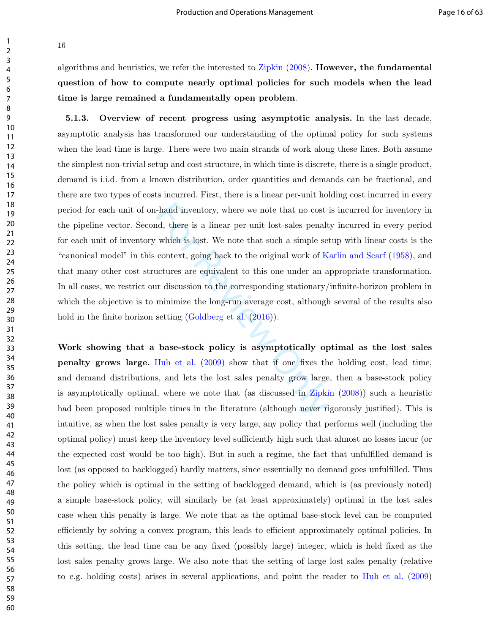algorithms and heuristics, we refer the interested to Zipkin (2008). However, the fundamental question of how to compute nearly optimal policies for such models when the lead time is large remained a fundamentally open problem.

-hand inventory, where we note that no cost is<br>d, there is a linear per-unit lost-sales penalt<br>which is lost. We note that such a simple set<br>context, going back to the original work of K<br>uctures are equivalent to this one 5.1.3. Overview of recent progress using asymptotic analysis. In the last decade, asymptotic analysis has transformed our understanding of the optimal policy for such systems when the lead time is large. There were two main strands of work along these lines. Both assume the simplest non-trivial setup and cost structure, in which time is discrete, there is a single product, demand is i.i.d. from a known distribution, order quantities and demands can be fractional, and there are two types of costs incurred. First, there is a linear per-unit holding cost incurred in every period for each unit of on-hand inventory, where we note that no cost is incurred for inventory in the pipeline vector. Second, there is a linear per-unit lost-sales penalty incurred in every period for each unit of inventory which is lost. We note that such a simple setup with linear costs is the "canonical model" in this context, going back to the original work of Karlin and Scarf (1958), and that many other cost structures are equivalent to this one under an appropriate transformation. In all cases, we restrict our discussion to the corresponding stationary/infinite-horizon problem in which the objective is to minimize the long-run average cost, although several of the results also hold in the finite horizon setting (Goldberg et al.  $(2016)$ ).

Work showing that a base-stock policy is asymptotically optimal as the lost sales penalty grows large. Huh et al. (2009) show that if one fixes the holding cost, lead time, and demand distributions, and lets the lost sales penalty grow large, then a base-stock policy is asymptotically optimal, where we note that (as discussed in Zipkin (2008)) such a heuristic had been proposed multiple times in the literature (although never rigorously justified). This is intuitive, as when the lost sales penalty is very large, any policy that performs well (including the optimal policy) must keep the inventory level sufficiently high such that almost no losses incur (or the expected cost would be too high). But in such a regime, the fact that unfulfilled demand is lost (as opposed to backlogged) hardly matters, since essentially no demand goes unfulfilled. Thus the policy which is optimal in the setting of backlogged demand, which is (as previously noted) a simple base-stock policy, will similarly be (at least approximately) optimal in the lost sales case when this penalty is large. We note that as the optimal base-stock level can be computed efficiently by solving a convex program, this leads to efficient approximately optimal policies. In this setting, the lead time can be any fixed (possibly large) integer, which is held fixed as the lost sales penalty grows large. We also note that the setting of large lost sales penalty (relative to e.g. holding costs) arises in several applications, and point the reader to Huh et al. (2009)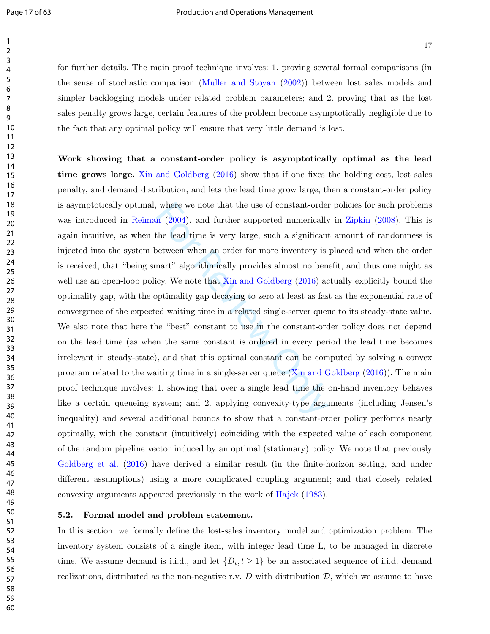for further details. The main proof technique involves: 1. proving several formal comparisons (in the sense of stochastic comparison (Muller and Stoyan (2002)) between lost sales models and simpler backlogging models under related problem parameters; and 2. proving that as the lost sales penalty grows large, certain features of the problem become asymptotically negligible due to the fact that any optimal policy will ensure that very little demand is lost.

where we note that the use of constant-order<br>
n (2004), and further supported numerically<br>
the lead time is very large, such a significant<br>
between when an order for more inventory is<br>
nart" algorithmically provides almos Work showing that a constant-order policy is asymptotically optimal as the lead time grows large. Xin and Goldberg (2016) show that if one fixes the holding cost, lost sales penalty, and demand distribution, and lets the lead time grow large, then a constant-order policy is asymptotically optimal, where we note that the use of constant-order policies for such problems was introduced in Reiman (2004), and further supported numerically in Zipkin (2008). This is again intuitive, as when the lead time is very large, such a significant amount of randomness is injected into the system between when an order for more inventory is placed and when the order is received, that "being smart" algorithmically provides almost no benefit, and thus one might as well use an open-loop policy. We note that  $X$ in and Goldberg (2016) actually explicitly bound the optimality gap, with the optimality gap decaying to zero at least as fast as the exponential rate of convergence of the expected waiting time in a related single-server queue to its steady-state value. We also note that here the "best" constant to use in the constant-order policy does not depend on the lead time (as when the same constant is ordered in every period the lead time becomes irrelevant in steady-state), and that this optimal constant can be computed by solving a convex program related to the waiting time in a single-server queue (Xin and Goldberg (2016)). The main proof technique involves: 1. showing that over a single lead time the on-hand inventory behaves like a certain queueing system; and 2. applying convexity-type arguments (including Jensen's inequality) and several additional bounds to show that a constant-order policy performs nearly optimally, with the constant (intuitively) coinciding with the expected value of each component of the random pipeline vector induced by an optimal (stationary) policy. We note that previously Goldberg et al. (2016) have derived a similar result (in the finite-horizon setting, and under different assumptions) using a more complicated coupling argument; and that closely related convexity arguments appeared previously in the work of Hajek (1983).

## 5.2. Formal model and problem statement.

In this section, we formally define the lost-sales inventory model and optimization problem. The inventory system consists of a single item, with integer lead time L, to be managed in discrete time. We assume demand is i.i.d., and let  $\{D_t, t \geq 1\}$  be an associated sequence of i.i.d. demand realizations, distributed as the non-negative r.v.  $D$  with distribution  $D$ , which we assume to have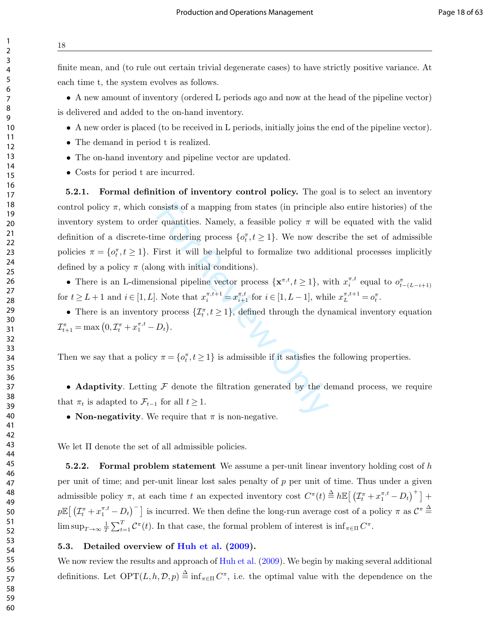Production and Operations Management **Production and Page 18 of 63** 

finite mean, and (to rule out certain trivial degenerate cases) to have strictly positive variance. At each time t, the system evolves as follows.

• A new amount of inventory (ordered L periods ago and now at the head of the pipeline vector) is delivered and added to the on-hand inventory.

- A new order is placed (to be received in L periods, initially joins the end of the pipeline vector).
- The demand in period t is realized.
- The on-hand inventory and pipeline vector are updated.
- Costs for period t are incurred.

msists of a mapping from states (in principle<br>
r quantities. Namely, a feasible policy  $\pi$  will<br>
me ordering process  $\{\sigma_t^{\pi}, t \geq 1\}$ . We now des<br>
First it will be helpful to formalize two addi<br>
ng with initial conditi **5.2.1.** Formal definition of inventory control policy. The goal is to select an inventory control policy  $\pi$ , which consists of a mapping from states (in principle also entire histories) of the inventory system to order quantities. Namely, a feasible policy  $\pi$  will be equated with the valid definition of a discrete-time ordering process  $\{o_t^{\pi}, t \geq 1\}$ . We now describe the set of admissible policies  $\pi = \{o_i^{\pi}, i \geq 1\}$ . First it will be helpful to formalize two additional processes implicitly defined by a policy  $\pi$  (along with initial conditions).

• There is an L-dimensional pipeline vector process  $\{x^{\pi,t}, t \geq 1\}$ , with  $x_i^{\pi,t}$  equal to  $o_{t-(L-i+1)}^{\pi}$ for  $t \ge L+1$  and  $i \in [1, L]$ . Note that  $x_i^{\pi, t+1} = x_{i+1}^{\pi, t}$  for  $i \in [1, L-1]$ , while  $x_L^{\pi, t+1} = o_t^{\pi}$ .

• There is an inventory process  $\{\mathcal{I}_t^{\pi}, t \geq 1\}$ , defined through the dynamical inventory equation  $\mathcal{I}_{t+1}^{\pi} = \max (0, \mathcal{I}_{t}^{\pi} + x_{1}^{\pi,t} - D_{t}).$ 

Then we say that a policy  $\pi = \{o_t^{\pi}, t \geq 1\}$  is admissible if it satisfies the following properties.

• Adaptivity. Letting  $\mathcal F$  denote the filtration generated by the demand process, we require that  $\pi_t$  is adapted to  $\mathcal{F}_{t-1}$  for all  $t \geq 1$ .

• Non-negativity. We require that  $\pi$  is non-negative.

We let Π denote the set of all admissible policies.

**5.2.2.** Formal problem statement We assume a per-unit linear inventory holding cost of  $h$ per unit of time; and per-unit linear lost sales penalty of  $p$  per unit of time. Thus under a given admissible policy  $\pi$ , at each time t an expected inventory cost  $C^{\pi}(t) \stackrel{\Delta}{=} h \mathbb{E} \left[ \left( \mathcal{I}_t^{\pi} + x_1^{\pi, t} - D_t \right)^+ \right] +$  $p\mathbb{E}\left[\left(\mathcal{I}_t^{\pi}+x_1^{\pi,t}-D_t\right)^{-}\right]$  is incurred. We then define the long-run average cost of a policy  $\pi$  as  $\mathcal{C}^{\pi}\triangleq$  $\limsup_{T\to\infty}\frac{1}{T}$  $\frac{1}{T} \sum_{t=1}^T C^{\pi}(t)$ . In that case, the formal problem of interest is  $\inf_{\pi \in \Pi} C^{\pi}$ .

#### 5.3. Detailed overview of Huh et al. (2009).

We now review the results and approach of Huh et al. (2009). We begin by making several additional definitions. Let  $\text{OPT}(L, h, \mathcal{D}, p) \triangleq \inf_{\pi \in \Pi} C^{\pi}$ , i.e. the optimal value with the dependence on the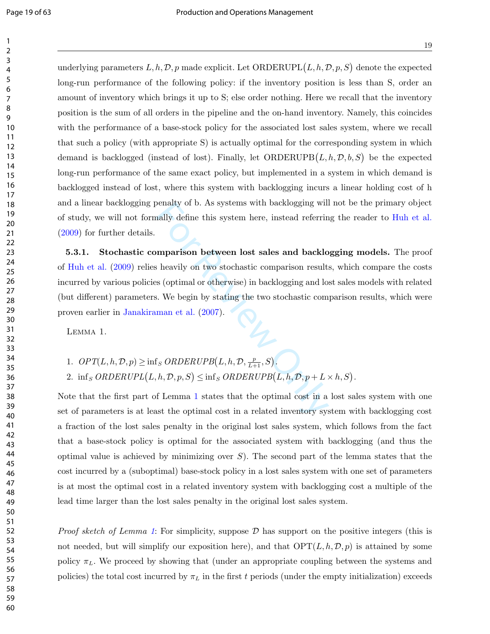underlying parameters  $L, h, \mathcal{D}, p$  made explicit. Let ORDERUPL $(L, h, \mathcal{D}, p, S)$  denote the expected long-run performance of the following policy: if the inventory position is less than S, order an amount of inventory which brings it up to S; else order nothing. Here we recall that the inventory position is the sum of all orders in the pipeline and the on-hand inventory. Namely, this coincides with the performance of a base-stock policy for the associated lost sales system, where we recall that such a policy (with appropriate S) is actually optimal for the corresponding system in which demand is backlogged (instead of lost). Finally, let  $ORDERUPB(L, h, D, b, S)$  be the expected long-run performance of the same exact policy, but implemented in a system in which demand is backlogged instead of lost, where this system with backlogging incurs a linear holding cost of h and a linear backlogging penalty of b. As systems with backlogging will not be the primary object of study, we will not formally define this system here, instead referring the reader to Huh et al. (2009) for further details.

behalty of b. As systems with backlogging wind<br>hally define this systems with backlogging wind<br>halter the system here, instead referring<br>menarison between lost sales and backlos<br>heavily on two stochastic comparison result 5.3.1. Stochastic comparison between lost sales and backlogging models. The proof of Huh et al. (2009) relies heavily on two stochastic comparison results, which compare the costs incurred by various policies (optimal or otherwise) in backlogging and lost sales models with related (but different) parameters. We begin by stating the two stochastic comparison results, which were proven earlier in Janakiraman et al. (2007).

Lemma 1.

1.  $OPT(L, h, \mathcal{D}, p) \geq \inf_{S} ORDERUPB(L, h, \mathcal{D}, \frac{p}{L+1}, S)$ . 2.  $\inf_{S} ORDERUPL(L, h, \mathcal{D}, p, S) \leq \inf_{S} ORDERUPB(L, h, \mathcal{D}, p + L \times h, S)$ .

Note that the first part of Lemma 1 states that the optimal cost in a lost sales system with one set of parameters is at least the optimal cost in a related inventory system with backlogging cost a fraction of the lost sales penalty in the original lost sales system, which follows from the fact that a base-stock policy is optimal for the associated system with backlogging (and thus the optimal value is achieved by minimizing over  $S$ ). The second part of the lemma states that the cost incurred by a (suboptimal) base-stock policy in a lost sales system with one set of parameters is at most the optimal cost in a related inventory system with backlogging cost a multiple of the lead time larger than the lost sales penalty in the original lost sales system.

*Proof sketch of Lemma 1*: For simplicity, suppose  $D$  has support on the positive integers (this is not needed, but will simplify our exposition here), and that  $\text{OPT}(L, h, \mathcal{D}, p)$  is attained by some policy  $\pi_L$ . We proceed by showing that (under an appropriate coupling between the systems and policies) the total cost incurred by  $\pi_L$  in the first t periods (under the empty initialization) exceeds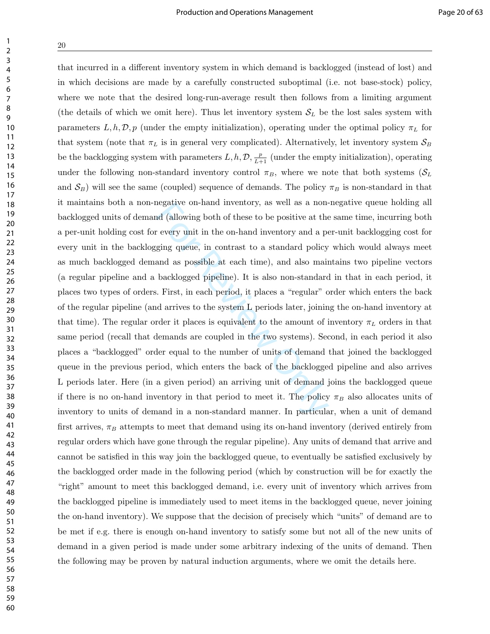regative on-nand inventory, as wen as a non-<br>ad (allowing both of these to be positive at the<br>c every unit in the on-hand inventory and a pe<br>ging queue, in contrast to a standard policy<br>and as possible at each time), and a that incurred in a different inventory system in which demand is backlogged (instead of lost) and in which decisions are made by a carefully constructed suboptimal (i.e. not base-stock) policy, where we note that the desired long-run-average result then follows from a limiting argument (the details of which we omit here). Thus let inventory system  $S_L$  be the lost sales system with parameters  $L, h, \mathcal{D}, p$  (under the empty initialization), operating under the optimal policy  $\pi_L$  for that system (note that  $\pi_L$  is in general very complicated). Alternatively, let inventory system  $S_B$ be the backlogging system with parameters  $L, h, \mathcal{D}, \frac{p}{L+1}$  (under the empty initialization), operating under the following non-standard inventory control  $\pi_B$ , where we note that both systems ( $\mathcal{S}_L$ and  $S_B$ ) will see the same (coupled) sequence of demands. The policy  $\pi_B$  is non-standard in that it maintains both a non-negative on-hand inventory, as well as a non-negative queue holding all backlogged units of demand (allowing both of these to be positive at the same time, incurring both a per-unit holding cost for every unit in the on-hand inventory and a per-unit backlogging cost for every unit in the backlogging queue, in contrast to a standard policy which would always meet as much backlogged demand as possible at each time), and also maintains two pipeline vectors (a regular pipeline and a backlogged pipeline). It is also non-standard in that in each period, it places two types of orders. First, in each period, it places a "regular" order which enters the back of the regular pipeline (and arrives to the system L periods later, joining the on-hand inventory at that time). The regular order it places is equivalent to the amount of inventory  $\pi_L$  orders in that same period (recall that demands are coupled in the two systems). Second, in each period it also places a "backlogged" order equal to the number of units of demand that joined the backlogged queue in the previous period, which enters the back of the backlogged pipeline and also arrives L periods later. Here (in a given period) an arriving unit of demand joins the backlogged queue if there is no on-hand inventory in that period to meet it. The policy  $\pi_B$  also allocates units of inventory to units of demand in a non-standard manner. In particular, when a unit of demand first arrives,  $\pi_B$  attempts to meet that demand using its on-hand inventory (derived entirely from regular orders which have gone through the regular pipeline). Any units of demand that arrive and cannot be satisfied in this way join the backlogged queue, to eventually be satisfied exclusively by the backlogged order made in the following period (which by construction will be for exactly the "right" amount to meet this backlogged demand, i.e. every unit of inventory which arrives from the backlogged pipeline is immediately used to meet items in the backlogged queue, never joining the on-hand inventory). We suppose that the decision of precisely which "units" of demand are to be met if e.g. there is enough on-hand inventory to satisfy some but not all of the new units of demand in a given period is made under some arbitrary indexing of the units of demand. Then the following may be proven by natural induction arguments, where we omit the details here.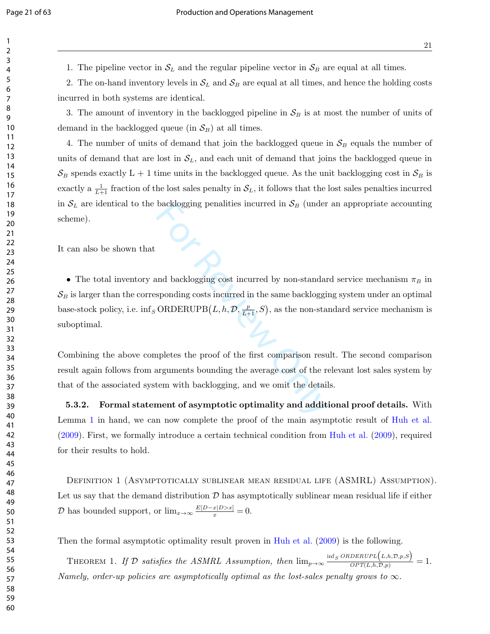1. The pipeline vector in  $S_L$  and the regular pipeline vector in  $S_B$  are equal at all times.

2. The on-hand inventory levels in  $S_L$  and  $S_B$  are equal at all times, and hence the holding costs incurred in both systems are identical.

3. The amount of inventory in the backlogged pipeline in  $S_B$  is at most the number of units of demand in the backlogged queue (in  $S_B$ ) at all times.

4. The number of units of demand that join the backlogged queue in  $S_B$  equals the number of units of demand that are lost in  $S_L$ , and each unit of demand that joins the backlogged queue in  $\mathcal{S}_B$  spends exactly L + 1 time units in the backlogged queue. As the unit backlogging cost in  $\mathcal{S}_B$  is exactly a  $\frac{1}{L+1}$  fraction of the lost sales penalty in  $S_L$ , it follows that the lost sales penalties incurred in  $S_L$  are identical to the backlogging penalities incurred in  $S_B$  (under an appropriate accounting scheme).

It can also be shown that

backlogging penalities incurred in  $S_B$  (under<br>
and backlogging cost incurred by non-standar<br>
sponding costs incurred in the same backloggin<br>
ORDERUPB( $L, h, \mathcal{D}, \frac{p}{L+1}, S$ ), as the non-stan<br>
appletes the proof of the fi • The total inventory and backlogging cost incurred by non-standard service mechanism  $\pi_B$  in  $\mathcal{S}_B$  is larger than the corresponding costs incurred in the same backlogging system under an optimal base-stock policy, i.e.  $\inf_S$  ORDERUPB $(L, h, \mathcal{D}, \frac{p}{L+1}, S)$ , as the non-standard service mechanism is suboptimal.

Combining the above completes the proof of the first comparison result. The second comparison result again follows from arguments bounding the average cost of the relevant lost sales system by that of the associated system with backlogging, and we omit the details.

5.3.2. Formal statement of asymptotic optimality and additional proof details. With Lemma 1 in hand, we can now complete the proof of the main asymptotic result of Huh et al. (2009). First, we formally introduce a certain technical condition from Huh et al. (2009), required for their results to hold.

Definition 1 (Asymptotically sublinear mean residual life (ASMRL) Assumption). Let us say that the demand distribution  $D$  has asymptotically sublinear mean residual life if either D has bounded support, or  $\lim_{x\to\infty} \frac{E[D-x|D>x]}{x} = 0.$ 

Then the formal asymptotic optimality result proven in Huh et al.  $(2009)$  is the following.

THEOREM 1. If  $\mathcal D$  satisfies the ASMRL Assumption, then  $\lim_{p\to\infty}$  $\inf_{S} \textit{ORDERUPL}\left( \textit{L}, \textit{h}, \mathcal{D}, \textit{p}, S \right)$  $\frac{OPT(L,h,\mathcal{D},p)}{OPT(L,h,\mathcal{D},p)} = 1.$ Namely, order-up policies are asymptotically optimal as the lost-sales penalty grows to  $\infty$ .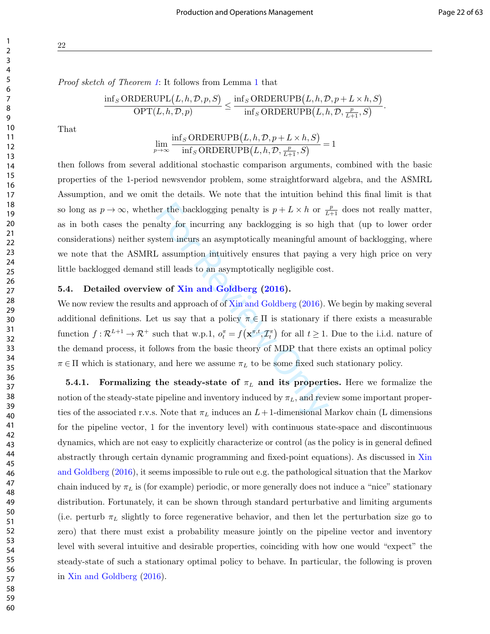1 2

Proof sketch of Theorem 1: It follows from Lemma 1 that

$$
\frac{\inf_{S} \text{ORDERUPL}(L, h, \mathcal{D}, p, S)}{\text{OPT}(L, h, \mathcal{D}, p)} \leq \frac{\inf_{S} \text{ORDERUPB}(L, h, \mathcal{D}, p + L \times h, S)}{\inf_{S} \text{ORDERUPB}(L, h, \mathcal{D}, \frac{p}{L+1}, S)}.
$$

That

$$
\lim_{p \to \infty} \frac{\inf_{S} \text{ORDERUPB}(L, h, \mathcal{D}, p + L \times h, S)}{\inf_{S} \text{ORDERUPB}(L, h, \mathcal{D}, \frac{p}{L+1}, S)} = 1
$$

er the backlogging penalty is  $p + L \times h$  or  $\frac{1}{L}$ <br>alty for incurring any backlogging is so hig<br>stem incurs an asymptotically meaningful am<br>assumption intuitively ensures that paying<br>still leads to an asymptotically negl then follows from several additional stochastic comparison arguments, combined with the basic properties of the 1-period newsvendor problem, some straightforward algebra, and the ASMRL Assumption, and we omit the details. We note that the intuition behind this final limit is that so long as  $p \to \infty$ , whether the backlogging penalty is  $p + L \times h$  or  $\frac{p}{L+1}$  does not really matter, as in both cases the penalty for incurring any backlogging is so high that (up to lower order considerations) neither system incurs an asymptotically meaningful amount of backlogging, where we note that the ASMRL assumption intuitively ensures that paying a very high price on very little backlogged demand still leads to an asymptotically negligible cost.

### 5.4. Detailed overview of Xin and Goldberg (2016).

We now review the results and approach of of Xin and Goldberg (2016). We begin by making several additional definitions. Let us say that a policy  $\pi \in \Pi$  is stationary if there exists a measurable function  $f: \mathcal{R}^{L+1} \to \mathcal{R}^+$  such that w.p.1,  $o_t^{\pi} = f(\mathbf{x}^{\pi,t}, \mathcal{I}_t^{\pi})$  for all  $t \geq 1$ . Due to the i.i.d. nature of the demand process, it follows from the basic theory of MDP that there exists an optimal policy  $\pi \in \Pi$  which is stationary, and here we assume  $\pi_L$  to be some fixed such stationary policy.

5.4.1. Formalizing the steady-state of  $\pi_L$  and its properties. Here we formalize the notion of the steady-state pipeline and inventory induced by  $\pi_L$ , and review some important properties of the associated r.v.s. Note that  $\pi_L$  induces an  $L+1$ -dimensional Markov chain (L dimensions for the pipeline vector, 1 for the inventory level) with continuous state-space and discontinuous dynamics, which are not easy to explicitly characterize or control (as the policy is in general defined abstractly through certain dynamic programming and fixed-point equations). As discussed in Xin and Goldberg (2016), it seems impossible to rule out e.g. the pathological situation that the Markov chain induced by  $\pi_L$  is (for example) periodic, or more generally does not induce a "nice" stationary distribution. Fortunately, it can be shown through standard perturbative and limiting arguments (i.e. perturb  $\pi_L$  slightly to force regenerative behavior, and then let the perturbation size go to zero) that there must exist a probability measure jointly on the pipeline vector and inventory level with several intuitive and desirable properties, coinciding with how one would "expect" the steady-state of such a stationary optimal policy to behave. In particular, the following is proven in Xin and Goldberg (2016).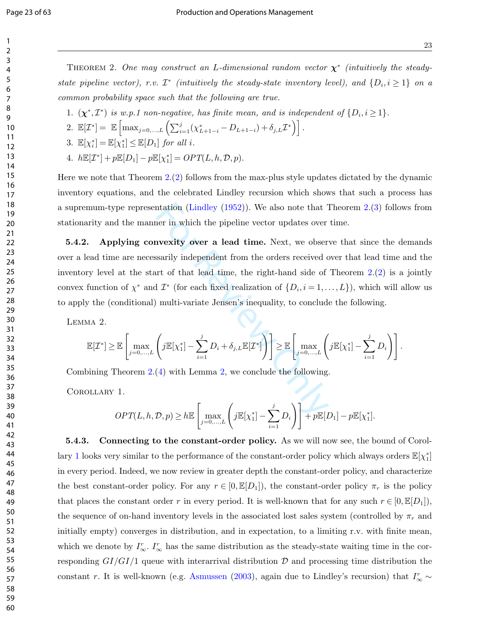1.  $(\chi^*, \mathcal{I}^*)$  is w.p.1 non-negative, has finite mean, and is independent of  $\{D_i, i \geq 1\}$ .

2. 
$$
\mathbb{E}[\mathcal{I}^*] = \mathbb{E}\left[\max_{j=0,\dots,L} \left( \sum_{i=1}^j (\chi_{L+1-i}^* - D_{L+1-i}) + \delta_{j,L} \mathcal{I}^* \right) \right].
$$

3.  $\mathbb{E}[\chi_i^*] = \mathbb{E}[\chi_1^*] \leq \mathbb{E}[D_1]$  for all i.

4. 
$$
h\mathbb{E}[\mathcal{I}^*] + p\mathbb{E}[D_1] - p\mathbb{E}[\chi_1^*] = OPT(L, h, \mathcal{D}, p).
$$

Here we note that Theorem 2.( 2) follows from the max-plus style updates dictated by the dynamic inventory equations, and the celebrated Lindley recursion which shows that such a process has a supremum-type representation (Lindley (1952)). We also note that Theorem 2.(3) follows from stationarity and the manner in which the pipeline vector updates over time.

ntation (Lindley (1952)). We also note that 1<br>
ner in which the pipeline vector updates over<br> **nvexity over a lead time.** Next, we obser<br>
sarily independent from the orders received c<br>
xt of that lead time, the right-hand 5.4.2. Applying convexity over a lead time. Next, we observe that since the demands over a lead time are necessarily independent from the orders received over that lead time and the inventory level at the start of that lead time, the right-hand side of Theorem 2.( 2) is a jointly convex function of  $\chi^*$  and  $\mathcal{I}^*$  (for each fixed realization of  $\{D_i, i = 1, \ldots, L\}$ ), which will allow us to apply the (conditional) multi-variate Jensen's inequality, to conclude the following.

Lemma 2.

$$
\mathbb{E}[\mathcal{I}^*] \geq \mathbb{E}\left[\max_{j=0,\ldots,L}\left(j\mathbb{E}[\chi_1^*]-\sum_{i=1}^j D_i + \delta_{j,L}\mathbb{E}[\mathcal{I}^*]\right)\right] \geq \mathbb{E}\left[\max_{j=0,\ldots,L}\left(j\mathbb{E}[\chi_1^*]-\sum_{i=1}^j D_i\right)\right].
$$

Combining Theorem 2.( 4) with Lemma 2, we conclude the following.

Corollary 1.

$$
OPT(L, h, \mathcal{D}, p) \ge h \mathbb{E}\left[\max_{j=0,\dots,L}\left(j\mathbb{E}[\chi_1^*] - \sum_{i=1}^j D_i\right)\right] + p \mathbb{E}[D_1] - p \mathbb{E}[\chi_1^*].
$$

**5.4.3.** Connecting to the constant-order policy. As we will now see, the bound of Corollary 1 looks very similar to the performance of the constant-order policy which always orders  $\mathbb{E}[\chi_1^*]$ in every period. Indeed, we now review in greater depth the constant-order policy, and characterize the best constant-order policy. For any  $r \in [0, \mathbb{E}[D_1])$ , the constant-order policy  $\pi_r$  is the policy that places the constant order r in every period. It is well-known that for any such  $r \in [0, \mathbb{E}[D_1]),$ the sequence of on-hand inventory levels in the associated lost sales system (controlled by  $\pi_r$  and initially empty) converges in distribution, and in expectation, to a limiting r.v. with finite mean, which we denote by  $I^r_{\infty}$ .  $I^r_{\infty}$  has the same distribution as the steady-state waiting time in the corresponding  $GI/GI/1$  queue with interarrival distribution  $D$  and processing time distribution the constant r. It is well-known (e.g. Asmussen (2003), again due to Lindley's recursion) that  $I^r_\infty \sim$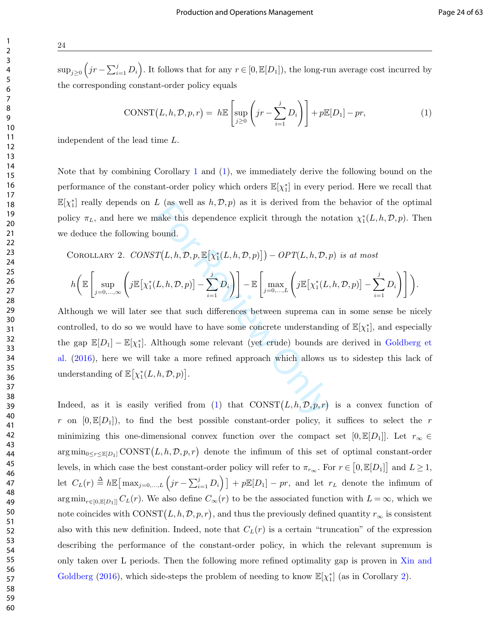$\sup_{j\geq 0} (jr - \sum_{i=1}^j D_i)$ . It follows that for any  $r \in [0, \mathbb{E}[D_1])$ , the long-run average cost incurred by the corresponding constant-order policy equals

$$
CONF(L, h, \mathcal{D}, p, r) = h \mathbb{E}\left[\sup_{j \ge 0} \left(jr - \sum_{i=1}^{j} D_i\right)\right] + p \mathbb{E}[D_1] - pr,\tag{1}
$$

independent of the lead time L.

Note that by combining Corollary 1 and  $(1)$ , we immediately derive the following bound on the performance of the constant-order policy which orders  $\mathbb{E}[\chi_1^*]$  in every period. Here we recall that  $\mathbb{E}[\chi_1^*]$  really depends on L (as well as  $h, \mathcal{D}, p$ ) as it is derived from the behavior of the optimal policy  $\pi_L$ , and here we make this dependence explicit through the notation  $\chi_1^*(L, h, \mathcal{D}, p)$ . Then we deduce the following bound.

COROLLARY 2.  $CONST(L, h, \mathcal{D}, p, \mathbb{E}[\chi_1^*(L, h, \mathcal{D}, p)]) - OPT(L, h, \mathcal{D}, p)$  is at most

$$
h\bigg(\mathbb{E}\left[\sup_{j=0,\ldots,\infty}\left(j\mathbb{E}\big[\chi_1^*(L,h,\mathcal{D},p)\big]-\sum_{i=1}^j D_i\right)\right]-\mathbb{E}\left[\max_{j=0,\ldots,L}\left(j\mathbb{E}\big[\chi_1^*(L,h,\mathcal{D},p)\big]-\sum_{i=1}^j D_i\right)\right]\bigg).
$$

L (as well as  $h, D, p$ ) as it is derived from if<br>ake this dependence explicit through the no<br>ound.<br> $T(L, h, \mathcal{D}, p, \mathbb{E}[\chi_1^*(L, h, \mathcal{D}, p)]) - OPT(L, h, \mathcal{D}, f)$ <br> $L, h, \mathcal{D}, p)$ ]  $-\sum_{i=1}^{j} D_i$   $\Big] - \mathbb{E} \Big[\max_{j=0,...,L} \Big( j \mathbb{E}[\chi_1^$ Although we will later see that such differences between suprema can in some sense be nicely controlled, to do so we would have to have some concrete understanding of  $\mathbb{E}[\chi_1^*]$ , and especially the gap  $\mathbb{E}[D_1] - \mathbb{E}[\chi_1^*]$ . Although some relevant (yet crude) bounds are derived in Goldberg et al. (2016), here we will take a more refined approach which allows us to sidestep this lack of understanding of  $\mathbb{E}[\chi_1^*(L, h, \mathcal{D}, p)].$ 

Indeed, as it is easily verified from (1) that  $CONF(L, h, D, p, r)$  is a convex function of r on  $[0, \mathbb{E}[D_1])$ , to find the best possible constant-order policy, it suffices to select the r minimizing this one-dimensional convex function over the compact set  $[0, \mathbb{E}[D_1]]$ . Let  $r_{\infty} \in$  $\arg \min_{0 \le r \le E[D_1]} \text{CONST}(L, h, \mathcal{D}, p, r)$  denote the infimum of this set of optimal constant-order levels, in which case the best constant-order policy will refer to  $\pi_{r_{\infty}}$ . For  $r \in [0, \mathbb{E}[D_1]]$  and  $L \geq 1$ , let  $C_L(r) \triangleq h \mathbb{E} \left[\max_{j=0,\ldots,L} \left(jr - \sum_{i=1}^j D_i\right)\right] + p \mathbb{E}[D_1] - pr$ , and let  $r_L$  denote the infimum of arg min<sub>r∈[0,E[D<sub>1</sub>]]  $C_L(r)$ . We also define  $C_\infty(r)$  to be the associated function with  $L = \infty$ , which we</sub> note coincides with  $\text{CONST}(L, h, \mathcal{D}, p, r)$ , and thus the previously defined quantity  $r_{\infty}$  is consistent also with this new definition. Indeed, note that  $C<sub>L</sub>(r)$  is a certain "truncation" of the expression describing the performance of the constant-order policy, in which the relevant supremum is only taken over L periods. Then the following more refined optimality gap is proven in Xin and Goldberg (2016), which side-steps the problem of needing to know  $\mathbb{E}[\chi_1^*]$  (as in Corollary 2).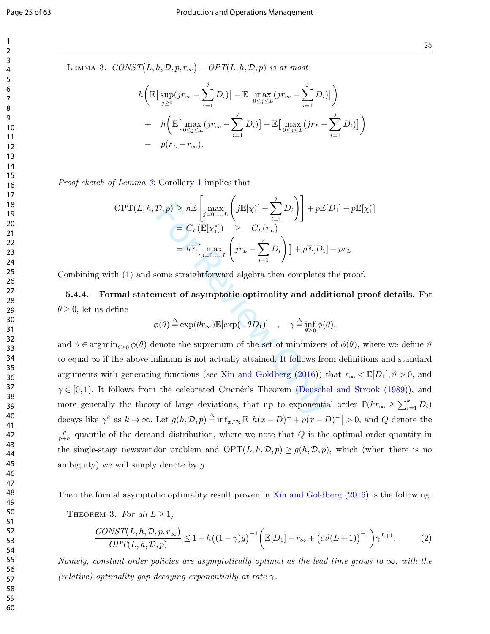LEMMA 3.  $CONST(L, h, \mathcal{D}, p, r_{\infty}) - OPT(L, h, \mathcal{D}, p)$  is at most

$$
h\left(\mathbb{E}\left[\sup_{j\geq 0} (jr_{\infty} - \sum_{i=1}^{j} D_i)\right] - \mathbb{E}\left[\max_{0\leq j\leq L} (jr_{\infty} - \sum_{i=1}^{j} D_i)\right]\right)
$$
  
+ 
$$
h\left(\mathbb{E}\left[\max_{0\leq j\leq L} (jr_{\infty} - \sum_{i=1}^{j} D_i)\right] - \mathbb{E}\left[\max_{0\leq j\leq L} (jr_L - \sum_{i=1}^{j} D_i)\right]\right)
$$
  
- 
$$
p(r_L - r_{\infty}).
$$

Proof sketch of Lemma 3: Corollary 1 implies that

$$
\begin{split} \text{OPT}(L, h, \mathcal{D}, p) &\geq h \mathbb{E} \left[ \max_{j=0,\dots,L} \left( j \mathbb{E}[\chi_1^*] - \sum_{i=1}^j D_i \right) \right] + p \mathbb{E}[D_1] - p \mathbb{E}[\chi_1^*] \\ &= C_L(\mathbb{E}[\chi_1^*]) \geq C_L(r_L) \\ &= h \mathbb{E} \left[ \max_{j=0,\dots,L} \left( jr_L - \sum_{i=1}^j D_i \right) \right] + p \mathbb{E}[D_1] - pr_L. \end{split}
$$

Combining with ( 1) and some straightforward algebra then completes the proof.

5.4.4. Formal statement of asymptotic optimality and additional proof details. For  $\theta \geq 0$ , let us define

$$
\phi(\theta) \stackrel{\Delta}{=} \exp(\theta r_{\infty}) \mathbb{E}[\exp(-\theta D_1)] \quad , \quad \gamma \stackrel{\Delta}{=} \inf_{\theta \ge 0} \phi(\theta),
$$

 $(D, p) \ge h \mathbb{E} \left[ \max_{j=0,...,L} \left( j \mathbb{E}[\chi_1^*] - \sum_{i=1} D_i \right) \right] + p \mathbb{E}[\mathbb{E}[\chi_2^*])$ <br>  $= C_L(\mathbb{E}[\chi_1^*]) \ge C_L(r_L)$ <br>  $= h \mathbb{E} \left[ \max_{j=0,...,L} \left( jr_L - \sum_{i=1}^j D_i \right) \right] + p \mathbb{E}[D_1]$ <br>
some straightforward algebra then completes t<br>
me and  $\vartheta \in \arg\min_{\theta \geq 0} \phi(\theta)$  denote the supremum of the set of minimizers of  $\phi(\theta)$ , where we define  $\vartheta$ to equal  $\infty$  if the above infimum is not actually attained. It follows from definitions and standard arguments with generating functions (see Xin and Goldberg (2016)) that  $r_{\infty} < \mathbb{E}[D_1], \vartheta > 0$ , and  $\gamma \in [0,1)$ . It follows from the celebrated Cramér's Theorem (Deuschel and Strook (1989)), and more generally the theory of large deviations, that up to exponential order  $\mathbb{P}(kr_{\infty} \geq \sum_{i=1}^{k} D_i)$ decays like  $\gamma^k$  as  $k \to \infty$ . Let  $g(h, \mathcal{D}, p) \stackrel{\Delta}{=} \inf_{x \in \mathcal{R}} \mathbb{E}[h(x - D)^+ + p(x - D)^-] > 0$ , and Q denote the p  $\frac{p}{p+h}$  quantile of the demand distribution, where we note that Q is the optimal order quantity in the single-stage newsvendor problem and  $\text{OPT}(L, h, \mathcal{D}, p) \ge g(h, \mathcal{D}, p)$ , which (when there is no ambiguity) we will simply denote by g.

Then the formal asymptotic optimality result proven in Xin and Goldberg (2016) is the following.

THEOREM 3. For all  $L \geq 1$ ,

$$
\frac{CONST(L, h, \mathcal{D}, p, r_{\infty})}{OPT(L, h, \mathcal{D}, p)} \le 1 + h\big((1 - \gamma)g\big)^{-1} \bigg(\mathbb{E}[D_1] - r_{\infty} + \big(e\vartheta(L+1)\big)^{-1}\bigg)\gamma^{L+1}.\tag{2}
$$

Namely, constant-order policies are asymptotically optimal as the lead time grows to  $\infty$ , with the (relative) optimality gap decaying exponentially at rate  $\gamma$ .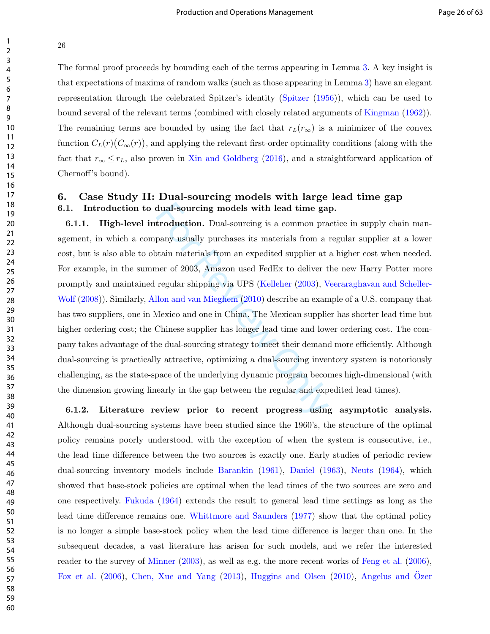The formal proof proceeds by bounding each of the terms appearing in Lemma 3. A key insight is that expectations of maxima of random walks (such as those appearing in Lemma 3) have an elegant representation through the celebrated Spitzer's identity (Spitzer (1956)), which can be used to bound several of the relevant terms (combined with closely related arguments of Kingman (1962)). The remaining terms are bounded by using the fact that  $r_L(r_\infty)$  is a minimizer of the convex function  $C_L(r)(C_\infty(r))$ , and applying the relevant first-order optimality conditions (along with the fact that  $r_{\infty} \leq r_L$ , also proven in Xin and Goldberg (2016), and a straightforward application of Chernoff's bound).

## 6. Case Study II: Dual-sourcing models with large lead time gap 6.1. Introduction to dual-sourcing models with lead time gap.

dual-sourcing models with lead time gay<br>troduction. Dual-sourcing is a common pra<br>pany usually purchases its materials from a i<br>pany usually purchases its materials from a i<br>paner of 2003, Amazon used FedEx to deliver t<br>re **6.1.1.** High-level introduction. Dual-sourcing is a common practice in supply chain management, in which a company usually purchases its materials from a regular supplier at a lower cost, but is also able to obtain materials from an expedited supplier at a higher cost when needed. For example, in the summer of 2003, Amazon used FedEx to deliver the new Harry Potter more promptly and maintained regular shipping via UPS (Kelleher (2003), Veeraraghavan and Scheller-Wolf (2008)). Similarly, Allon and van Mieghem (2010) describe an example of a U.S. company that has two suppliers, one in Mexico and one in China. The Mexican supplier has shorter lead time but higher ordering cost; the Chinese supplier has longer lead time and lower ordering cost. The company takes advantage of the dual-sourcing strategy to meet their demand more efficiently. Although dual-sourcing is practically attractive, optimizing a dual-sourcing inventory system is notoriously challenging, as the state-space of the underlying dynamic program becomes high-dimensional (with the dimension growing linearly in the gap between the regular and expedited lead times).

6.1.2. Literature review prior to recent progress using asymptotic analysis. Although dual-sourcing systems have been studied since the 1960's, the structure of the optimal policy remains poorly understood, with the exception of when the system is consecutive, i.e., the lead time difference between the two sources is exactly one. Early studies of periodic review dual-sourcing inventory models include Barankin (1961), Daniel (1963), Neuts (1964), which showed that base-stock policies are optimal when the lead times of the two sources are zero and one respectively. Fukuda (1964) extends the result to general lead time settings as long as the lead time difference remains one. Whittmore and Saunders (1977) show that the optimal policy is no longer a simple base-stock policy when the lead time difference is larger than one. In the subsequent decades, a vast literature has arisen for such models, and we refer the interested reader to the survey of Minner (2003), as well as e.g. the more recent works of Feng et al. (2006), Fox et al. (2006), Chen, Xue and Yang (2013), Huggins and Olsen (2010), Angelus and Ozer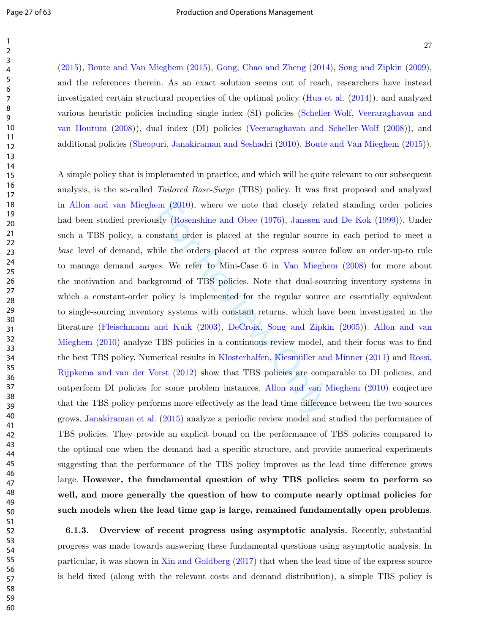(2015), Boute and Van Mieghem (2015), Gong, Chao and Zheng (2014), Song and Zipkin (2009), and the references therein. As an exact solution seems out of reach, researchers have instead investigated certain structural properties of the optimal policy (Hua et al. (2014)), and analyzed various heuristic policies including single index (SI) policies (Scheller-Wolf, Veeraraghavan and van Houtum (2008)), dual index (DI) policies (Veeraraghavan and Scheller-Wolf (2008)), and additional policies (Sheopuri, Janakiraman and Seshadri (2010), Boute and Van Mieghem (2015)).

EVALUATE: The ventre we note that closely related sly (Rosenshine and Obee (1976), Janssen and stant order is placed at the regular source ille the orders placed at the express source es. We refer to Mini-Case 6 in Van Mi A simple policy that is implemented in practice, and which will be quite relevant to our subsequent analysis, is the so-called Tailored Base-Surge (TBS) policy. It was first proposed and analyzed in Allon and van Mieghem (2010), where we note that closely related standing order policies had been studied previously (Rosenshine and Obee (1976), Janssen and De Kok (1999)). Under such a TBS policy, a constant order is placed at the regular source in each period to meet a base level of demand, while the orders placed at the express source follow an order-up-to rule to manage demand *surges*. We refer to Mini-Case 6 in Van Mieghem (2008) for more about the motivation and background of TBS policies. Note that dual-sourcing inventory systems in which a constant-order policy is implemented for the regular source are essentially equivalent to single-sourcing inventory systems with constant returns, which have been investigated in the literature (Fleischmann and Kuik (2003), DeCroix, Song and Zipkin (2005)). Allon and van Mieghem (2010) analyze TBS policies in a continuous review model, and their focus was to find the best TBS policy. Numerical results in Klosterhalfen, Kiesmüller and Minner (2011) and Rossi, Rijpkema and van der Vorst (2012) show that TBS policies are comparable to DI policies, and outperform DI policies for some problem instances. Allon and van Mieghem (2010) conjecture that the TBS policy performs more effectively as the lead time difference between the two sources grows. Janakiraman et al. (2015) analyze a periodic review model and studied the performance of TBS policies. They provide an explicit bound on the performance of TBS policies compared to the optimal one when the demand had a specific structure, and provide numerical experiments suggesting that the performance of the TBS policy improves as the lead time difference grows large. However, the fundamental question of why TBS policies seem to perform so well, and more generally the question of how to compute nearly optimal policies for such models when the lead time gap is large, remained fundamentally open problems .

6.1.3. Overview of recent progress using asymptotic analysis. Recently, substantial progress was made towards answering these fundamental questions using asymptotic analysis. In particular, it was shown in Xin and Goldberg (2017) that when the lead time of the express source is held fixed (along with the relevant costs and demand distribution), a simple TBS policy is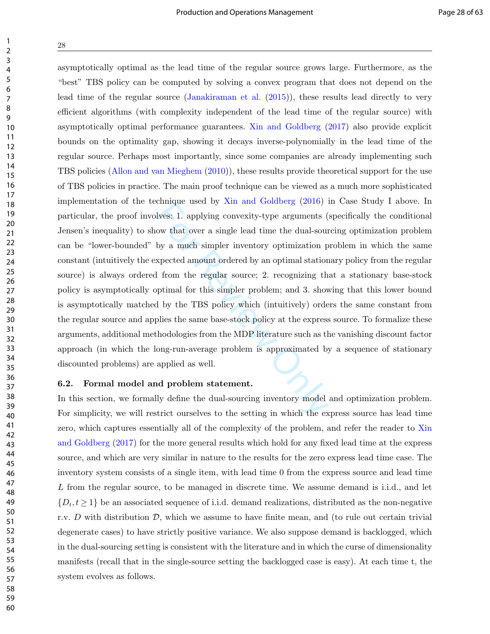Example as the burnture of the set of the set of the set of the set of the set of the set of the set of the set of the dual-sour by a much simpler inventory optimization p xpected amount ordered by an optimization p xpecte asymptotically optimal as the lead time of the regular source grows large. Furthermore, as the "best" TBS policy can be computed by solving a convex program that does not depend on the lead time of the regular source (Janakiraman et al. (2015)), these results lead directly to very efficient algorithms (with complexity independent of the lead time of the regular source) with asymptotically optimal performance guarantees. Xin and Goldberg (2017) also provide explicit bounds on the optimality gap, showing it decays inverse-polynomially in the lead time of the regular source. Perhaps most importantly, since some companies are already implementing such TBS policies (Allon and van Mieghem (2010)), these results provide theoretical support for the use of TBS policies in practice. The main proof technique can be viewed as a much more sophisticated implementation of the technique used by Xin and Goldberg (2016) in Case Study I above. In particular, the proof involves: 1. applying convexity-type arguments (specifically the conditional Jensen's inequality) to show that over a single lead time the dual-sourcing optimization problem can be "lower-bounded" by a much simpler inventory optimization problem in which the same constant (intuitively the expected amount ordered by an optimal stationary policy from the regular source) is always ordered from the regular source; 2. recognizing that a stationary base-stock policy is asymptotically optimal for this simpler problem; and 3. showing that this lower bound is asymptotically matched by the TBS policy which (intuitively) orders the same constant from the regular source and applies the same base-stock policy at the express source. To formalize these arguments, additional methodologies from the MDP literature such as the vanishing discount factor approach (in which the long-run-average problem is approximated by a sequence of stationary discounted problems) are applied as well.

## 6.2. Formal model and problem statement.

In this section, we formally define the dual-sourcing inventory model and optimization problem. For simplicity, we will restrict ourselves to the setting in which the express source has lead time zero, which captures essentially all of the complexity of the problem, and refer the reader to Xin and Goldberg (2017) for the more general results which hold for any fixed lead time at the express source, and which are very similar in nature to the results for the zero express lead time case. The inventory system consists of a single item, with lead time 0 from the express source and lead time L from the regular source, to be managed in discrete time. We assume demand is i.i.d., and let  $\{D_t, t \geq 1\}$  be an associated sequence of i.i.d. demand realizations, distributed as the non-negative r.v. D with distribution  $\mathcal{D}$ , which we assume to have finite mean, and (to rule out certain trivial degenerate cases) to have strictly positive variance. We also suppose demand is backlogged, which in the dual-sourcing setting is consistent with the literature and in which the curse of dimensionality manifests (recall that in the single-source setting the backlogged case is easy). At each time t, the system evolves as follows.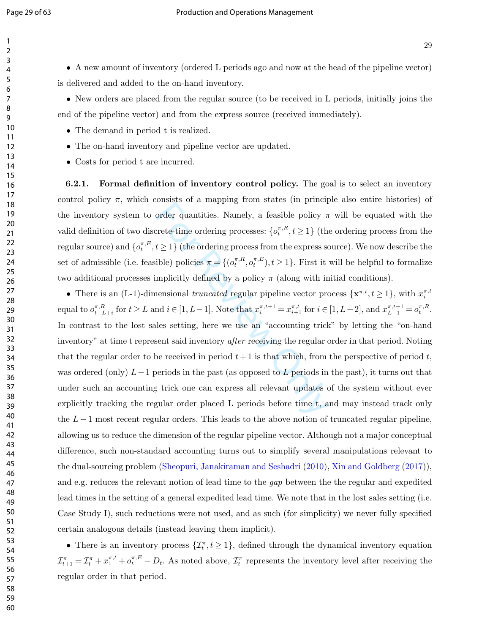• A new amount of inventory (ordered L periods ago and now at the head of the pipeline vector) is delivered and added to the on-hand inventory.

• New orders are placed from the regular source (to be received in L periods, initially joins the end of the pipeline vector) and from the express source (received immediately).

- The demand in period t is realized.
- The on-hand inventory and pipeline vector are updated.
- Costs for period t are incurred.

6.2.1. Formal definition of inventory control policy. The goal is to select an inventory control policy  $\pi$ , which consists of a mapping from states (in principle also entire histories) of the inventory system to order quantities. Namely, a feasible policy  $\pi$  will be equated with the valid definition of two discrete-time ordering processes:  $\{o_t^{\pi,R}, t \ge 1\}$  (the ordering process from the regular source) and  $\{o_t^{\pi,E}, t\geq 1\}$  (the ordering process from the express source). We now describe the set of admissible (i.e. feasible) policies  $\pi = \{(o_t^{\pi,R}, o_t^{\pi,E}), t \ge 1\}$ . First it will be helpful to formalize two additional processes implicitly defined by a policy  $\pi$  (along with initial conditions).

For a mapping noise of a parameter of proton (in protect<br>order quantities. Namely, a feasible policy  $\pi$ <br>rete-time ordering processes:  $\{o_t^{\pi,R}, t \geq 1\}$  (the<br> $t \geq 1\}$  (the ordering process from the express sc<br>ible) p • There is an (L-1)-dimensional *truncated* regular pipeline vector process  $\{x^{\pi,t}, t \geq 1\}$ , with  $x_i^{\pi,t}$ equal to  $o_{t-L+i}^{\pi,R}$  for  $t \ge L$  and  $i \in [1, L-1]$ . Note that  $x_i^{\pi,t+1} = x_{i+1}^{\pi,t}$  for  $i \in [1, L-2]$ , and  $x_{L-1}^{\pi,t+1} = o_{t}^{\pi,R}$ . In contrast to the lost sales setting, here we use an "accounting trick" by letting the "on-hand inventory" at time t represent said inventory *after receiving* the regular order in that period. Noting that the regular order to be received in period  $t+1$  is that which, from the perspective of period t, was ordered (only)  $L-1$  periods in the past (as opposed to L periods in the past), it turns out that under such an accounting trick one can express all relevant updates of the system without ever explicitly tracking the regular order placed L periods before time t, and may instead track only the  $L-1$  most recent regular orders. This leads to the above notion of truncated regular pipeline, allowing us to reduce the dimension of the regular pipeline vector. Although not a major conceptual difference, such non-standard accounting turns out to simplify several manipulations relevant to the dual-sourcing problem (Sheopuri, Janakiraman and Seshadri (2010), Xin and Goldberg (2017)), and e.g. reduces the relevant notion of lead time to the gap between the the regular and expedited lead times in the setting of a general expedited lead time. We note that in the lost sales setting (i.e. Case Study I), such reductions were not used, and as such (for simplicity) we never fully specified certain analogous details (instead leaving them implicit).

• There is an inventory process  $\{\mathcal{I}_t^{\pi}, t \geq 1\}$ , defined through the dynamical inventory equation  $\mathcal{I}_{t+1}^{\pi} = \mathcal{I}_t^{\pi} + x_1^{\pi,t} + o_t^{\pi,E} - D_t$ . As noted above,  $\mathcal{I}_t^{\pi}$  represents the inventory level after receiving the regular order in that period.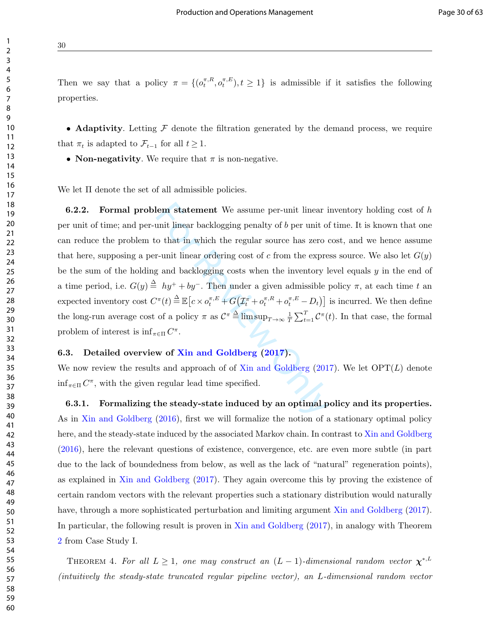Then we say that a policy  $\pi = \{(\sigma_t^{\pi,R}, \sigma_t^{\pi,E}), t \geq 1\}$  is admissible if it satisfies the following properties.

• Adaptivity. Letting  $\mathcal F$  denote the filtration generated by the demand process, we require that  $\pi_t$  is adapted to  $\mathcal{F}_{t-1}$  for all  $t \geq 1$ .

• Non-negativity. We require that  $\pi$  is non-negative.

We let Π denote the set of all admissible policies.

lem statement We assume per-unit linear i<br>unit linear backlogging penalty of *b* per unit of<br>o that in which the regular source has zero  $\epsilon$ <br>r-unit linear ordering cost of *c* from the expre<br>g and backlogging costs when **6.2.2.** Formal problem statement We assume per-unit linear inventory holding cost of  $h$ per unit of time; and per-unit linear backlogging penalty of b per unit of time. It is known that one can reduce the problem to that in which the regular source has zero cost, and we hence assume that here, supposing a per-unit linear ordering cost of c from the express source. We also let  $G(y)$ be the sum of the holding and backlogging costs when the inventory level equals  $\gamma$  in the end of a time period, i.e.  $G(y) \stackrel{\Delta}{=} hy^+ + by^-$ . Then under a given admissible policy  $\pi$ , at each time t an expected inventory cost  $C^{\pi}(t) \stackrel{\Delta}{=} \mathbb{E}\left[c \times o_t^{\pi,E} + G\left(\mathcal{I}_t^{\pi} + o_t^{\pi,R} + o_t^{\pi,E} - D_t\right)\right]$  is incurred. We then define the long-run average cost of a policy  $\pi$  as  $C^{\pi} \triangleq \limsup_{T \to \infty} \frac{1}{T}$  $\frac{1}{T} \sum_{t=1}^{T} C^{\pi}(t)$ . In that case, the formal problem of interest is  $\inf_{\pi \in \Pi} C^{\pi}$ .

## 6.3. Detailed overview of Xin and Goldberg (2017).

We now review the results and approach of of Xin and Goldberg  $(2017)$ . We let  $\text{OPT}(L)$  denote  $\inf_{\pi \in \Pi} C^{\pi}$ , with the given regular lead time specified.

6.3.1. Formalizing the steady-state induced by an optimal policy and its properties. As in Xin and Goldberg (2016), first we will formalize the notion of a stationary optimal policy here, and the steady-state induced by the associated Markov chain. In contrast to Xin and Goldberg (2016), here the relevant questions of existence, convergence, etc. are even more subtle (in part due to the lack of boundedness from below, as well as the lack of "natural" regeneration points), as explained in Xin and Goldberg (2017). They again overcome this by proving the existence of certain random vectors with the relevant properties such a stationary distribution would naturally have, through a more sophisticated perturbation and limiting argument Xin and Goldberg (2017). In particular, the following result is proven in Xin and Goldberg (2017), in analogy with Theorem from Case Study I.

THEOREM 4. For all  $L \geq 1$ , one may construct an  $(L-1)$ -dimensional random vector  $\chi^{*,L}$ (intuitively the steady-state truncated regular pipeline vector), an L-dimensional random vector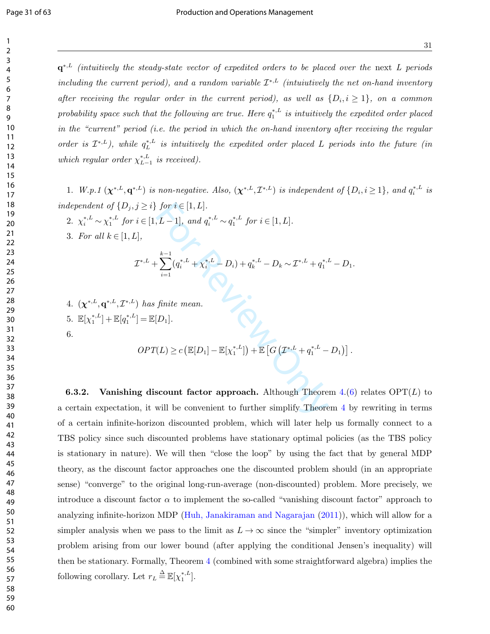1  $\overline{2}$ 3

 $\mathbf{q}^{*,L}$  (intuitively the steady-state vector of expedited orders to be placed over the next L periods including the current period), and a random variable  $\mathcal{I}^{*,L}$  (intuiutively the net on-hand inventory after receiving the regular order in the current period), as well as  $\{D_i, i \geq 1\}$ , on a common probability space such that the following are true. Here  $q_1^{*,L}$  is intuitively the expedited order placed in the "current" period (i.e. the period in which the on-hand inventory after receiving the regular order is  $\mathcal{I}^{*,L}$ ), while  $q_L^{*,L}$  is intuitively the expedited order placed L periods into the future (in which regular order  $\chi_{L-1}^{*,L}$  is received).

1. W.p.1  $(\chi^{*,L}, \mathbf{q}^{*,L})$  is non-negative. Also,  $(\chi^{*,L}, \mathcal{I}^{*,L})$  is independent of  $\{D_i, i \geq 1\}$ , and  $q_i^{*,L}$  is independent of  $\{D_j, j \geq i\}$  for  $i \in [1, L]$ .

- 2.  $\chi_i^{*,L} \sim \chi_1^{*,L}$  for  $i \in [1, L-1]$ , and  $q_i^{*,L} \sim q_1^{*,L}$  for  $i \in [1, L]$ .
- 3. For all  $k \in [1, L]$ ,

$$
\mathcal{I}^{*,L} + \sum_{i=1}^{k-1} (q_i^{*,L} + \chi_i^{*,L} - D_i) + q_k^{*,L} - D_k \sim \mathcal{I}^{*,L} + q_1^{*,L} - D_1.
$$

4.  $(\chi^{*,L}, \mathbf{q}^{*,L}, \mathcal{I}^{*,L})$  has finite mean. 5.  $\mathbb{E}[\chi_1^{*,L}] + \mathbb{E}[q_1^{*,L}] = \mathbb{E}[D_1].$ 6.

$$
OPT(L) \ge c \left( \mathbb{E}[D_1] - \mathbb{E}[\chi_1^{*,L}] \right) + \mathbb{E}\left[ G\left( \mathcal{I}^{*,L} + q_1^{*,L} - D_1 \right) \right].
$$

for  $i \in [1, L]$ .<br>  $,L-1$ ], and  $q_i^{*,L} \sim q_1^{*,L}$  for  $i \in [1, L]$ .<br>  $-\sum_{i=1}^{k-1} (q_i^{*,L} + \chi_i^{*,L} - D_i) + q_k^{*,L} - D_k \sim \mathcal{I}^{*,L} + q_1^{*,L}$ <br>
finite mean.<br>  $[D_1]$ .<br>  $(L) \ge c \left( \mathbb{E}[D_1] - \mathbb{E}[\chi_1^{*,L}] \right) + \mathbb{E} \left[ G \left( \mathcal{I}^{*,L} + q_1^{*,L}$ **6.3.2.** Vanishing discount factor approach. Although Theorem  $4.(6)$  relates  $\text{OPT}(L)$  to a certain expectation, it will be convenient to further simplify Theorem 4 by rewriting in terms of a certain infinite-horizon discounted problem, which will later help us formally connect to a TBS policy since such discounted problems have stationary optimal policies (as the TBS policy is stationary in nature). We will then "close the loop" by using the fact that by general MDP theory, as the discount factor approaches one the discounted problem should (in an appropriate sense) "converge" to the original long-run-average (non-discounted) problem. More precisely, we introduce a discount factor  $\alpha$  to implement the so-called "vanishing discount factor" approach to analyzing infinite-horizon MDP (Huh, Janakiraman and Nagarajan (2011)), which will allow for a simpler analysis when we pass to the limit as  $L \to \infty$  since the "simpler" inventory optimization problem arising from our lower bound (after applying the conditional Jensen's inequality) will then be stationary. Formally, Theorem 4 (combined with some straightforward algebra) implies the following corollary. Let  $r_L \stackrel{\Delta}{=} \mathbb{E}[\chi_1^{*,L}].$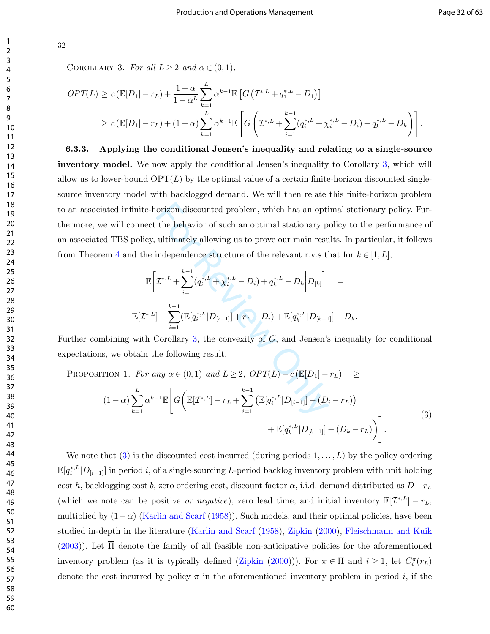COROLLARY 3. For all  $L \geq 2$  and  $\alpha \in (0,1)$ ,

$$
OPT(L) \ge c (\mathbb{E}[D_1] - r_L) + \frac{1 - \alpha L}{1 - \alpha^L} \sum_{k=1}^L \alpha^{k-1} \mathbb{E} \left[ G \left( \mathcal{I}^{*,L} + q_1^{*,L} - D_1 \right) \right]
$$
  
 
$$
\ge c (\mathbb{E}[D_1] - r_L) + (1 - \alpha) \sum_{k=1}^L \alpha^{k-1} \mathbb{E} \left[ G \left( \mathcal{I}^{*,L} + \sum_{i=1}^{k-1} (q_i^{*,L} + \chi_i^{*,L} - D_i) + q_k^{*,L} - D_k \right) \right].
$$

6.3.3. Applying the conditional Jensen's inequality and relating to a single-source inventory model. We now apply the conditional Jensen's inequality to Corollary 3, which will allow us to lower-bound  $\text{OPT}(L)$  by the optimal value of a certain finite-horizon discounted singlesource inventory model with backlogged demand. We will then relate this finite-horizon problem to an associated infinite-horizon discounted problem, which has an optimal stationary policy. Furthermore, we will connect the behavior of such an optimal stationary policy to the performance of an associated TBS policy, ultimately allowing us to prove our main results. In particular, it follows from Theorem 4 and the independence structure of the relevant r.v.s that for  $k \in [1, L]$ ,

inite-horizon discounted problem, which has an optimal sta  
\nonnect the behavior of such an optimal stationary policy to  
\npolicy, ultimately allowing us to prove our main results. In p  
\nd the independence structure of the relevant r.v.s that for  
\n
$$
\mathbb{E}\Big[\mathcal{I}^{*,L} + \sum_{i=1}^{k-1} (q_i^{*,L} + \chi_i^{*,L} - D_i) + q_k^{*,L} - D_k \Big| D_{[k]} \Big] =
$$
\n
$$
\mathbb{E}[\mathcal{I}^{*,L}] + \sum_{i=1}^{k-1} (\mathbb{E}[q_i^{*,L}|D_{[i-1]}] + r_L - D_i) + \mathbb{E}[q_k^{*,L}|D_{[k-1]}] - D_k.
$$
\nwith Corollary 3, the convexity of *G*, and Jensen's inequa  
\ntain the following result.  
\nFor any  $\alpha \in (0,1)$  and  $L \ge 2$ ,  $OPT(L) - c \big(\mathbb{E}[D_1] - r_L) \ge$   
\n
$$
\sum_{k=1}^{L} \alpha^{k-1} \mathbb{E}\Big[G\Big(\mathbb{E}[\mathcal{I}^{*,L}] - r_L + \sum_{i=1}^{k-1} (\mathbb{E}[q_i^{*,L}|D_{[i-1]}] - (D_i - r_L))\Big]
$$

Further combining with Corollary 3, the convexity of  $G$ , and Jensen's inequality for conditional expectations, we obtain the following result.

PROPOSITION 1. For any  $\alpha \in (0,1)$  and  $L \geq 2$ ,  $OPT(L) - c (\mathbb{E}[D_1] - r_L) \geq$ 

$$
(1-\alpha)\sum_{k=1}^{L} \alpha^{k-1} \mathbb{E}\bigg[G\bigg(\mathbb{E}[\mathcal{I}^{*,L}] - r_L + \sum_{i=1}^{k-1} \left(\mathbb{E}[q_i^{*,L}|D_{[i-1]}] - (D_i - r_L)\right) + \mathbb{E}[q_k^{*,L}|D_{[k-1]}] - (D_k - r_L)\bigg)\bigg].
$$
\n(3)

We note that (3) is the discounted cost incurred (during periods  $1, \ldots, L$ ) by the policy ordering  $\mathbb{E}[q_i^{*,L} | D_{[i-1]}]$  in period  $i$ , of a single-sourcing L-period backlog inventory problem with unit holding cost h, backlogging cost b, zero ordering cost, discount factor  $\alpha$ , i.i.d. demand distributed as  $D - r<sub>L</sub>$ (which we note can be positive *or negative*), zero lead time, and initial inventory  $\mathbb{E}[\mathcal{I}^{*,L}] - r_L$ , multiplied by  $(1-\alpha)$  (Karlin and Scarf (1958)). Such models, and their optimal policies, have been studied in-depth in the literature (Karlin and Scarf (1958), Zipkin (2000), Fleischmann and Kuik  $(2003)$ ). Let  $\overline{\Pi}$  denote the family of all feasible non-anticipative policies for the aforementioned inventory problem (as it is typically defined (Zipkin (2000))). For  $\pi \in \overline{\Pi}$  and  $i \geq 1$ , let  $C_i^{\pi}(r_L)$ denote the cost incurred by policy  $\pi$  in the aforementioned inventory problem in period i, if the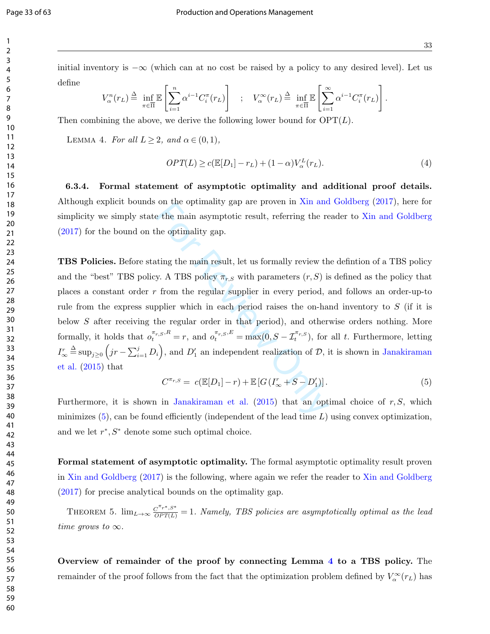$$
V_{\alpha}^{n}(r_{L}) \stackrel{\Delta}{=} \inf_{\pi \in \overline{\Pi}} \mathbb{E}\left[\sum_{i=1}^{n} \alpha^{i-1} C_{i}^{\pi}(r_{L})\right] \quad ; \quad V_{\alpha}^{\infty}(r_{L}) \stackrel{\Delta}{=} \inf_{\pi \in \overline{\Pi}} \mathbb{E}\left[\sum_{i=1}^{\infty} \alpha^{i-1} C_{i}^{\pi}(r_{L})\right].
$$

Then combining the above, we derive the following lower bound for  $\text{OPT}(L)$ .

LEMMA 4. For all  $L \geq 2$ , and  $\alpha \in (0,1)$ ,

$$
OPT(L) \ge c(\mathbb{E}[D_1] - r_L) + (1 - \alpha)V_{\alpha}^L(r_L). \tag{4}
$$

6.3.4. Formal statement of asymptotic optimality and additional proof details. Although explicit bounds on the optimality gap are proven in Xin and Goldberg (2017), here for simplicity we simply state the main asymptotic result, referring the reader to Xin and Goldberg (2017) for the bound on the optimality gap.

be the main asymptotic result, referring the reaches the main asymptotic result, referring the reaches the optimality gap.<br>
tting the main result, let us formally review the optimality gap.<br>
tting the main result, let us TBS Policies. Before stating the main result, let us formally review the defintion of a TBS policy and the "best" TBS policy. A TBS policy  $\pi_{r,s}$  with parameters  $(r, S)$  is defined as the policy that places a constant order r from the regular supplier in every period, and follows an order-up-to rule from the express supplier which in each period raises the on-hand inventory to S (if it is below S after receiving the regular order in that period), and otherwise orders nothing. More formally, it holds that  $o_t^{\pi_{r,S},R} = r$ , and  $o_t^{\pi_{r,S},E} = \max(0, S - \mathcal{I}_t^{\pi_{r,S}})$ , for all t. Furthermore, letting  $I_{\infty}^r \triangleq \sup_{j\geq 0} (jr - \sum_{i=1}^j D_i)$ , and  $D'_1$  an independent realization of  $\mathcal{D}$ , it is shown in Janakiraman et al. (2015) that

$$
C^{\pi_{r,S}} = c(\mathbb{E}[D_1] - r) + \mathbb{E}[G(I^r_{\infty} + S - D'_1)].
$$
\n(5)

Furthermore, it is shown in Janakiraman et al.  $(2015)$  that an optimal choice of  $r, S$ , which minimizes  $(5)$ , can be found efficiently (independent of the lead time L) using convex optimization, and we let  $r^*$ ,  $S^*$  denote some such optimal choice.

Formal statement of asymptotic optimality. The formal asymptotic optimality result proven in Xin and Goldberg (2017) is the following, where again we refer the reader to Xin and Goldberg (2017) for precise analytical bounds on the optimality gap.

THEOREM 5.  $\lim_{L\to\infty} \frac{C^{\pi_{r^*,S^*}}}{OPT(L)}$  $\frac{C^{(r,r,s)}}{OPT(L)} = 1$ . Namely, TBS policies are asymptotically optimal as the lead time grows to  $\infty$ .

Overview of remainder of the proof by connecting Lemma 4 to a TBS policy. The remainder of the proof follows from the fact that the optimization problem defined by  $V_\alpha^\infty(r_L)$  has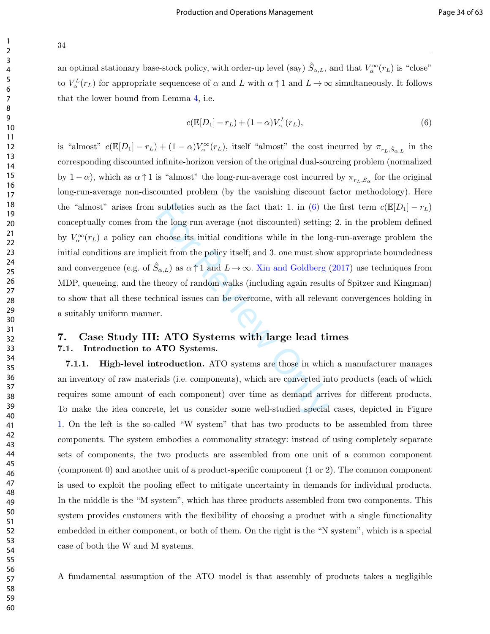an optimal stationary base-stock policy, with order-up level (say)  $\hat{S}_{\alpha,L}$ , and that  $V_\alpha^\infty(r_L)$  is "close" to  $V^L_{\alpha}(r_L)$  for appropriate sequencese of  $\alpha$  and  $L$  with  $\alpha \uparrow 1$  and  $L \to \infty$  simultaneously. It follows that the lower bound from Lemma 4, i.e.

$$
c(\mathbb{E}[D_1]-r_L) + (1-\alpha)V^L_{\alpha}(r_L),\tag{6}
$$

subtleties such as the fact that: 1. in (6) the long-run-average (not discounted) setting<br>choose its initial conditions while in the long-<br>icit from the policy itself; and 3. one must shot<br>icit from the policy itself; and is "almost"  $c(\mathbb{E}[D_1]-r_L)+(1-\alpha)V_\alpha^{\infty}(r_L)$ , itself "almost" the cost incurred by  $\pi_{r_L,\hat{S}_{\alpha,L}}$  in the corresponding discounted infinite-horizon version of the original dual-sourcing problem (normalized by  $1 - \alpha$ ), which as  $\alpha \uparrow 1$  is "almost" the long-run-average cost incurred by  $\pi_{r_L, \hat{S}_{\alpha}}$  for the original long-run-average non-discounted problem (by the vanishing discount factor methodology). Here the "almost" arises from subtleties such as the fact that: 1. in (6) the first term  $c(\mathbb{E}[D_1] - r_L)$ conceptually comes from the long-run-average (not discounted) setting; 2. in the problem defined by  $V_\alpha^{\infty}(r_L)$  a policy can choose its initial conditions while in the long-run-average problem the initial conditions are implicit from the policy itself; and 3. one must show appropriate boundedness and convergence (e.g. of  $\hat{S}_{\alpha,L}$ ) as  $\alpha \uparrow 1$  and  $L \to \infty$ . Xin and Goldberg (2017) use techniques from MDP, queueing, and the theory of random walks (including again results of Spitzer and Kingman) to show that all these technical issues can be overcome, with all relevant convergences holding in a suitably uniform manner.

# 7. Case Study III: ATO Systems with large lead times 7.1. Introduction to ATO Systems.

7.1.1. High-level introduction. ATO systems are those in which a manufacturer manages an inventory of raw materials (i.e. components), which are converted into products (each of which requires some amount of each component) over time as demand arrives for different products. To make the idea concrete, let us consider some well-studied special cases, depicted in Figure 1. On the left is the so-called "W system" that has two products to be assembled from three components. The system embodies a commonality strategy: instead of using completely separate sets of components, the two products are assembled from one unit of a common component (component 0) and another unit of a product-specific component (1 or 2). The common component is used to exploit the pooling effect to mitigate uncertainty in demands for individual products. In the middle is the "M system", which has three products assembled from two components. This system provides customers with the flexibility of choosing a product with a single functionality embedded in either component, or both of them. On the right is the "N system", which is a special case of both the W and M systems.

A fundamental assumption of the ATO model is that assembly of products takes a negligible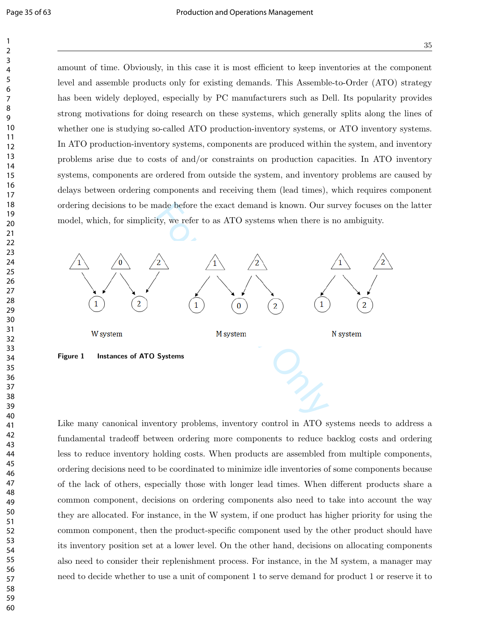amount of time. Obviously, in this case it is most efficient to keep inventories at the component level and assemble products only for existing demands. This Assemble-to-Order (ATO) strategy has been widely deployed, especially by PC manufacturers such as Dell. Its popularity provides strong motivations for doing research on these systems, which generally splits along the lines of whether one is studying so-called ATO production-inventory systems, or ATO inventory systems. In ATO production-inventory systems, components are produced within the system, and inventory problems arise due to costs of and/or constraints on production capacities. In ATO inventory systems, components are ordered from outside the system, and inventory problems are caused by delays between ordering components and receiving them (lead times), which requires component ordering decisions to be made before the exact demand is known. Our survey focuses on the latter model, which, for simplicity, we refer to as ATO systems when there is no ambiguity.



Like many canonical inventory problems, inventory control in ATO systems needs to address a fundamental tradeoff between ordering more components to reduce backlog costs and ordering less to reduce inventory holding costs. When products are assembled from multiple components, ordering decisions need to be coordinated to minimize idle inventories of some components because of the lack of others, especially those with longer lead times. When different products share a common component, decisions on ordering components also need to take into account the way they are allocated. For instance, in the W system, if one product has higher priority for using the common component, then the product-specific component used by the other product should have its inventory position set at a lower level. On the other hand, decisions on allocating components also need to consider their replenishment process. For instance, in the M system, a manager may need to decide whether to use a unit of component 1 to serve demand for product 1 or reserve it to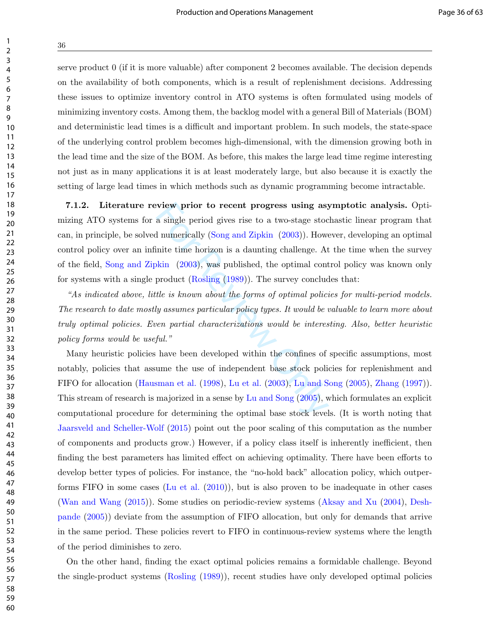serve product 0 (if it is more valuable) after component 2 becomes available. The decision depends on the availability of both components, which is a result of replenishment decisions. Addressing these issues to optimize inventory control in ATO systems is often formulated using models of minimizing inventory costs. Among them, the backlog model with a general Bill of Materials (BOM) and deterministic lead times is a difficult and important problem. In such models, the state-space of the underlying control problem becomes high-dimensional, with the dimension growing both in the lead time and the size of the BOM. As before, this makes the large lead time regime interesting not just as in many applications it is at least moderately large, but also because it is exactly the setting of large lead times in which methods such as dynamic programming become intractable.

**Example 2018** assumpt and single period gives rise to a two-stage stoc a single period gives rise to a two-stage stoc a humerically (Song and Zipkin (2003)). Howeven intervalled the interval contraport (Rosling (1989)). 7.1.2. Literature review prior to recent progress using asymptotic analysis. Optimizing ATO systems for a single period gives rise to a two-stage stochastic linear program that can, in principle, be solved numerically (Song and Zipkin (2003)). However, developing an optimal control policy over an infinite time horizon is a daunting challenge. At the time when the survey of the field, Song and Zipkin (2003), was published, the optimal control policy was known only for systems with a single product (Rosling (1989)). The survey concludes that:

"As indicated above, little is known about the forms of optimal policies for multi-period models. The research to date mostly assumes particular policy types. It would be valuable to learn more about truly optimal policies. Even partial characterizations would be interesting. Also, better heuristic policy forms would be useful."

Many heuristic policies have been developed within the confines of specific assumptions, most notably, policies that assume the use of independent base stock policies for replenishment and FIFO for allocation (Hausman et al. (1998), Lu et al. (2003), Lu and Song (2005), Zhang (1997)). This stream of research is majorized in a sense by Lu and Song (2005), which formulates an explicit computational procedure for determining the optimal base stock levels. (It is worth noting that Jaarsveld and Scheller-Wolf (2015) point out the poor scaling of this computation as the number of components and products grow.) However, if a policy class itself is inherently inefficient, then finding the best parameters has limited effect on achieving optimality. There have been efforts to develop better types of policies. For instance, the "no-hold back" allocation policy, which outperforms FIFO in some cases (Lu et al. (2010)), but is also proven to be inadequate in other cases (Wan and Wang (2015)). Some studies on periodic-review systems (Aksay and Xu (2004), Deshpande (2005)) deviate from the assumption of FIFO allocation, but only for demands that arrive in the same period. These policies revert to FIFO in continuous-review systems where the length of the period diminishes to zero.

On the other hand, finding the exact optimal policies remains a formidable challenge. Beyond the single-product systems (Rosling (1989)), recent studies have only developed optimal policies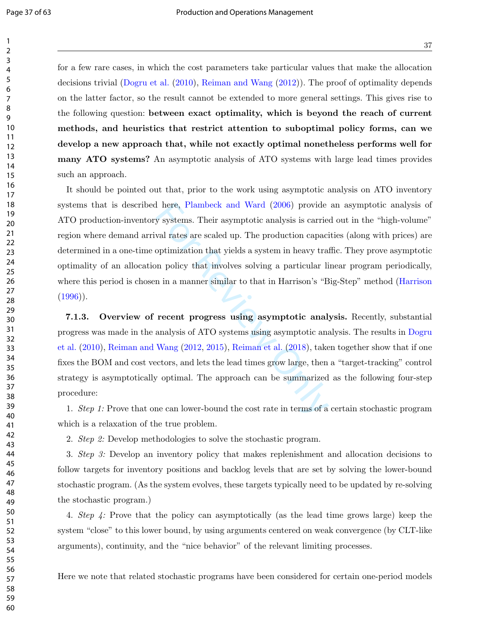for a few rare cases, in which the cost parameters take particular values that make the allocation decisions trivial (Dogru et al. (2010), Reiman and Wang (2012)). The proof of optimality depends on the latter factor, so the result cannot be extended to more general settings. This gives rise to the following question: between exact optimality, which is beyond the reach of current methods, and heuristics that restrict attention to suboptimal policy forms, can we develop a new approach that, while not exactly optimal nonetheless performs well for many ATO systems? An asymptotic analysis of ATO systems with large lead times provides such an approach.

I here, Plambeck and Ward  $(2006)$  provide<br>y systems. Their asymptotic analysis is carried<br>val rates are scaled up. The production capaci<br>optimization that yields a system in heavy trat<br>n policy that involves solving a pa It should be pointed out that, prior to the work using asymptotic analysis on ATO inventory systems that is described here, Plambeck and Ward (2006) provide an asymptotic analysis of ATO production-inventory systems. Their asymptotic analysis is carried out in the "high-volume" region where demand arrival rates are scaled up. The production capacities (along with prices) are determined in a one-time optimization that yields a system in heavy traffic. They prove asymptotic optimality of an allocation policy that involves solving a particular linear program periodically, where this period is chosen in a manner similar to that in Harrison's "Big-Step" method (Harrison  $(1996)$ .

7.1.3. Overview of recent progress using asymptotic analysis. Recently, substantial progress was made in the analysis of ATO systems using asymptotic analysis. The results in Dogru et al. (2010), Reiman and Wang (2012 , 2015), Reiman et al. (2018), taken together show that if one fixes the BOM and cost vectors, and lets the lead times grow large, then a "target-tracking" control strategy is asymptotically optimal. The approach can be summarized as the following four-step procedure:

1. Step 1: Prove that one can lower-bound the cost rate in terms of a certain stochastic program which is a relaxation of the true problem.

2. Step 2: Develop methodologies to solve the stochastic program.

3. Step 3: Develop an inventory policy that makes replenishment and allocation decisions to follow targets for inventory positions and backlog levels that are set by solving the lower-bound stochastic program. (As the system evolves, these targets typically need to be updated by re-solving the stochastic program.)

4. Step 4: Prove that the policy can asymptotically (as the lead time grows large) keep the system "close" to this lower bound, by using arguments centered on weak convergence (by CLT-like arguments), continuity, and the "nice behavior" of the relevant limiting processes.

Here we note that related stochastic programs have been considered for certain one-period models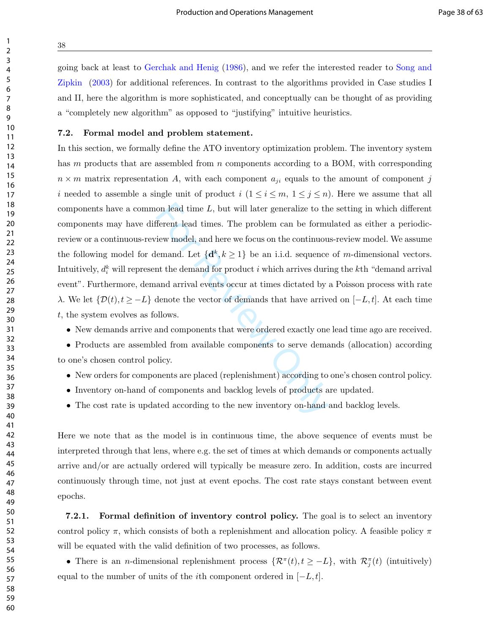going back at least to Gerchak and Henig (1986), and we refer the interested reader to Song and Zipkin (2003) for additional references. In contrast to the algorithms provided in Case studies I and II, here the algorithm is more sophisticated, and conceptually can be thought of as providing a "completely new algorithm" as opposed to "justifying" intuitive heuristics.

## 7.2. Formal model and problem statement.

on lead time  $L$ , but will later generalize to therefore the defined times. The problem can be formulative model, and here we focus on the continuou emand. Let  $\{d^k, k \geq 1\}$  be an i.i.d. sequence that the demand for pr In this section, we formally define the ATO inventory optimization problem. The inventory system has m products that are assembled from n components according to a BOM, with corresponding  $n \times m$  matrix representation A, with each component  $a_{ji}$  equals to the amount of component j i needed to assemble a single unit of product  $i$   $(1 \leq i \leq m, 1 \leq j \leq n)$ . Here we assume that all components have a common lead time  $L$ , but will later generalize to the setting in which different components may have different lead times. The problem can be formulated as either a periodicreview or a continuous-review model, and here we focus on the continuous-review model. We assume the following model for demand. Let  $\{d^k, k \geq 1\}$  be an i.i.d. sequence of m-dimensional vectors. Intuitively,  $d_i^k$  will represent the demand for product i which arrives during the kth "demand arrival" event". Furthermore, demand arrival events occur at times dictated by a Poisson process with rate λ. We let  $\{\mathcal{D}(t), t \geq -L\}$  denote the vector of demands that have arrived on  $[-L, t]$ . At each time t, the system evolves as follows.

• New demands arrive and components that were ordered exactly one lead time ago are received.

• Products are assembled from available components to serve demands (allocation) according to one's chosen control policy.

- New orders for components are placed (replenishment) according to one's chosen control policy.
- Inventory on-hand of components and backlog levels of products are updated.
- The cost rate is updated according to the new inventory on-hand and backlog levels.

Here we note that as the model is in continuous time, the above sequence of events must be interpreted through that lens, where e.g. the set of times at which demands or components actually arrive and/or are actually ordered will typically be measure zero. In addition, costs are incurred continuously through time, not just at event epochs. The cost rate stays constant between event epochs.

7.2.1. Formal definition of inventory control policy. The goal is to select an inventory control policy  $\pi$ , which consists of both a replenishment and allocation policy. A feasible policy  $\pi$ will be equated with the valid definition of two processes, as follows.

• There is an *n*-dimensional replenishment process  $\{ \mathcal{R}^{\pi}(t), t \geq -L \}$ , with  $\mathcal{R}_{j}^{\pi}(t)$  (intuitively) equal to the number of units of the *i*th component ordered in  $[-L, t]$ .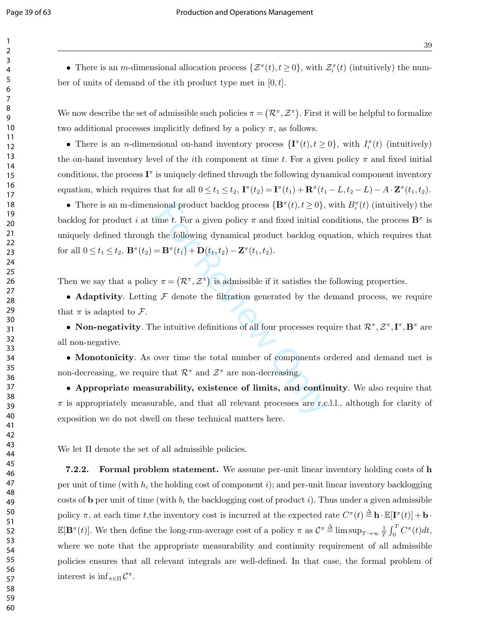• There is an *m*-dimensional allocation process  $\{\mathcal{Z}^{\pi}(t), t \geq 0\}$ , with  $\mathcal{Z}^{\pi}_i(t)$  (intuitively) the number of units of demand of the *i*<sup>th</sup> product type met in  $[0, t]$ .

We now describe the set of admissible such policies  $\pi = (\mathcal{R}^{\pi}, \mathcal{Z}^{\pi})$ . First it will be helpful to formalize two additional processes implicitly defined by a policy  $\pi$ , as follows.

• There is an *n*-dimensional on-hand inventory process  $\{\mathbf I^\pi(t), t \geq 0\}$ , with  $I_i^\pi(t)$  (intuitively) the on-hand inventory level of the *i*th component at time t. For a given policy  $\pi$  and fixed initial conditions, the process  $I^{\pi}$  is uniquely defined through the following dynamical component inventory equation, which requires that for all  $0 \le t_1 \le t_2$ ,  $\mathbf{I}^{\pi}(t_2) = \mathbf{I}^{\pi}(t_1) + \mathbf{R}^{\pi}(t_1 - L, t_2 - L) - A \cdot \mathbf{Z}^{\pi}(t_1, t_2)$ .

ional product backlog process  $\{ \mathbf{B}^{\pi}(t), t \geq 0 \}$ , view the following dynamical product backlog equences  $\mathbf{B}^{\pi}(t)$ ,  $t \geq 0$  and fixed initial compared the following dynamical product backlog equences  $\pi = (\mathcal{R}$ • There is an m-dimensional product backlog process  $\{B^{\pi}(t), t \ge 0\}$ , with  $B_i^{\pi}(t)$  (intuitively) the backlog for product i at time t. For a given policy  $\pi$  and fixed initial conditions, the process  $\mathbf{B}^{\pi}$  is uniquely defined through the following dynamical product backlog equation, which requires that for all  $0 \le t_1 \le t_2$ ,  $\mathbf{B}^{\pi}(t_2) = \mathbf{B}^{\pi}(t_1) + \mathbf{D}(t_1, t_2) - \mathbf{Z}^{\pi}(t_1, t_2)$ .

Then we say that a policy  $\pi = (\mathcal{R}^{\pi}, \mathcal{Z}^{\pi})$  is admissible if it satisfies the following properties.

• Adaptivity. Letting  $\mathcal F$  denote the filtration generated by the demand process, we require that  $\pi$  is adapted to  $\mathcal{F}.$ 

• Non-negativity. The intuitive definitions of all four processes require that  $\mathcal{R}^{\pi}, \mathcal{Z}^{\pi}, \mathbf{I}^{\pi}, \mathbf{B}^{\pi}$  are all non-negative.

• Monotonicity. As over time the total number of components ordered and demand met is non-decreasing, we require that  $\mathcal{R}^{\pi}$  and  $\mathcal{Z}^{\pi}$  are non-decreasing.

• Appropriate measurability, existence of limits, and continuity. We also require that  $\pi$  is appropriately measurable, and that all relevant processes are r.c.l.l., although for clarity of exposition we do not dwell on these technical matters here.

We let Π denote the set of all admissible policies.

7.2.2. Formal problem statement. We assume per-unit linear inventory holding costs of h per unit of time (with  $h_i$  the holding cost of component i); and per-unit linear inventory backlogging costs of **b** per unit of time (with  $b_i$  the backlogging cost of product i). Thus under a given admissible policy  $\pi$ , at each time t, the inventory cost is incurred at the expected rate  $C^{\pi}(t) \stackrel{\Delta}{=} \mathbf{h} \cdot \mathbb{E}[\mathbf{I}^{\pi}(t)] + \mathbf{b} \cdot$  $\mathbb{E}[\mathbf{B}^\pi(t)]$ . We then define the long-run-average cost of a policy  $\pi$  as  $\mathcal{C}^\pi \stackrel{\Delta}{=} \limsup_{T \to \infty} \frac{1}{T}$  $\frac{1}{T} \int_0^T$  $\int_0^T C^{\pi}(t) dt$ , where we note that the appropriate measurability and continuity requirement of all admissible policies ensures that all relevant integrals are well-defined. In that case, the formal problem of interest is  $\inf_{\pi \in \Pi} C^{\pi}$ .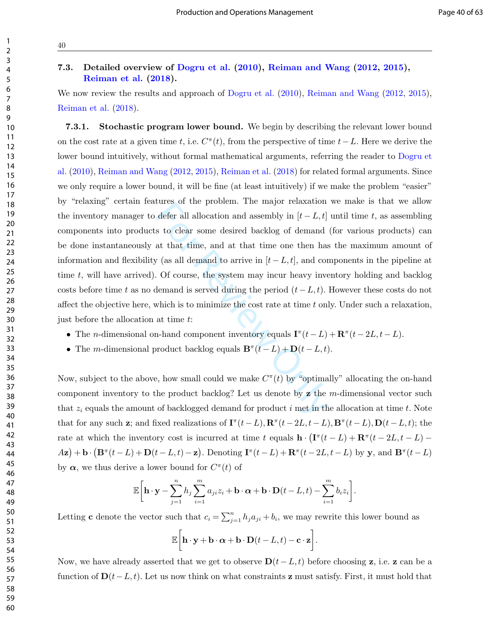## 7.3. Detailed overview of Dogru et al. (2010), Reiman and Wang (2012, 2015), Reiman et al. (2018).

We now review the results and approach of Dogru et al. (2010), Reiman and Wang (2012, 2015), Reiman et al. (2018).

defer all allocation and assembly in  $[t-L,t]$ <br>s to clear some desired backlog of demand<br>at that time, and at that time one then has<br> $r$  (as all demand to arrive in  $[t-L,t]$ , and cor<br>. Of course, the system may incur heavy inv 7.3.1. Stochastic program lower bound. We begin by describing the relevant lower bound on the cost rate at a given time t, i.e.  $C^{\pi}(t)$ , from the perspective of time  $t - L$ . Here we derive the lower bound intuitively, without formal mathematical arguments, referring the reader to Dogru et al. (2010), Reiman and Wang (2012, 2015), Reiman et al. (2018) for related formal arguments. Since we only require a lower bound, it will be fine (at least intuitively) if we make the problem "easier" by "relaxing" certain features of the problem. The major relaxation we make is that we allow the inventory manager to defer all allocation and assembly in  $[t - L, t]$  until time t, as assembling components into products to clear some desired backlog of demand (for various products) can be done instantaneously at that time, and at that time one then has the maximum amount of information and flexibility (as all demand to arrive in  $[t-L, t]$ , and components in the pipeline at time t, will have arrived). Of course, the system may incur heavy inventory holding and backlog costs before time t as no demand is served during the period  $(t-L, t)$ . However these costs do not affect the objective here, which is to minimize the cost rate at time t only. Under such a relaxation, just before the allocation at time t:

- The *n*-dimensional on-hand component inventory equals  $\mathbf{I}^{\pi}(t-L) + \mathbf{R}^{\pi}(t-2L, t-L)$ .
- The *m*-dimensional product backlog equals  $\mathbf{B}^{\pi}(t-L)+\mathbf{D}(t-L,t)$ .

Now, subject to the above, how small could we make  $C^{\pi}(t)$  by "optimally" allocating the on-hand component inventory to the product backlog? Let us denote by z the m-dimensional vector such that  $z_i$  equals the amount of backlogged demand for product i met in the allocation at time t. Note that for any such z; and fixed realizations of  $\mathbf{I}^{\pi}(t-L), \mathbf{R}^{\pi}(t-2L, t-L), \mathbf{B}^{\pi}(t-L), \mathbf{D}(t-L, t)$ ; the rate at which the inventory cost is incurred at time t equals  $\mathbf{h} \cdot (\mathbf{I}^{\pi}(t-L) + \mathbf{R}^{\pi}(t-2L,t-L) A\mathbf{z}$  + b ·  $(\mathbf{B}^{\pi}(t-L)+\mathbf{D}(t-L,t)-\mathbf{z})$ . Denoting  $\mathbf{I}^{\pi}(t-L)+\mathbf{R}^{\pi}(t-2L,t-L)$  by y, and  $\mathbf{B}^{\pi}(t-L)$ by  $\alpha$ , we thus derive a lower bound for  $C^{\pi}(t)$  of

$$
\mathbb{E}\bigg[\mathbf{h}\cdot\mathbf{y}-\sum_{j=1}^n h_j\sum_{i=1}^m a_{ji}z_i+\mathbf{b}\cdot\boldsymbol{\alpha}+\mathbf{b}\cdot\mathbf{D}(t-L,t)-\sum_{i=1}^m b_iz_i\bigg].
$$

Letting **c** denote the vector such that  $c_i = \sum_{j=1}^n h_j a_{ji} + b_i$ , we may rewrite this lower bound as

$$
\mathbb{E}\bigg[\mathbf{h}\cdot\mathbf{y}+\mathbf{b}\cdot\boldsymbol{\alpha}+\mathbf{b}\cdot\mathbf{D}(t-L,t)-\mathbf{c}\cdot\mathbf{z}\bigg].
$$

Now, we have already asserted that we get to observe  $D(t-L,t)$  before choosing z, i.e. z can be a function of  $\mathbf{D}(t-L,t)$ . Let us now think on what constraints **z** must satisfy. First, it must hold that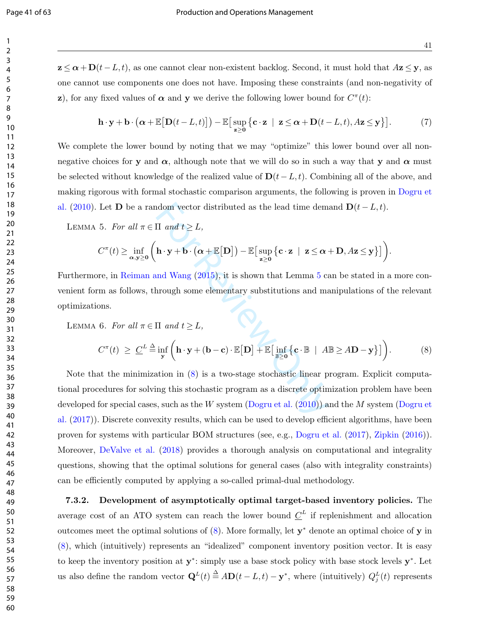$z \le \alpha + D(t - L, t)$ , as one cannot clear non-existent backlog. Second, it must hold that  $Az \le y$ , as one cannot use components one does not have. Imposing these constraints (and non-negativity of z), for any fixed values of  $\alpha$  and y we derive the following lower bound for  $C^{\pi}(t)$ :

$$
\mathbf{h} \cdot \mathbf{y} + \mathbf{b} \cdot (\boldsymbol{\alpha} + \mathbb{E}\big[\mathbf{D}(t-L,t)\big]) - \mathbb{E}\big[\sup_{\mathbf{z} \ge \mathbf{0}} \big\{\mathbf{c} \cdot \mathbf{z} \mid \mathbf{z} \le \boldsymbol{\alpha} + \mathbf{D}(t-L,t), A\mathbf{z} \le \mathbf{y}\big\}\big].\tag{7}
$$

We complete the lower bound by noting that we may "optimize" this lower bound over all nonnegative choices for y and  $\alpha$ , although note that we will do so in such a way that y and  $\alpha$  must be selected without knowledge of the realized value of  $D(t-L,t)$ . Combining all of the above, and making rigorous with formal stochastic comparison arguments, the following is proven in Dogru et al. (2010). Let **D** be a random vector distributed as the lead time demand  $D(t-L,t)$ .

LEMMA 5. For all  $\pi \in \Pi$  and  $t \geq L$ ,

$$
C^{\pi}(t) \geq \inf_{\alpha, \mathbf{y} \geq \mathbf{0}} \left( \mathbf{h} \cdot \mathbf{y} + \mathbf{b} \cdot (\alpha + \mathbb{E}[\mathbf{D}]) - \mathbb{E} \left[ \sup_{\mathbf{z} \geq \mathbf{0}} \left\{ \mathbf{c} \cdot \mathbf{z} \mid \mathbf{z} \leq \alpha + \mathbf{D}, A \mathbf{z} \leq \mathbf{y} \right\} \right] \right).
$$

Furthermore, in Reiman and Wang (2015), it is shown that Lemma 5 can be stated in a more convenient form as follows, through some elementary substitutions and manipulations of the relevant optimizations.

LEMMA 6. For all  $\pi \in \Pi$  and  $t \geq L$ ,

$$
C^{\pi}(t) \geq \underline{C}^{L} \stackrel{\Delta}{=} \inf_{\mathbf{y}} \left( \mathbf{h} \cdot \mathbf{y} + (\mathbf{b} - \mathbf{c}) \cdot \mathbb{E}[\mathbf{D}] + \mathbb{E} \left[ \inf_{\mathbb{B} \geq 0} \left\{ \mathbf{c} \cdot \mathbb{B} \mid A \mathbb{B} \geq A \mathbf{D} - \mathbf{y} \right\} \right] \right).
$$
 (8)

Moreover distributed as the lead time deminds<br>  $\Pi$  and  $t \geq L$ ,<br>  $\mathbf{h} \cdot \mathbf{y} + \mathbf{b} \cdot (\boldsymbol{\alpha} + \mathbb{E}[\mathbf{D}]) - \mathbb{E}[\sup_{\mathbf{z} \geq 0} {\{\mathbf{c} \cdot \mathbf{z} \mid \mathbf{z} \leq \boldsymbol{\alpha} \}}]$ <br>
and Wang (2015), it is shown that Lemma 5 can<br>
arou Note that the minimization in (8) is a two-stage stochastic linear program. Explicit computational procedures for solving this stochastic program as a discrete optimization problem have been developed for special cases, such as the W system (Dogru et al.  $(2010)$ ) and the M system (Dogru et al. (2017)). Discrete convexity results, which can be used to develop efficient algorithms, have been proven for systems with particular BOM structures (see, e.g., Dogru et al.  $(2017)$ , Zipkin  $(2016)$ ). Moreover, DeValve et al. (2018) provides a thorough analysis on computational and integrality questions, showing that the optimal solutions for general cases (also with integrality constraints) can be efficiently computed by applying a so-called primal-dual methodology.

7.3.2. Development of asymptotically optimal target-based inventory policies. The average cost of an ATO system can reach the lower bound  $\underline{C}^L$  if replenishment and allocation outcomes meet the optimal solutions of  $(8)$ . More formally, let  $y^*$  denote an optimal choice of y in ( 8), which (intuitively) represents an "idealized" component inventory position vector. It is easy to keep the inventory position at y<sup>\*</sup>: simply use a base stock policy with base stock levels y<sup>\*</sup>. Let us also define the random vector  $\mathbf{Q}^L(t) \stackrel{\Delta}{=} A\mathbf{D}(t-L,t) - \mathbf{y}^*$ , where (intuitively)  $Q_j^L(t)$  represents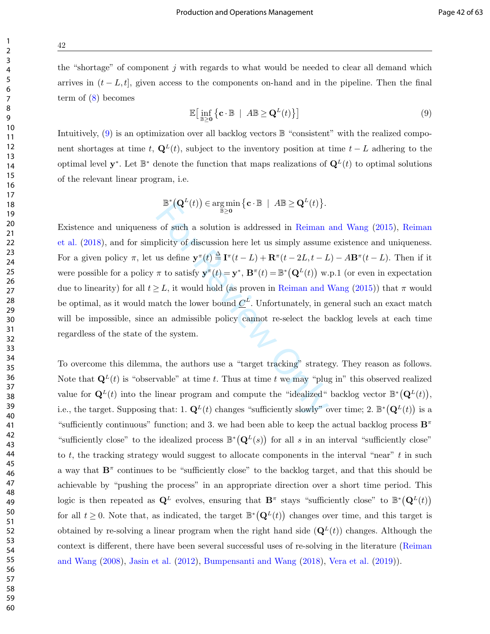the "shortage" of component  $j$  with regards to what would be needed to clear all demand which arrives in  $(t - L, t]$ , given access to the components on-hand and in the pipeline. Then the final term of (8) becomes

$$
\mathbb{E}\left[\inf_{\mathbb{B}\geq\mathbf{0}}\left\{\mathbf{c}\cdot\mathbb{B} \mid A\mathbb{B}\geq\mathbf{Q}^{L}(t)\right\}\right]
$$
\n(9)

Intuitively,  $(9)$  is an optimization over all backlog vectors  $\mathbb B$  "consistent" with the realized component shortages at time t,  $\mathbf{Q}^{L}(t)$ , subject to the inventory position at time  $t - L$  adhering to the optimal level  $\mathbf{y}^*$ . Let  $\mathbb{B}^*$  denote the function that maps realizations of  $\mathbf{Q}^L(t)$  to optimal solutions of the relevant linear program, i.e.

$$
\mathbb{B}^{\ast}\big(\mathbf{Q}^{L}(t)\big) \in \underset{\mathbb{B}\geq \mathbf{0}}{\arg \min} \big\{\mathbf{c} \cdot \mathbb{B} \ \mid \ A \mathbb{B} \geq \mathbf{Q}^{L}(t)\big\}.
$$

 $\mathbb{B}(\mathbf{Q}^{-}(t)) \in \mathop{\arg\min}_{\mathbb{B}\geq 0} \{\mathbf{C} \cdot \mathbb{B} \mid A \mathbb{B} \geq \mathbf{Q}^{-}(t)\}.$ <br>
So f such a solution is addressed in Reiman and<br>
solicity of discussion here let us simply assume<br>
us define  $\mathbf{y}^{\pi}(t) \stackrel{\Delta}{=} \mathbf{I}^{\pi}(t-L)$ Existence and uniqueness of such a solution is addressed in Reiman and Wang (2015), Reiman et al. (2018), and for simplicity of discussion here let us simply assume existence and uniqueness. For a given policy  $\pi$ , let us define  $y^{\pi}(t) \stackrel{\Delta}{=} \mathbf{I}^{\pi}(t-L) + \mathbf{R}^{\pi}(t-2L,t-L) - A\mathbf{B}^{\pi}(t-L)$ . Then if it were possible for a policy  $\pi$  to satisfy  $y^{\pi}(t) = y^*$ ,  $\mathbf{B}^{\pi}(t) = \mathbb{B}^*(\mathbf{Q}^L(t))$  w.p.1 (or even in expectation due to linearity) for all  $t \geq L$ , it would hold (as proven in Reiman and Wang (2015)) that  $\pi$  would be optimal, as it would match the lower bound  $C^L$ . Unfortunately, in general such an exact match will be impossible, since an admissible policy cannot re-select the backlog levels at each time regardless of the state of the system.

To overcome this dilemma, the authors use a "target tracking" strategy. They reason as follows. Note that  $\mathbf{Q}^{L}(t)$  is "observable" at time t. Thus at time t we may "plug in" this observed realized value for  $\mathbf{Q}^{L}(t)$  into the linear program and compute the "idealized" backlog vector  $\mathbb{B}^{*}(\mathbf{Q}^{L}(t)),$ i.e., the target. Supposing that: 1.  $\mathbf{Q}^{L}(t)$  changes "sufficiently slowly" over time; 2.  $\mathbb{B}^{*}(\mathbf{Q}^{L}(t))$  is a "sufficiently continuous" function; and 3. we had been able to keep the actual backlog process  $\mathbf{B}^{\pi}$ "sufficiently close" to the idealized process  $\mathbb{B}^*(\mathbf{Q}^L(s))$  for all s in an interval "sufficiently close" to  $t$ , the tracking strategy would suggest to allocate components in the interval "near"  $t$  in such a way that  $\mathbf{B}^{\pi}$  continues to be "sufficiently close" to the backlog target, and that this should be achievable by "pushing the process" in an appropriate direction over a short time period. This logic is then repeated as  $\mathbf{Q}^L$  evolves, ensuring that  $\mathbf{B}^{\pi}$  stays "sufficiently close" to  $\mathbb{B}^*(\mathbf{Q}^L(t))$ for all  $t \geq 0$ . Note that, as indicated, the target  $\mathbb{B}^*(\mathbf{Q}^L(t))$  changes over time, and this target is obtained by re-solving a linear program when the right hand side  $(Q<sup>L</sup>(t))$  changes. Although the context is different, there have been several successful uses of re-solving in the literature (Reiman and Wang (2008), Jasin et al. (2012), Bumpensanti and Wang (2018), Vera et al. (2019)).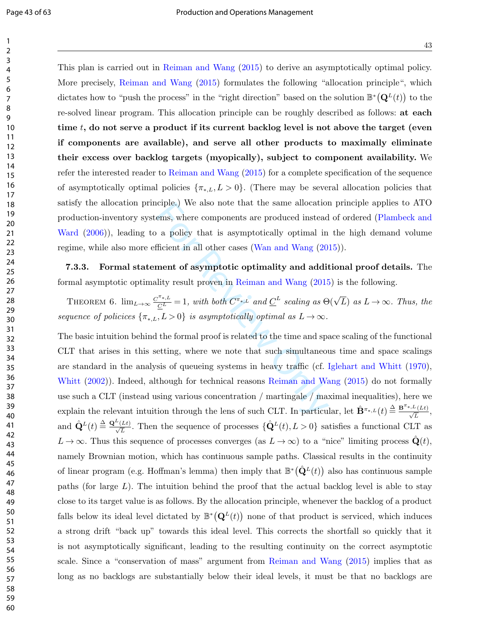This plan is carried out in Reiman and Wang (2015) to derive an asymptotically optimal policy. More precisely, Reiman and Wang (2015) formulates the following "allocation principle", which dictates how to "push the process" in the "right direction" based on the solution  $\mathbb{B}^*(\mathbf{Q}^L(t))$  to the re-solved linear program. This allocation principle can be roughly described as follows: at each time t, do not serve a product if its current backlog level is not above the target (even if components are available), and serve all other products to maximally eliminate their excess over backlog targets (myopically), subject to component availability. We refer the interested reader to Reiman and Wang  $(2015)$  for a complete specification of the sequence of asymptotically optimal policies  $\{\pi_{*,L}, L > 0\}$ . (There may be several allocation policies that satisfy the allocation principle.) We also note that the same allocation principle applies to ATO production-inventory systems, where components are produced instead of ordered (Plambeck and Ward  $(2006)$ ), leading to a policy that is asymptotically optimal in the high demand volume regime, while also more efficient in all other cases (Wan and Wang  $(2015)$ ).

7.3.3. Formal statement of asymptotic optimality and additional proof details. The formal asymptotic optimality result proven in Reiman and Wang (2015) is the following.

THEOREM 6.  $\lim_{L\to\infty}\frac{C^{\pi_{*,L}}}{C^L}=1$ , with both  $C^{\pi_{*,L}}$  and  $C^L$  scaling as  $\Theta$ √ L) as  $L \rightarrow \infty$ . Thus, the sequence of policices  $\{\pi_{*,L}, L > 0\}$  is asymptotically optimal as  $L \to \infty$ .

ecipie.) we also note that the same allocation<br>ems, where components are produced instead<br>a policy that is asymptotically optimal in<br>fficient in all other cases (Wan and Wang (20)<br>ment of asymptotic optimality and addit<br>l The basic intuition behind the formal proof is related to the time and space scaling of the functional CLT that arises in this setting, where we note that such simultaneous time and space scalings are standard in the analysis of queueing systems in heavy traffic (cf. Iglehart and Whitt (1970), Whitt (2002)). Indeed, although for technical reasons Reiman and Wang (2015) do not formally use such a CLT (instead using various concentration / martingale / maximal inequalities), here we explain the relevant intuition through the lens of such CLT. In particular, let  $\hat{\mathbf{B}}^{\pi_{*,L}}(t) \stackrel{\Delta}{=} \frac{\mathbf{B}^{\pi_{*,L}}(Lt)}{\sqrt{L}},$ and  $\hat{\mathbf{Q}}^{L}(t) \triangleq \frac{\mathbf{Q}^{L}(Lt)}{\sqrt{L}}$ . Then the sequence of processes  $\{\hat{\mathbf{Q}}^{L}(t), L > 0\}$  satisfies a functional CLT as  $L \to \infty$ . Thus this sequence of processes converges (as  $L \to \infty$ ) to a "nice" limiting process  $\hat{\mathbf{Q}}(t)$ , namely Brownian motion, which has continuous sample paths. Classical results in the continuity of linear program (e.g. Hoffman's lemma) then imply that  $\mathbb{B}^*(\hat{\mathbf{Q}}^L(t))$  also has continuous sample paths (for large L). The intuition behind the proof that the actual backlog level is able to stay close to its target value is as follows. By the allocation principle, whenever the backlog of a product falls below its ideal level dictated by  $\mathbb{B}^*(\mathbf{Q}^L(t))$  none of that product is serviced, which induces a strong drift "back up" towards this ideal level. This corrects the shortfall so quickly that it is not asymptotically significant, leading to the resulting continuity on the correct asymptotic scale. Since a "conservation of mass" argument from Reiman and Wang (2015) implies that as long as no backlogs are substantially below their ideal levels, it must be that no backlogs are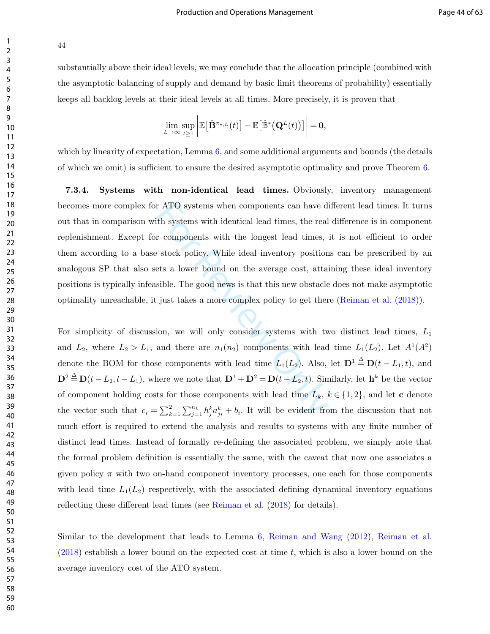substantially above their ideal levels, we may conclude that the allocation principle (combined with the asymptotic balancing of supply and demand by basic limit theorems of probability) essentially keeps all backlog levels at their ideal levels at all times. More precisely, it is proven that

$$
\lim_{L\to\infty}\sup_{t\geq 1}\bigg|\mathbb{E}\big[\hat{\mathbf{B}}^{\pi_{*,L}}(t)\big]-\mathbb{E}\big[\hat{\mathbb{B}}^*\big(\mathbf{Q}^L(t)\big)\big]\bigg|=0,
$$

which by linearity of expectation, Lemma 6, and some additional arguments and bounds (the details of which we omit) is sufficient to ensure the desired asymptotic optimality and prove Theorem 6.

r ATO systems when components can have difth systems with identical lead times, the real<br>
r components with the longest lead times,<br>
e stock policy. While ideal inventory position<br>
ets a lower bound on the average cost, a 7.3.4. Systems with non-identical lead times. Obviously, inventory management becomes more complex for ATO systems when components can have different lead times. It turns out that in comparison with systems with identical lead times, the real difference is in component replenishment. Except for components with the longest lead times, it is not efficient to order them according to a base stock policy. While ideal inventory positions can be prescribed by an analogous SP that also sets a lower bound on the average cost, attaining these ideal inventory positions is typically infeasible. The good news is that this new obstacle does not make asymptotic optimality unreachable, it just takes a more complex policy to get there (Reiman et al. (2018)).

For simplicity of discussion, we will only consider systems with two distinct lead times,  $L_1$ and  $L_2$ , where  $L_2 > L_1$ , and there are  $n_1(n_2)$  components with lead time  $L_1(L_2)$ . Let  $A^1(A^2)$ denote the BOM for those components with lead time  $L_1(L_2)$ . Also, let  $\mathbf{D}^1 \triangleq \mathbf{D}(t - L_1, t)$ , and  $\mathbf{D}^2 \stackrel{\Delta}{=} \mathbf{D}(t - L_2, t - L_1)$ , where we note that  $\mathbf{D}^1 + \mathbf{D}^2 = \mathbf{D}(t - L_2, t)$ . Similarly, let  $\mathbf{h}^k$  be the vector of component holding costs for those components with lead time  $L_k$ ,  $k \in \{1,2\}$ , and let **c** denote the vector such that  $c_i = \sum_{k=1}^2 \sum_{j=1}^{n_k} h_j^k a_{ji}^k + b_i$ . It will be evident from the discussion that not much effort is required to extend the analysis and results to systems with any finite number of distinct lead times. Instead of formally re-defining the associated problem, we simply note that the formal problem definition is essentially the same, with the caveat that now one associates a given policy  $\pi$  with two on-hand component inventory processes, one each for those components with lead time  $L_1(L_2)$  respectively, with the associated defining dynamical inventory equations reflecting these different lead times (see Reiman et al. (2018) for details).

Similar to the development that leads to Lemma 6, Reiman and Wang (2012), Reiman et al.  $(2018)$  establish a lower bound on the expected cost at time t, which is also a lower bound on the average inventory cost of the ATO system.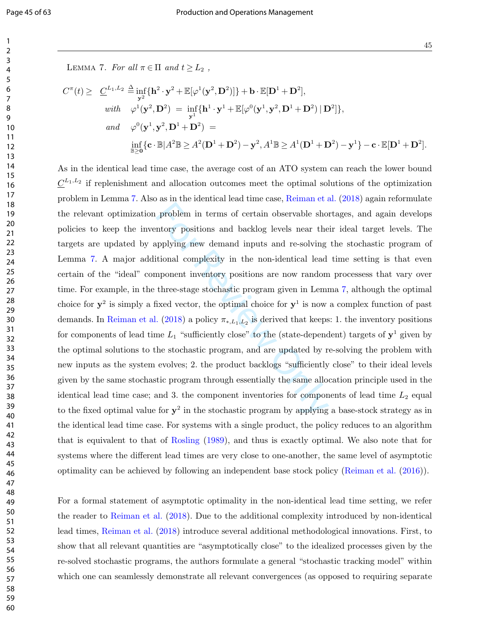LEMMA 7. For all  $\pi \in \Pi$  and  $t \ge L_2$ ,

$$
C^{\pi}(t) \geq \underline{C}^{L_1, L_2} \stackrel{\Delta}{=} \inf_{\mathbf{y}^2} \{ \mathbf{h}^2 \cdot \mathbf{y}^2 + \mathbb{E}[\varphi^1(\mathbf{y}^2, \mathbf{D}^2)] \} + \mathbf{b} \cdot \mathbb{E}[\mathbf{D}^1 + \mathbf{D}^2],
$$
  
\nwith  $\varphi^1(\mathbf{y}^2, \mathbf{D}^2) = \inf_{\mathbf{y}^1} \{ \mathbf{h}^1 \cdot \mathbf{y}^1 + \mathbb{E}[\varphi^0(\mathbf{y}^1, \mathbf{y}^2, \mathbf{D}^1 + \mathbf{D}^2) | \mathbf{D}^2] \},$   
\nand  $\varphi^0(\mathbf{y}^1, \mathbf{y}^2, \mathbf{D}^1 + \mathbf{D}^2) =$   
\n $\inf_{\mathbb{B} \geq 0} \{ \mathbf{c} \cdot \mathbb{B} | A^2 \mathbb{B} \geq A^2(\mathbf{D}^1 + \mathbf{D}^2) - \mathbf{y}^2, A^1 \mathbb{B} \geq A^1(\mathbf{D}^1 + \mathbf{D}^2) - \mathbf{y}^1 \} - \mathbf{c} \cdot \mathbb{E}[\mathbf{D}^1 + \mathbf{D}^2].$ 

problem in terms of certain observable shountory positions and backlog levels near the<br>ppplying new demand inputs and re-solving<br>tional complexity in the non-identical lead<br>nponent inventory positions are now random<br>three As in the identical lead time case, the average cost of an ATO system can reach the lower bound  $\underline{C}^{L_1,L_2}$  if replenishment and allocation outcomes meet the optimal solutions of the optimization problem in Lemma 7. Also as in the identical lead time case, Reiman et al. (2018) again reformulate the relevant optimization problem in terms of certain observable shortages, and again develops policies to keep the inventory positions and backlog levels near their ideal target levels. The targets are updated by applying new demand inputs and re-solving the stochastic program of Lemma 7. A major additional complexity in the non-identical lead time setting is that even certain of the "ideal" component inventory positions are now random processess that vary over time. For example, in the three-stage stochastic program given in Lemma 7, although the optimal choice for  $y^2$  is simply a fixed vector, the optimal choice for  $y^1$  is now a complex function of past demands. In Reiman et al. (2018) a policy  $\pi_{*,L_1,L_2}$  is derived that keeps: 1. the inventory positions for components of lead time  $L_1$  "sufficiently close" to the (state-dependent) targets of  $y^1$  given by the optimal solutions to the stochastic program, and are updated by re-solving the problem with new inputs as the system evolves; 2. the product backlogs "sufficiently close" to their ideal levels given by the same stochastic program through essentially the same allocation principle used in the identical lead time case; and 3. the component inventories for components of lead time  $L_2$  equal to the fixed optimal value for  $y^2$  in the stochastic program by applying a base-stock strategy as in the identical lead time case. For systems with a single product, the policy reduces to an algorithm that is equivalent to that of Rosling (1989), and thus is exactly optimal. We also note that for systems where the different lead times are very close to one-another, the same level of asymptotic optimality can be achieved by following an independent base stock policy (Reiman et al. (2016)).

For a formal statement of asymptotic optimality in the non-identical lead time setting, we refer the reader to Reiman et al. (2018). Due to the additional complexity introduced by non-identical lead times, Reiman et al. (2018) introduce several additional methodological innovations. First, to show that all relevant quantities are "asymptotically close" to the idealized processes given by the re-solved stochastic programs, the authors formulate a general "stochastic tracking model" within which one can seamlessly demonstrate all relevant convergences (as opposed to requiring separate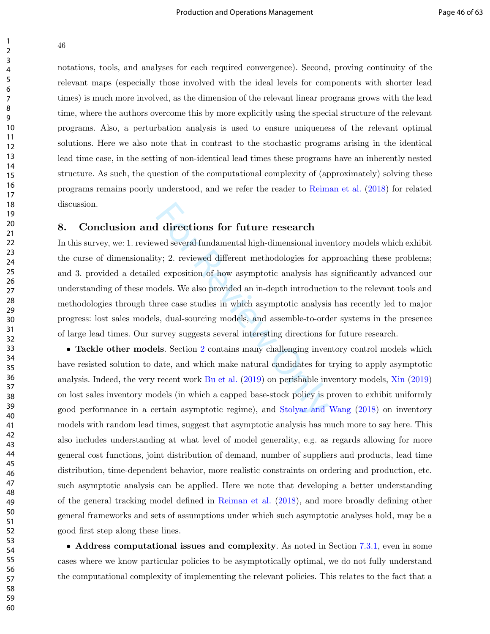notations, tools, and analyses for each required convergence). Second, proving continuity of the relevant maps (especially those involved with the ideal levels for components with shorter lead times) is much more involved, as the dimension of the relevant linear programs grows with the lead time, where the authors overcome this by more explicitly using the special structure of the relevant programs. Also, a perturbation analysis is used to ensure uniqueness of the relevant optimal solutions. Here we also note that in contrast to the stochastic programs arising in the identical lead time case, in the setting of non-identical lead times these programs have an inherently nested structure. As such, the question of the computational complexity of (approximately) solving these programs remains poorly understood, and we refer the reader to Reiman et al. (2018) for related discussion.

## 8. Conclusion and directions for future research

**directions for future research**<br>wed several fundamental high-dimensional inve<br>ty; 2. reviewed different methodologies for ap<br>d exposition of how asymptotic analysis has<br>dels. We also provided an in-depth introductic<br>ree c In this survey, we: 1. reviewed several fundamental high-dimensional inventory models which exhibit the curse of dimensionality; 2. reviewed different methodologies for approaching these problems; and 3. provided a detailed exposition of how asymptotic analysis has significantly advanced our understanding of these models. We also provided an in-depth introduction to the relevant tools and methodologies through three case studies in which asymptotic analysis has recently led to major progress: lost sales models, dual-sourcing models, and assemble-to-order systems in the presence of large lead times. Our survey suggests several interesting directions for future research.

• Tackle other models. Section 2 contains many challenging inventory control models which have resisted solution to date, and which make natural candidates for trying to apply asymptotic analysis. Indeed, the very recent work Bu et al. (2019) on perishable inventory models, Xin (2019) on lost sales inventory models (in which a capped base-stock policy is proven to exhibit uniformly good performance in a certain asymptotic regime), and Stolyar and Wang (2018) on inventory models with random lead times, suggest that asymptotic analysis has much more to say here. This also includes understanding at what level of model generality, e.g. as regards allowing for more general cost functions, joint distribution of demand, number of suppliers and products, lead time distribution, time-dependent behavior, more realistic constraints on ordering and production, etc. such asymptotic analysis can be applied. Here we note that developing a better understanding of the general tracking model defined in Reiman et al. (2018), and more broadly defining other general frameworks and sets of assumptions under which such asymptotic analyses hold, may be a good first step along these lines.

• Address computational issues and complexity. As noted in Section 7.3.1, even in some cases where we know particular policies to be asymptotically optimal, we do not fully understand the computational complexity of implementing the relevant policies. This relates to the fact that a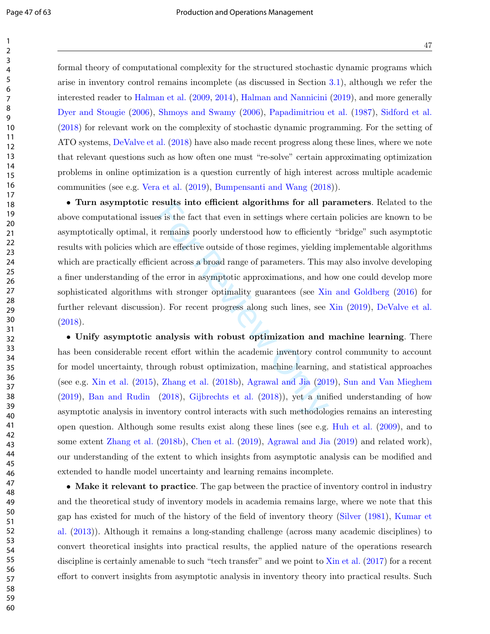formal theory of computational complexity for the structured stochastic dynamic programs which arise in inventory control remains incomplete (as discussed in Section 3.1), although we refer the interested reader to Halman et al. (2009 , 2014), Halman and Nannicini (2019), and more generally Dyer and Stougie (2006), Shmoys and Swamy (2006), Papadimitriou et al. (1987), Sidford et al. (2018) for relevant work on the complexity of stochastic dynamic programming. For the setting of ATO systems, DeValve et al. (2018) have also made recent progress along these lines, where we note that relevant questions such as how often one must "re-solve" certain approximating optimization problems in online optimization is a question currently of high interest across multiple academic communities (see e.g. Vera et al. (2019), Bumpensanti and Wang (2018)).

esurts into einclent agorithms for an pass is the fact that even in settings where certa are effective outside of those regimes, yielding ent across a broad range of parameters. This r he error in asymptotic approximations • Turn asymptotic results into efficient algorithms for all parameters. Related to the above computational issues is the fact that even in settings where certain policies are known to be asymptotically optimal, it remains poorly understood how to efficiently "bridge" such asymptotic results with policies which are effective outside of those regimes, yielding implementable algorithms which are practically efficient across a broad range of parameters. This may also involve developing a finer understanding of the error in asymptotic approximations, and how one could develop more sophisticated algorithms with stronger optimality guarantees (see Xin and Goldberg (2016) for further relevant discussion). For recent progress along such lines, see Xin (2019), DeValve et al. (2018).

• Unify asymptotic analysis with robust optimization and machine learning. There has been considerable recent effort within the academic inventory control community to account for model uncertainty, through robust optimization, machine learning, and statistical approaches (see e.g. Xin et al. (2015), Zhang et al. (2018b), Agrawal and Jia (2019), Sun and Van Mieghem (2019), Ban and Rudin (2018), Gijbrechts et al. (2018)), yet a unified understanding of how asymptotic analysis in inventory control interacts with such methodologies remains an interesting open question. Although some results exist along these lines (see e.g. Huh et al. (2009), and to some extent Zhang et al. (2018b), Chen et al. (2019), Agrawal and Jia (2019) and related work), our understanding of the extent to which insights from asymptotic analysis can be modified and extended to handle model uncertainty and learning remains incomplete.

• Make it relevant to practice. The gap between the practice of inventory control in industry and the theoretical study of inventory models in academia remains large, where we note that this gap has existed for much of the history of the field of inventory theory (Silver (1981), Kumar et al. (2013)). Although it remains a long-standing challenge (across many academic disciplines) to convert theoretical insights into practical results, the applied nature of the operations research discipline is certainly amenable to such "tech transfer" and we point to Xin et al. (2017) for a recent effort to convert insights from asymptotic analysis in inventory theory into practical results. Such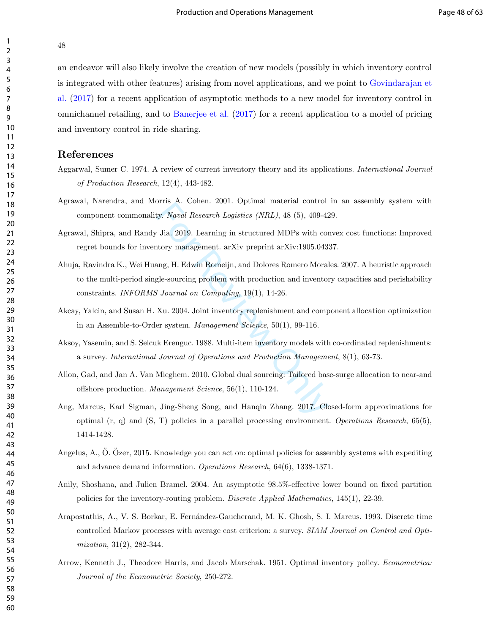an endeavor will also likely involve the creation of new models (possibly in which inventory control is integrated with other features) arising from novel applications, and we point to Govindarajan et al. (2017) for a recent application of asymptotic methods to a new model for inventory control in omnichannel retailing, and to Banerjee et al. (2017) for a recent application to a model of pricing and inventory control in ride-sharing.

## References

- Aggarwal, Sumer C. 1974. A review of current inventory theory and its applications. International Journal of Production Research, 12(4), 443-482.
- Agrawal, Narendra, and Morris A. Cohen. 2001. Optimal material control in an assembly system with component commonality. Naval Research Logistics (NRL), 48 (5), 409-429.
- Agrawal, Shipra, and Randy Jia. 2019. Learning in structured MDPs with convex cost functions: Improved regret bounds for inventory management. arXiv preprint arXiv:1905.04337.
- ty. *Naval Research Logistics (NRL)*, 48 (5), 409-42<br> *Jia.* 2019. Learning in structured MDPs with controls<br> *Tory management.* arXiv preprint arXiv:1905.043;<br>
ang, H. Edwin Romeijn, and Dolores Romero Moral<br>
gle-sourcing Ahuja, Ravindra K., Wei Huang, H. Edwin Romeijn, and Dolores Romero Morales. 2007. A heuristic approach to the multi-period single-sourcing problem with production and inventory capacities and perishability constraints. INFORMS Journal on Computing, 19(1), 14-26.
- Akcay, Yalcin, and Susan H. Xu. 2004. Joint inventory replenishment and component allocation optimization in an Assemble-to-Order system. Management Science, 50(1), 99-116.
- Aksoy, Yasemin, and S. Selcuk Erenguc. 1988. Multi-item inventory models with co-ordinated replenishments: a survey. International Journal of Operations and Production Management, 8(1), 63-73.
- Allon, Gad, and Jan A. Van Mieghem. 2010. Global dual sourcing: Tailored base-surge allocation to near-and offshore production. Management Science, 56(1), 110-124.
- Ang, Marcus, Karl Sigman, Jing-Sheng Song, and Hanqin Zhang. 2017. Closed-form approximations for optimal  $(r, q)$  and  $(S, T)$  policies in a parallel processing environment. Operations Research, 65(5), 1414-1428.
- Angelus, A.,  $\ddot{O}$ . Özer, 2015. Knowledge you can act on: optimal policies for assembly systems with expediting and advance demand information. Operations Research, 64(6), 1338-1371.
- Anily, Shoshana, and Julien Bramel. 2004. An asymptotic 98.5%-effective lower bound on fixed partition policies for the inventory-routing problem. Discrete Applied Mathematics, 145(1), 22-39.
- Arapostathis, A., V. S. Borkar, E. Fernández-Gaucherand, M. K. Ghosh, S. I. Marcus. 1993. Discrete time controlled Markov processes with average cost criterion: a survey. SIAM Journal on Control and Optimization, 31(2), 282-344.
- Arrow, Kenneth J., Theodore Harris, and Jacob Marschak. 1951. Optimal inventory policy. Econometrica: Journal of the Econometric Society, 250-272.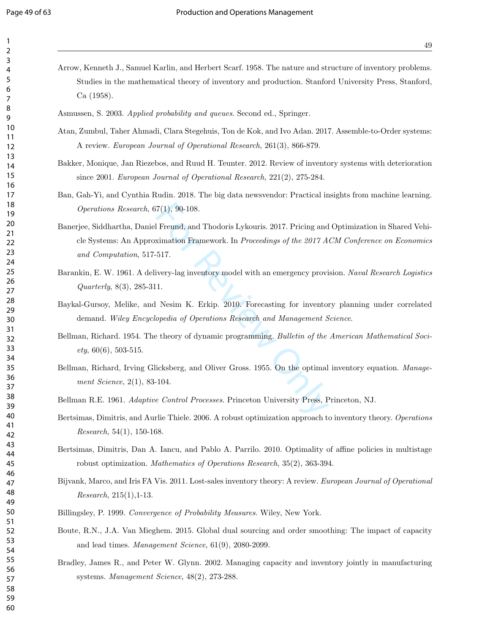$\mathbf{1}$ 

 $\overline{2}$  $\overline{\mathbf{3}}$  $\overline{\mathbf{4}}$ 5 6  $\overline{7}$  $\,8\,$  $\mathsf g$ 

| Studies in the mathematical theory of inventory and production. Stanford University Press, Stanford,<br>Ca(1958).                                                                                                                          |
|--------------------------------------------------------------------------------------------------------------------------------------------------------------------------------------------------------------------------------------------|
| Asmussen, S. 2003. Applied probability and queues. Second ed., Springer.                                                                                                                                                                   |
| Atan, Zumbul, Taher Ahmadi, Clara Stegehuis, Ton de Kok, and Ivo Adan. 2017. Assemble-to-Order systems:<br>A review. European Journal of Operational Research, 261(3), 866-879.                                                            |
| Bakker, Monique, Jan Riezebos, and Ruud H. Teunter. 2012. Review of inventory systems with deterioration<br>since 2001. European Journal of Operational Research, $221(2)$ , $275-284$ .                                                   |
| Ban, Gah-Yi, and Cynthia Rudin. 2018. The big data newsvendor: Practical insights from machine learning.<br>Operations Research, $67(1)$ , 90-108.                                                                                         |
| Banerjee, Siddhartha, Daniel Freund, and Thodoris Lykouris. 2017. Pricing and Optimization in Shared Vehi-<br>cle Systems: An Approximation Framework. In Proceedings of the 2017 ACM Conference on Economics<br>and Computation, 517-517. |
| Barankin, E. W. 1961. A delivery-lag inventory model with an emergency provision. Naval Research Logistics<br>$Quarterly, 8(3), 285-311.$                                                                                                  |
| Baykal-Gursoy, Melike, and Nesim K. Erkip. 2010. Forecasting for inventory planning under correlated<br>demand. Wiley Encyclopedia of Operations Research and Management Science.                                                          |
| Bellman, Richard. 1954. The theory of dynamic programming. Bulletin of the American Mathematical Soci-<br>$ety, 60(6), 503-515.$                                                                                                           |
| Bellman, Richard, Irving Glicksberg, and Oliver Gross. 1955. On the optimal inventory equation. Manage-<br>ment Science, $2(1)$ , 83-104.                                                                                                  |
| Bellman R.E. 1961. Adaptive Control Processes. Princeton University Press, Princeton, NJ.                                                                                                                                                  |
| Bertsimas, Dimitris, and Aurlie Thiele. 2006. A robust optimization approach to inventory theory. Operations<br><i>Research</i> , $54(1)$ , $150-168$ .                                                                                    |
| Bertsimas, Dimitris, Dan A. Iancu, and Pablo A. Parrilo. 2010. Optimality of affine policies in multistage<br>robust optimization. Mathematics of Operations Research, 35(2), 363-394.                                                     |
| Bijvank, Marco, and Iris FA Vis. 2011. Lost-sales inventory theory: A review. European Journal of Operational<br><i>Research</i> , $215(1)$ , 1-13.                                                                                        |
| Billingsley, P. 1999. Convergence of Probability Measures. Wiley, New York.                                                                                                                                                                |
| Boute, R.N., J.A. Van Mieghem. 2015. Global dual sourcing and order smoothing: The impact of capacity<br>and lead times. Management Science, 61(9), 2080-2099.                                                                             |
| Bradley, James R., and Peter W. Glynn. 2002. Managing capacity and inventory jointly in manufacturing<br>systems. Management Science, 48(2), 273-288.                                                                                      |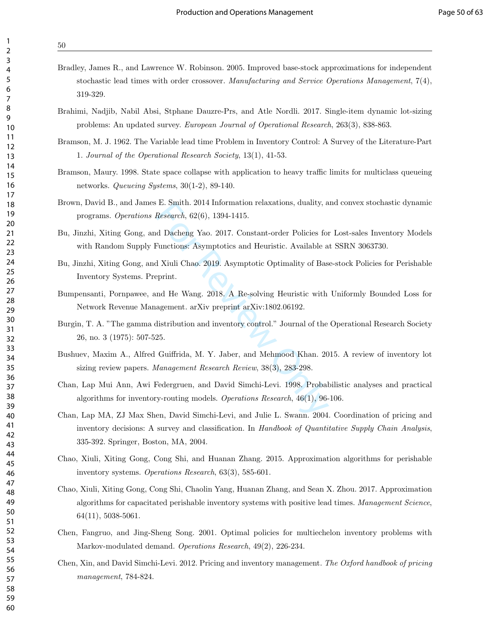| 319-329.                   | Bradley, James R., and Lawrence W. Robinson. 2005. Improved base-stock approximations for independent<br>stochastic lead times with order crossover. Manufacturing and Service Operations Management, $7(4)$ ,                                      |
|----------------------------|-----------------------------------------------------------------------------------------------------------------------------------------------------------------------------------------------------------------------------------------------------|
|                            | Brahimi, Nadjib, Nabil Absi, Stphane Dauzre-Prs, and Atle Nordli. 2017. Single-item dynamic lot-sizing<br>problems: An updated survey. <i>European Journal of Operational Research</i> , 263(3), 838-863.                                           |
|                            | Bramson, M. J. 1962. The Variable lead time Problem in Inventory Control: A Survey of the Literature-Part<br>1. Journal of the Operational Research Society, $13(1)$ , $41-53$ .                                                                    |
|                            | Bramson, Maury. 1998. State space collapse with application to heavy traffic limits for multiclass queueing<br>networks. Queueing Systems, $30(1-2)$ , 89-140.                                                                                      |
|                            | Brown, David B., and James E. Smith. 2014 Information relaxations, duality, and convex stochastic dynamic<br>programs. Operations Research, $62(6)$ , 1394-1415.                                                                                    |
|                            | Bu, Jinzhi, Xiting Gong, and Dacheng Yao. 2017. Constant-order Policies for Lost-sales Inventory Models<br>with Random Supply Functions: Asymptotics and Heuristic. Available at SSRN 3063730.                                                      |
|                            | Bu, Jinzhi, Xiting Gong, and Xiuli Chao. 2019. Asymptotic Optimality of Base-stock Policies for Perishable<br>Inventory Systems. Preprint.                                                                                                          |
|                            | Bumpensanti, Pornpawee, and He Wang. 2018. A Re-solving Heuristic with Uniformly Bounded Loss for<br>Network Revenue Management. arXiv preprint arXiv:1802.06192.                                                                                   |
| 26, no. 3 (1975): 507-525. | Burgin, T. A. "The gamma distribution and inventory control." Journal of the Operational Research Society                                                                                                                                           |
|                            | Bushuev, Maxim A., Alfred Guiffrida, M. Y. Jaber, and Mehmood Khan. 2015. A review of inventory lot<br>sizing review papers. Management Research Review, 38(3), 283-298.                                                                            |
|                            | Chan, Lap Mui Ann, Awi Federgruen, and David Simchi-Levi. 1998. Probabilistic analyses and practical<br>algorithms for inventory-routing models. Operations Research, $46(1)$ , $96-106$ .                                                          |
|                            | Chan, Lap MA, ZJ Max Shen, David Simchi-Levi, and Julie L. Swann. 2004. Coordination of pricing and<br>inventory decisions: A survey and classification. In Handbook of Quantitative Supply Chain Analysis,<br>335-392. Springer, Boston, MA, 2004. |
|                            | Chao, Xiuli, Xiting Gong, Cong Shi, and Huanan Zhang. 2015. Approximation algorithms for perishable<br>inventory systems. Operations Research, $63(3)$ , $585-601$ .                                                                                |
| $64(11), 5038-5061.$       | Chao, Xiuli, Xiting Gong, Cong Shi, Chaolin Yang, Huanan Zhang, and Sean X. Zhou. 2017. Approximation<br>algorithms for capacitated perishable inventory systems with positive lead times. Management Science,                                      |
|                            | Chen, Fangruo, and Jing-Sheng Song. 2001. Optimal policies for multiechelon inventory problems with<br>Markov-modulated demand. Operations Research, 49(2), 226-234.                                                                                |
| $management$ , 784-824.    | Chen, Xin, and David Simchi-Levi. 2012. Pricing and inventory management. The Oxford handbook of pricing                                                                                                                                            |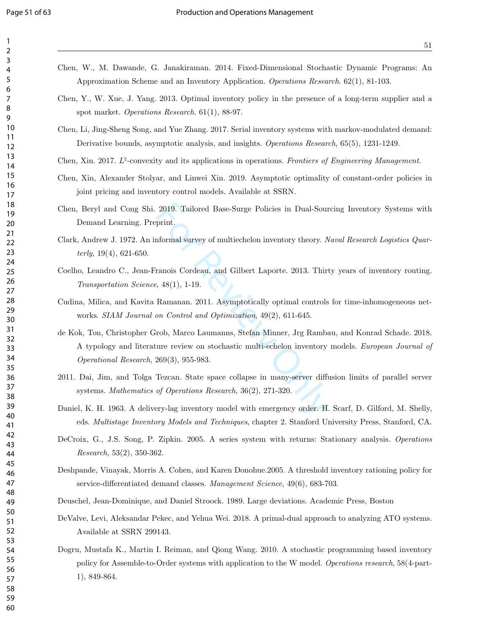$\mathbf{1}$  $\overline{2}$ 3 4 5 6  $\overline{7}$  $\,8\,$  $\mathsf g$ 

|                | Chen, W., M. Dawande, G. Janakiraman. 2014. Fixed-Dimensional Stochastic Dynamic Programs: An<br>Approximation Scheme and an Inventory Application. Operations Research. 62(1), 81-103.                                                            |
|----------------|----------------------------------------------------------------------------------------------------------------------------------------------------------------------------------------------------------------------------------------------------|
|                | Chen, Y., W. Xue, J. Yang. 2013. Optimal inventory policy in the presence of a long-term supplier and a<br>spot market. Operations Research. $61(1)$ , 88-97.                                                                                      |
|                | Chen, Li, Jing-Sheng Song, and Yue Zhang. 2017. Serial inventory systems with markov-modulated demand:<br>Derivative bounds, asymptotic analysis, and insights. Operations Research, 65(5), 1231-1249.                                             |
|                | Chen, Xin. 2017. $L^{\natural}$ -convexity and its applications in operations. Frontiers of Engineering Management.                                                                                                                                |
|                | Chen, Xin, Alexander Stolyar, and Linwei Xin. 2019. Asymptotic optimality of constant-order policies in<br>joint pricing and inventory control models. Available at SSRN.                                                                          |
|                | Chen, Beryl and Cong Shi. 2019. Tailored Base-Surge Policies in Dual-Sourcing Inventory Systems with<br>Demand Learning. Preprint.                                                                                                                 |
|                | Clark, Andrew J. 1972. An informal survey of multiechelon inventory theory. Naval Research Logistics Quar-<br>$terly, 19(4), 621-650.$                                                                                                             |
|                | Coelho, Leandro C., Jean-Franois Cordeau, and Gilbert Laporte. 2013. Thirty years of inventory routing.<br>Transportation Science, 48(1), 1-19.                                                                                                    |
|                | Cudina, Milica, and Kavita Ramanan. 2011. Asymptotically optimal controls for time-inhomogeneous net-<br>works. SIAM Journal on Control and Optimization, 49(2), 611-645.                                                                          |
|                | de Kok, Ton, Christopher Grob, Marco Laumanns, Stefan Minner, Jrg Rambau, and Konrad Schade. 2018.<br>A typology and literature review on stochastic multi-echelon inventory models. European Journal of<br>Operational Research, 269(3), 955-983. |
|                | 2011. Dai, Jim, and Tolga Tezcan. State space collapse in many-server diffusion limits of parallel server<br>systems. Mathematics of Operations Research, $36(2)$ , 271-320.                                                                       |
|                | Daniel, K. H. 1963. A delivery-lag inventory model with emergency order. H. Scarf, D. Gilford, M. Shelly,<br>eds. Multistage Inventory Models and Techniques, chapter 2. Stanford University Press, Stanford, CA.                                  |
|                | DeCroix, G., J.S. Song, P. Zipkin. 2005. A series system with returns: Stationary analysis. Operations<br>$Research, 53(2), 350-362.$                                                                                                              |
|                | Deshpande, Vinayak, Morris A. Cohen, and Karen Donohue. 2005. A threshold inventory rationing policy for<br>service-differentiated demand classes. Management Science, 49(6), 683-703.                                                             |
|                | Deuschel, Jean-Dominique, and Daniel Stroock. 1989. Large deviations. Academic Press, Boston                                                                                                                                                       |
|                | DeValve, Levi, Aleksandar Pekec, and Yehua Wei. 2018. A primal-dual approach to analyzing ATO systems.<br>Available at SSRN 299143.                                                                                                                |
| $1), 849-864.$ | Dogru, Mustafa K., Martin I. Reiman, and Qiong Wang. 2010. A stochastic programming based inventory<br>policy for Assemble-to-Order systems with application to the W model. Operations research, 58(4-part-                                       |
|                |                                                                                                                                                                                                                                                    |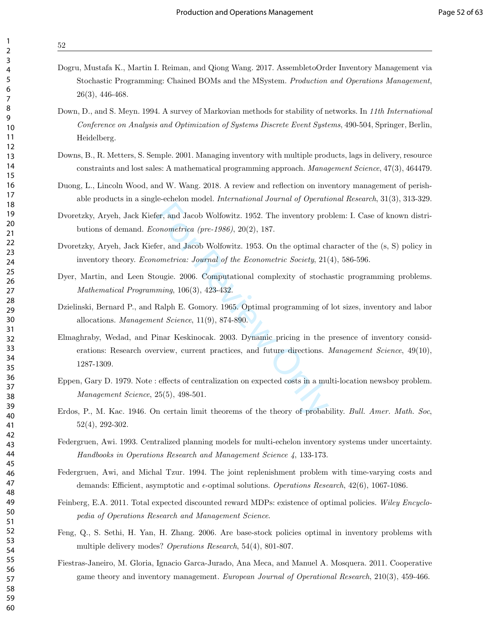| Dogru, Mustafa K., Martin I. Reiman, and Qiong Wang. 2017. AssembletoOrder Inventory Management via<br>Stochastic Programming: Chained BOMs and the MSystem. Production and Operations Management,<br>$26(3)$ , 446-468.            |
|-------------------------------------------------------------------------------------------------------------------------------------------------------------------------------------------------------------------------------------|
| Down, D., and S. Meyn. 1994. A survey of Markovian methods for stability of networks. In 11th International<br>Conference on Analysis and Optimization of Systems Discrete Event Systems, 490-504, Springer, Berlin,<br>Heidelberg. |
| Downs, B., R. Metters, S. Semple. 2001. Managing inventory with multiple products, lags in delivery, resource<br>constraints and lost sales: A mathematical programming approach. Management Science, 47(3), 464479.                |
| Duong, L., Lincoln Wood, and W. Wang. 2018. A review and reflection on inventory management of perish-<br>able products in a single-echelon model. <i>International Journal of Operational Research</i> , 31(3), 313-329.           |
| Dvoretzky, Aryeh, Jack Kiefer, and Jacob Wolfowitz. 1952. The inventory problem: I. Case of known distri-<br>butions of demand. <i>Econometrica (pre-1986)</i> , $20(2)$ , 187.                                                     |
| Dvoretzky, Aryeh, Jack Kiefer, and Jacob Wolfowitz. 1953. On the optimal character of the (s, S) policy in<br>inventory theory. Econometrica: Journal of the Econometric Society, 21(4), 586-596.                                   |
| Dyer, Martin, and Leen Stougie. 2006. Computational complexity of stochastic programming problems.<br>Mathematical Programming, 106(3), 423-432.                                                                                    |
| Dzielinski, Bernard P., and Ralph E. Gomory. 1965. Optimal programming of lot sizes, inventory and labor<br>allocations. Management Science, $11(9)$ , 874-890.                                                                     |
| Elmaghraby, Wedad, and Pinar Keskinocak. 2003. Dynamic pricing in the presence of inventory consid-<br>erations: Research overview, current practices, and future directions. Management Science, 49(10),<br>1287-1309.             |
| Eppen, Gary D. 1979. Note: effects of centralization on expected costs in a multi-location newsboy problem.<br>Management Science, 25(5), 498-501.                                                                                  |
| Erdos, P., M. Kac. 1946. On certain limit theorems of the theory of probability. Bull. Amer. Math. Soc,<br>$52(4)$ , 292-302.                                                                                                       |
| Federgruen, Awi. 1993. Centralized planning models for multi-echelon inventory systems under uncertainty.<br>Handbooks in Operations Research and Management Science 4, 133-173.                                                    |
| Federgruen, Awi, and Michal Tzur. 1994. The joint replenishment problem with time-varying costs and<br>demands: Efficient, asymptotic and $\epsilon$ -optimal solutions. Operations Research, 42(6), 1067-1086.                     |
| Feinberg, E.A. 2011. Total expected discounted reward MDPs: existence of optimal policies. Wiley Encyclo-<br>pedia of Operations Research and Management Science.                                                                   |
| Feng, Q., S. Sethi, H. Yan, H. Zhang. 2006. Are base-stock policies optimal in inventory problems with<br>multiple delivery modes? Operations Research, 54(4), 801-807.                                                             |
| Fiestras-Janeiro, M. Gloria, Ignacio Garca-Jurado, Ana Meca, and Manuel A. Mosquera. 2011. Cooperative<br>game theory and inventory management. European Journal of Operational Research, 210(3), 459-466.                          |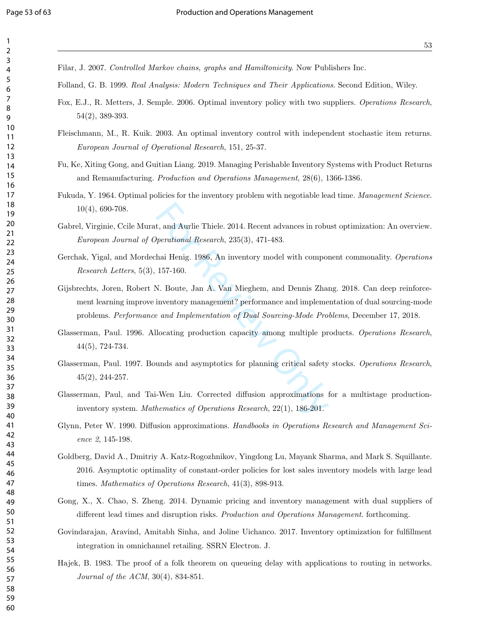Filar, J. 2007. Controlled Markov chains, graphs and Hamiltonicity. Now Publishers Inc.

- Folland, G. B. 1999. Real Analysis: Modern Techniques and Their Applications. Second Edition, Wiley.
- Fox, E.J., R. Metters, J. Semple. 2006. Optimal inventory policy with two suppliers. Operations Research, 54(2), 389-393.
- Fleischmann, M., R. Kuik. 2003. An optimal inventory control with independent stochastic item returns. European Journal of Operational Research, 151, 25-37.
- Fu, Ke, Xiting Gong, and Guitian Liang. 2019. Managing Perishable Inventory Systems with Product Returns and Remanufacturing. Production and Operations Management, 28(6), 1366-1386.
- Fukuda, Y. 1964. Optimal policies for the inventory problem with negotiable lead time. Management Science. 10(4), 690-708.
- Gabrel, Virginie, Ccile Murat, and Aurlie Thiele. 2014. Recent advances in robust optimization: An overview. European Journal of Operational Research, 235(3), 471-483.
- Gerchak, Yigal, and Mordechai Henig. 1986, An inventory model with component commonality. Operations Research Letters, 5(3), 157-160.
- t, and Aurlie Thiele. 2014. Recent advances in robu<br>perational Research, 235(3), 471-483.<br>hai Henig. 1986, An inventory model with comport<br>157-160.<br>N. Boute, Jan A. Van Mieghem, and Dennis Zhai<br>inventory management? perfor Gijsbrechts, Joren, Robert N. Boute, Jan A. Van Mieghem, and Dennis Zhang. 2018. Can deep reinforcement learning improve inventory management? performance and implementation of dual sourcing-mode problems. Performance and Implementation of Dual Sourcing-Mode Problems, December 17, 2018.
- Glasserman, Paul. 1996. Allocating production capacity among multiple products. Operations Research, 44(5), 724-734.
- Glasserman, Paul. 1997. Bounds and asymptotics for planning critical safety stocks. Operations Research, 45(2), 244-257.
- Glasserman, Paul, and Tai-Wen Liu. Corrected diffusion approximations for a multistage productioninventory system. Mathematics of Operations Research, 22(1), 186-201.
- Glynn, Peter W. 1990. Diffusion approximations. Handbooks in Operations Research and Management Science 2, 145-198.
- Goldberg, David A., Dmitriy A. Katz-Rogozhnikov, Yingdong Lu, Mayank Sharma, and Mark S. Squillante. 2016. Asymptotic optimality of constant-order policies for lost sales inventory models with large lead times. Mathematics of Operations Research, 41(3), 898-913.
- Gong, X., X. Chao, S. Zheng. 2014. Dynamic pricing and inventory management with dual suppliers of different lead times and disruption risks. Production and Operations Management. forthcoming.
- Govindarajan, Aravind, Amitabh Sinha, and Joline Uichanco. 2017. Inventory optimization for fulfillment integration in omnichannel retailing. SSRN Electron. J.
- Hajek, B. 1983. The proof of a folk theorem on queueing delay with applications to routing in networks. Journal of the ACM, 30(4), 834-851.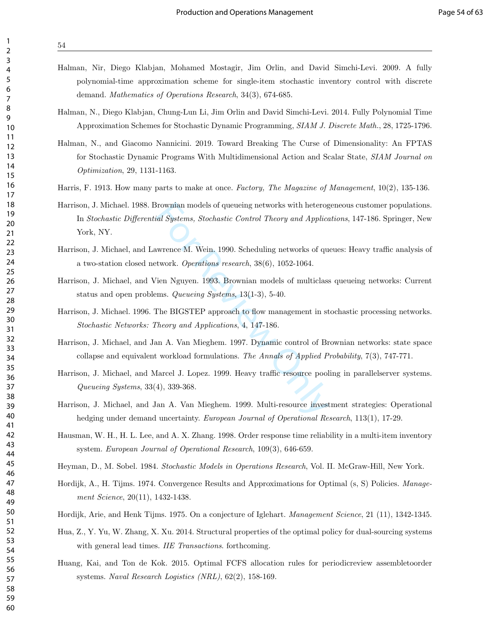| 54                                                                                                                                                                                                                                                              |
|-----------------------------------------------------------------------------------------------------------------------------------------------------------------------------------------------------------------------------------------------------------------|
| Halman, Nir, Diego Klabjan, Mohamed Mostagir, Jim Orlin, and David Simchi-Levi. 2009. A fully<br>polynomial-time approximation scheme for single-item stochastic inventory control with discrete<br>demand. Mathematics of Operations Research, 34(3), 674-685. |
| Halman, N., Diego Klabjan, Chung-Lun Li, Jim Orlin and David Simchi-Levi. 2014. Fully Polynomial Time<br>Approximation Schemes for Stochastic Dynamic Programming, SIAM J. Discrete Math., 28, 1725-1796.                                                       |
| Halman, N., and Giacomo Nannicini. 2019. Toward Breaking The Curse of Dimensionality: An FPTAS<br>for Stochastic Dynamic Programs With Multidimensional Action and Scalar State, SIAM Journal on<br><i>Optimization</i> , 29, 1131-1163.                        |
| Harris, F. 1913. How many parts to make at once. Factory, The Magazine of Management, 10(2), 135-136.                                                                                                                                                           |
| Harrison, J. Michael. 1988. Brownian models of queueing networks with heterogeneous customer populations.<br>In Stochastic Differential Systems, Stochastic Control Theory and Applications, 147-186. Springer, New<br>York, NY.                                |
| Harrison, J. Michael, and Lawrence M. Wein. 1990. Scheduling networks of queues: Heavy traffic analysis of<br>a two-station closed network. Operations research, $38(6)$ , $1052-1064$ .                                                                        |
| Harrison, J. Michael, and Vien Nguyen. 1993. Brownian models of multiclass queueing networks: Current<br>status and open problems. Queueing Systems, $13(1-3)$ , 5-40.                                                                                          |
| Harrison, J. Michael. 1996. The BIGSTEP approach to flow management in stochastic processing networks.<br>Stochastic Networks: Theory and Applications, 4, 147-186.                                                                                             |
| Harrison, J. Michael, and Jan A. Van Mieghem. 1997. Dynamic control of Brownian networks: state space<br>collapse and equivalent workload formulations. The Annals of Applied Probability, $7(3)$ , $747-771$ .                                                 |
| Harrison, J. Michael, and Marcel J. Lopez. 1999. Heavy traffic resource pooling in parallelserver systems.<br>Queueing Systems, 33(4), 339-368.                                                                                                                 |
| Harrison, J. Michael, and Jan A. Van Mieghem. 1999. Multi-resource investment strategies: Operational<br>hedging under demand uncertainty. European Journal of Operational Research, 113(1), 17-29.                                                             |
| Hausman, W. H., H. L. Lee, and A. X. Zhang. 1998. Order response time reliability in a multi-item inventory<br>system. European Journal of Operational Research, 109(3), 646-659.                                                                               |
| Heyman, D., M. Sobel. 1984. Stochastic Models in Operations Research, Vol. II. McGraw-Hill, New York.                                                                                                                                                           |
| Hordijk, A., H. Tijms. 1974. Convergence Results and Approximations for Optimal (s, S) Policies. Manage-<br>ment Science, 20(11), 1432-1438.                                                                                                                    |
| Hordijk, Arie, and Henk Tijms. 1975. On a conjecture of Iglehart. Management Science, 21 (11), 1342-1345.                                                                                                                                                       |
| Hua, Z., Y. Yu, W. Zhang, X. Xu. 2014. Structural properties of the optimal policy for dual-sourcing systems<br>with general lead times. IIE Transactions. forthcoming.                                                                                         |
| Huang, Kai, and Ton de Kok. 2015. Optimal FCFS allocation rules for periodicreview assembletoorder<br>systems. Naval Research Logistics (NRL), $62(2)$ , 158-169.                                                                                               |
|                                                                                                                                                                                                                                                                 |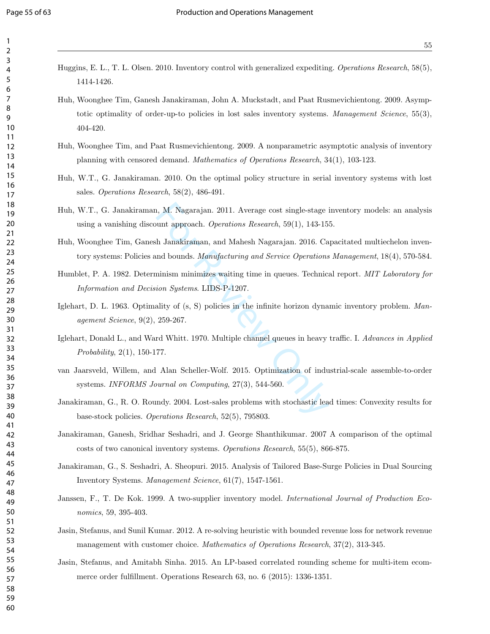$\overline{2}$ 

- Huggins, E. L., T. L. Olsen. 2010. Inventory control with generalized expediting. Operations Research, 58(5), 1414-1426.
- Huh, Woonghee Tim, Ganesh Janakiraman, John A. Muckstadt, and Paat Rusmevichientong. 2009. Asymptotic optimality of order-up-to policies in lost sales inventory systems. Management Science, 55(3), 404-420.
- Huh, Woonghee Tim, and Paat Rusmevichientong. 2009. A nonparametric asymptotic analysis of inventory planning with censored demand. Mathematics of Operations Research, 34(1), 103-123.
- Huh, W.T., G. Janakiraman. 2010. On the optimal policy structure in serial inventory systems with lost sales. *Operations Research*, 58(2), 486-491.
- Huh, W.T., G. Janakiraman, M. Nagarajan. 2011. Average cost single-stage inventory models: an analysis using a vanishing discount approach. Operations Research, 59(1), 143-155.
- Huh, Woonghee Tim, Ganesh Janakiraman, and Mahesh Nagarajan. 2016. Capacitated multiechelon inventory systems: Policies and bounds. Manufacturing and Service Operations Management, 18(4), 570-584.
- Humblet, P. A. 1982. Determinism minimizes waiting time in queues. Technical report. MIT Laboratory for Information and Decision Systems. LIDS-P-1207.
- 1, M. Nagarajan. 2011. Average cost single-stage i<br>
unt approach. *Operations Research*, 59(1), 143-15.<br>
In Janakiraman, and Mahesh Nagarajan. 2016. Ca<br>
and bounds. *Manufacturing and Service Operations*<br>
ninism minimizes Iglehart, D. L. 1963. Optimality of (s, S) policies in the infinite horizon dynamic inventory problem. Management Science, 9(2), 259-267.
- Iglehart, Donald L., and Ward Whitt. 1970. Multiple channel queues in heavy traffic. I. Advances in Applied Probability, 2(1), 150-177.
- van Jaarsveld, Willem, and Alan Scheller-Wolf. 2015. Optimization of industrial-scale assemble-to-order systems. INFORMS Journal on Computing, 27(3), 544-560.
- Janakiraman, G., R. O. Roundy. 2004. Lost-sales problems with stochastic lead times: Convexity results for base-stock policies. Operations Research, 52(5), 795803.
- Janakiraman, Ganesh, Sridhar Seshadri, and J. George Shanthikumar. 2007 A comparison of the optimal costs of two canonical inventory systems. Operations Research, 55(5), 866-875.
- Janakiraman, G., S. Seshadri, A. Sheopuri. 2015. Analysis of Tailored Base-Surge Policies in Dual Sourcing Inventory Systems. Management Science, 61(7), 1547-1561.
- Janssen, F., T. De Kok. 1999. A two-supplier inventory model. International Journal of Production Economics, 59, 395-403.
- Jasin, Stefanus, and Sunil Kumar. 2012. A re-solving heuristic with bounded revenue loss for network revenue management with customer choice. Mathematics of Operations Research, 37(2), 313-345.
- Jasin, Stefanus, and Amitabh Sinha. 2015. An LP-based correlated rounding scheme for multi-item ecommerce order fulfillment. Operations Research 63, no. 6 (2015): 1336-1351.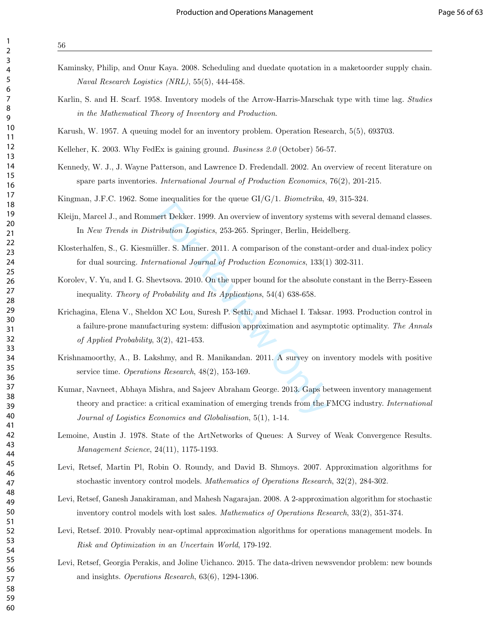Kaminsky, Philip, and Onur Kaya. 2008. Scheduling and duedate quotation in a maketoorder supply chain. Naval Research Logistics (NRL), 55(5), 444-458.

- Karlin, S. and H. Scarf. 1958. Inventory models of the Arrow-Harris-Marschak type with time lag. Studies in the Mathematical Theory of Inventory and Production.
- Karush, W. 1957. A queuing model for an inventory problem. Operation Research, 5(5), 693703.
- Kelleher, K. 2003. Why FedEx is gaining ground. Business 2.0 (October) 56-57.
- Kennedy, W. J., J. Wayne Patterson, and Lawrence D. Fredendall. 2002. An overview of recent literature on spare parts inventories. International Journal of Production Economics, 76(2), 201-215.

Kingman, J.F.C. 1962. Some inequalities for the queue GI/G/1. Biometrika, 49, 315-324.

- Kleijn, Marcel J., and Rommert Dekker. 1999. An overview of inventory systems with several demand classes. In New Trends in Distribution Logistics, 253-265. Springer, Berlin, Heidelberg.
- Klosterhalfen, S., G. Kiesmüller. S. Minner. 2011. A comparison of the constant-order and dual-index policy for dual sourcing. International Journal of Production Economics, 133(1) 302-311.
- Korolev, V. Yu, and I. G. Shevtsova. 2010. On the upper bound for the absolute constant in the Berry-Esseen inequality. Theory of Probability and Its Applications, 54(4) 638-658.
- For Dekker. 1999. An overview of inventory system<br> *ribution Logistics*, 253-265. Springer, Berlin, Heide<br>
Iller. S. Minner. 2011. A comparison of the constant<br> *rnational Journal of Production Economics*, 133(1<br>
evtsova. Krichagina, Elena V., Sheldon XC Lou, Suresh P. Sethi, and Michael I. Taksar. 1993. Production control in a failure-prone manufacturing system: diffusion approximation and asymptotic optimality. The Annals of Applied Probability, 3(2), 421-453.
- Krishnamoorthy, A., B. Lakshmy, and R. Manikandan. 2011. A survey on inventory models with positive service time. Operations Research, 48(2), 153-169.
- Kumar, Navneet, Abhaya Mishra, and Sajeev Abraham George. 2013. Gaps between inventory management theory and practice: a critical examination of emerging trends from the FMCG industry. International Journal of Logistics Economics and Globalisation, 5(1), 1-14.
- Lemoine, Austin J. 1978. State of the ArtNetworks of Queues: A Survey of Weak Convergence Results. Management Science, 24(11), 1175-1193.
- Levi, Retsef, Martin Pl, Robin O. Roundy, and David B. Shmoys. 2007. Approximation algorithms for stochastic inventory control models. Mathematics of Operations Research, 32(2), 284-302.
- Levi, Retsef, Ganesh Janakiraman, and Mahesh Nagarajan. 2008. A 2-approximation algorithm for stochastic inventory control models with lost sales. *Mathematics of Operations Research*, 33(2), 351-374.
- Levi, Retsef. 2010. Provably near-optimal approximation algorithms for operations management models. In Risk and Optimization in an Uncertain World, 179-192.
- Levi, Retsef, Georgia Perakis, and Joline Uichanco. 2015. The data-driven newsvendor problem: new bounds and insights. Operations Research, 63(6), 1294-1306.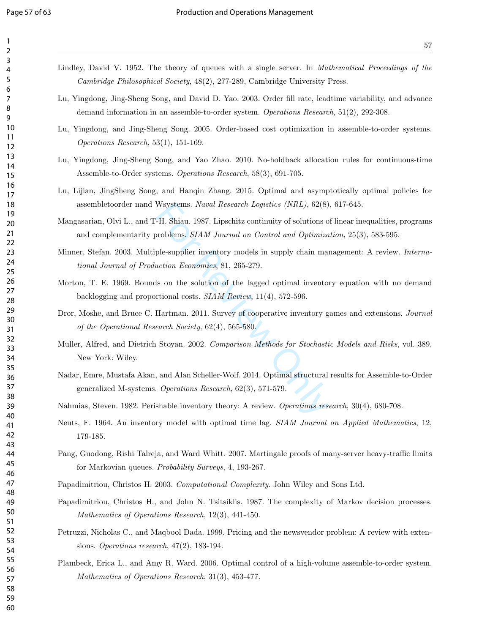$\mathbf{1}$  $\overline{2}$ 3 4 5 6  $\overline{7}$  $\,8\,$  $\mathsf g$ 

| Lindley, David V. 1952. The theory of queues with a single server. In <i>Mathematical Proceedings of the</i><br>Cambridge Philosophical Society, 48(2), 277-289, Cambridge University Press.               |
|------------------------------------------------------------------------------------------------------------------------------------------------------------------------------------------------------------|
| Lu, Yingdong, Jing-Sheng Song, and David D. Yao. 2003. Order fill rate, leadtime variability, and advance<br>demand information in an assemble-to-order system. Operations Research, $51(2)$ , $292-308$ . |
| Lu, Yingdong, and Jing-Sheng Song. 2005. Order-based cost optimization in assemble-to-order systems.<br>$Operations$ $Research$ , $53(1)$ , $151-169$ .                                                    |
| Lu, Yingdong, Jing-Sheng Song, and Yao Zhao. 2010. No-holdback allocation rules for continuous-time<br>Assemble-to-Order systems. Operations Research, 58(3), 691-705.                                     |
| Lu, Lijian, JingSheng Song, and Hanqin Zhang. 2015. Optimal and asymptotically optimal policies for<br>assembletoorder nand Wsystems. Naval Research Logistics (NRL), 62(8), 617-645.                      |
| Mangasarian, Olvi L., and T-H. Shiau. 1987. Lipschitz continuity of solutions of linear inequalities, programs<br>and complementarity problems. SIAM Journal on Control and Optimization, 25(3), 583-595.  |
| Minner, Stefan. 2003. Multiple-supplier inventory models in supply chain management: A review. Interna-<br>tional Journal of Production Economics, 81, 265-279.                                            |
| Morton, T. E. 1969. Bounds on the solution of the lagged optimal inventory equation with no demand<br>backlogging and proportional costs. $SIAM$ Review, $11(4)$ , 572-596.                                |
| Dror, Moshe, and Bruce C. Hartman. 2011. Survey of cooperative inventory games and extensions. Journal<br>of the Operational Research Society, $62(4)$ , 565-580.                                          |
| Muller, Alfred, and Dietrich Stoyan. 2002. Comparison Methods for Stochastic Models and Risks, vol. 389,<br>New York: Wiley.                                                                               |
| Nadar, Emre, Mustafa Akan, and Alan Scheller-Wolf. 2014. Optimal structural results for Assemble-to-Order<br>generalized M-systems. Operations Research, 62(3), 571-579.                                   |
| Nahmias, Steven. 1982. Perishable inventory theory: A review. Operations research, 30(4), 680-708.                                                                                                         |
| Neuts, F. 1964. An inventory model with optimal time lag. SIAM Journal on Applied Mathematics, 12,<br>179-185.                                                                                             |
| Pang, Guodong, Rishi Talreja, and Ward Whitt. 2007. Martingale proofs of many-server heavy-traffic limits<br>for Markovian queues. Probability Surveys, 4, 193-267.                                        |
| Papadimitriou, Christos H. 2003. Computational Complexity. John Wiley and Sons Ltd.                                                                                                                        |
| Papadimitriou, Christos H., and John N. Tsitsiklis. 1987. The complexity of Markov decision processes.<br>Mathematics of Operations Research, 12(3), 441-450.                                              |
| Petruzzi, Nicholas C., and Maqbool Dada. 1999. Pricing and the newsvendor problem: A review with exten-<br>sions. Operations research, $47(2)$ , 183-194.                                                  |
| Plambeck, Erica L., and Amy R. Ward. 2006. Optimal control of a high-volume assemble-to-order system.<br>Mathematics of Operations Research, 31(3), 453-477.                                               |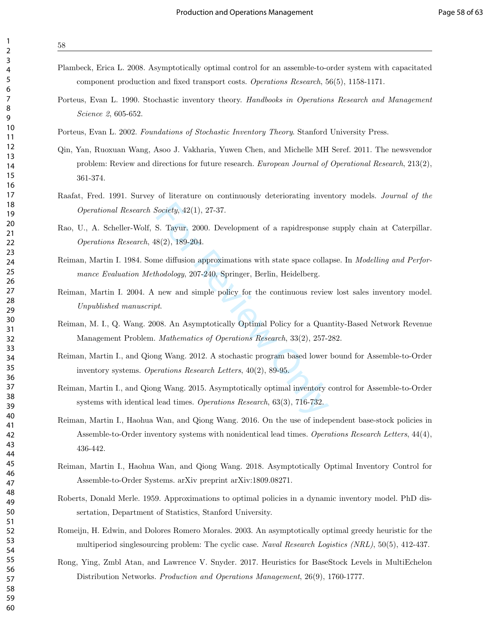| Plambeck, Erica L. 2008. Asymptotically optimal control for an assemble-to-order system with capacitated<br>component production and fixed transport costs. Operations Research, 56(5), 1158-1171.<br>Porteus, Evan L. 1990. Stochastic inventory theory. Handbooks in Operations Research and Management<br>Science 2, 605-652.<br>Porteus, Evan L. 2002. Foundations of Stochastic Inventory Theory. Stanford University Press.<br>Qin, Yan, Ruoxuan Wang, Asoo J. Vakharia, Yuwen Chen, and Michelle MH Seref. 2011. The newsvendor<br>problem: Review and directions for future research. European Journal of Operational Research, 213(2),<br>361-374.<br>Raafat, Fred. 1991. Survey of literature on continuously deteriorating inventory models. Journal of the |
|------------------------------------------------------------------------------------------------------------------------------------------------------------------------------------------------------------------------------------------------------------------------------------------------------------------------------------------------------------------------------------------------------------------------------------------------------------------------------------------------------------------------------------------------------------------------------------------------------------------------------------------------------------------------------------------------------------------------------------------------------------------------|
|                                                                                                                                                                                                                                                                                                                                                                                                                                                                                                                                                                                                                                                                                                                                                                        |
|                                                                                                                                                                                                                                                                                                                                                                                                                                                                                                                                                                                                                                                                                                                                                                        |
|                                                                                                                                                                                                                                                                                                                                                                                                                                                                                                                                                                                                                                                                                                                                                                        |
|                                                                                                                                                                                                                                                                                                                                                                                                                                                                                                                                                                                                                                                                                                                                                                        |
| Operational Research Society, 42(1), 27-37.                                                                                                                                                                                                                                                                                                                                                                                                                                                                                                                                                                                                                                                                                                                            |
| Rao, U., A. Scheller-Wolf, S. Tayur. 2000. Development of a rapidresponse supply chain at Caterpillar.<br>Operations Research, 48(2), 189-204.                                                                                                                                                                                                                                                                                                                                                                                                                                                                                                                                                                                                                         |
| Reiman, Martin I. 1984. Some diffusion approximations with state space collapse. In <i>Modelling and Perfor-</i><br>mance Evaluation Methodology, 207-240, Springer, Berlin, Heidelberg.                                                                                                                                                                                                                                                                                                                                                                                                                                                                                                                                                                               |
| Reiman, Martin I. 2004. A new and simple policy for the continuous review lost sales inventory model.<br>Unpublished manuscript.                                                                                                                                                                                                                                                                                                                                                                                                                                                                                                                                                                                                                                       |
| Reiman, M. I., Q. Wang. 2008. An Asymptotically Optimal Policy for a Quantity-Based Network Revenue<br>Management Problem. Mathematics of Operations Research, 33(2), 257-282.                                                                                                                                                                                                                                                                                                                                                                                                                                                                                                                                                                                         |
| Reiman, Martin I., and Qiong Wang. 2012. A stochastic program based lower bound for Assemble-to-Order<br>inventory systems. Operations Research Letters, 40(2), 89-95.                                                                                                                                                                                                                                                                                                                                                                                                                                                                                                                                                                                                 |
| Reiman, Martin I., and Qiong Wang. 2015. Asymptotically optimal inventory control for Assemble-to-Order<br>systems with identical lead times. Operations Research, 63(3), 716-732.                                                                                                                                                                                                                                                                                                                                                                                                                                                                                                                                                                                     |
| Reiman, Martin I., Haohua Wan, and Qiong Wang. 2016. On the use of independent base-stock policies in<br>Assemble-to-Order inventory systems with nonidentical lead times. Operations Research Letters, 44(4),<br>436-442.                                                                                                                                                                                                                                                                                                                                                                                                                                                                                                                                             |
| Reiman, Martin I., Haohua Wan, and Qiong Wang. 2018. Asymptotically Optimal Inventory Control for<br>Assemble-to-Order Systems. arXiv preprint arXiv:1809.08271.                                                                                                                                                                                                                                                                                                                                                                                                                                                                                                                                                                                                       |
| Roberts, Donald Merle. 1959. Approximations to optimal policies in a dynamic inventory model. PhD dis-<br>sertation, Department of Statistics, Stanford University.                                                                                                                                                                                                                                                                                                                                                                                                                                                                                                                                                                                                    |
| Romeijn, H. Edwin, and Dolores Romero Morales. 2003. An asymptotically optimal greedy heuristic for the<br>multiperiod singlesourcing problem: The cyclic case. Naval Research Logistics (NRL), 50(5), 412-437.                                                                                                                                                                                                                                                                                                                                                                                                                                                                                                                                                        |
| Rong, Ying, Zmbl Atan, and Lawrence V. Snyder. 2017. Heuristics for BaseStock Levels in MultiEchelon<br>Distribution Networks. Production and Operations Management, 26(9), 1760-1777.                                                                                                                                                                                                                                                                                                                                                                                                                                                                                                                                                                                 |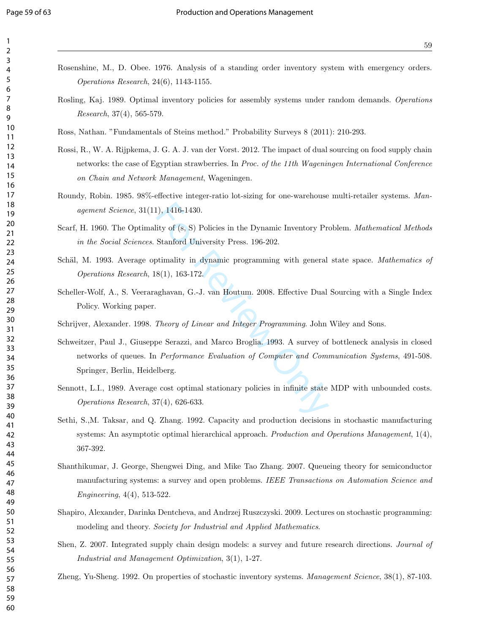$\mathbf{1}$  $\overline{2}$ 3 4 5 6  $\overline{7}$  $\bf 8$  $\mathsf g$ 

Rosenshine, M., D. Obee. 1976. Analysis of a standing order inventory system with emergency orders.

| $Operations$ $Research$ , $24(6)$ , 1143-1155.                                                                                                                                                                                                                        |
|-----------------------------------------------------------------------------------------------------------------------------------------------------------------------------------------------------------------------------------------------------------------------|
| Rosling, Kaj. 1989. Optimal inventory policies for assembly systems under random demands. Operations<br><i>Research</i> , $37(4)$ , 565-579.                                                                                                                          |
| Ross, Nathan. "Fundamentals of Steins method." Probability Surveys 8 (2011): 210-293.                                                                                                                                                                                 |
| Rossi, R., W. A. Rijpkema, J. G. A. J. van der Vorst. 2012. The impact of dual sourcing on food supply chain<br>networks: the case of Egyptian strawberries. In Proc. of the 11th Wageningen International Conference<br>on Chain and Network Management, Wageningen. |
| Roundy, Robin. 1985. 98%-effective integer-ratio lot-sizing for one-warehouse multi-retailer systems. Man-<br><i>agement Science</i> , 31(11), 1416-1430.                                                                                                             |
| Scarf, H. 1960. The Optimality of (s, S) Policies in the Dynamic Inventory Problem. <i>Mathematical Methods</i><br>in the Social Sciences. Stanford University Press. 196-202.                                                                                        |
| Schäl, M. 1993. Average optimality in dynamic programming with general state space. Mathematics of<br>Operations Research, 18(1), 163-172.                                                                                                                            |
| Scheller-Wolf, A., S. Veeraraghavan, G.-J. van Houtum. 2008. Effective Dual Sourcing with a Single Index<br>Policy. Working paper.                                                                                                                                    |
| Schrijver, Alexander. 1998. Theory of Linear and Integer Programming. John Wiley and Sons.                                                                                                                                                                            |
| Schweitzer, Paul J., Giuseppe Serazzi, and Marco Broglia. 1993. A survey of bottleneck analysis in closed<br>networks of queues. In Performance Evaluation of Computer and Communication Systems, 491-508.<br>Springer, Berlin, Heidelberg.                           |
| Sennott, L.I., 1989. Average cost optimal stationary policies in infinite state MDP with unbounded costs.<br>$Operations$ $Research$ , $37(4)$ , $626-633$ .                                                                                                          |
| Sethi, S., M. Taksar, and Q. Zhang. 1992. Capacity and production decisions in stochastic manufacturing<br>systems: An asymptotic optimal hierarchical approach. Production and Operations Management, $1(4)$ ,<br>367-392.                                           |
| Shanthikumar, J. George, Shengwei Ding, and Mike Tao Zhang. 2007. Queueing theory for semiconductor<br>manufacturing systems: a survey and open problems. IEEE Transactions on Automation Science and<br>$Engineering, 4(4), 513-522.$                                |
| Shapiro, Alexander, Darinka Dentcheva, and Andrzej Ruszczyski. 2009. Lectures on stochastic programming:<br>modeling and theory. Society for Industrial and Applied Mathematics.                                                                                      |
| Shen, Z. 2007. Integrated supply chain design models: a survey and future research directions. Journal of<br>Industrial and Management Optimization, 3(1), 1-27.                                                                                                      |
| Zheng, Yu-Sheng. 1992. On properties of stochastic inventory systems. Management Science, 38(1), 87-103.                                                                                                                                                              |
|                                                                                                                                                                                                                                                                       |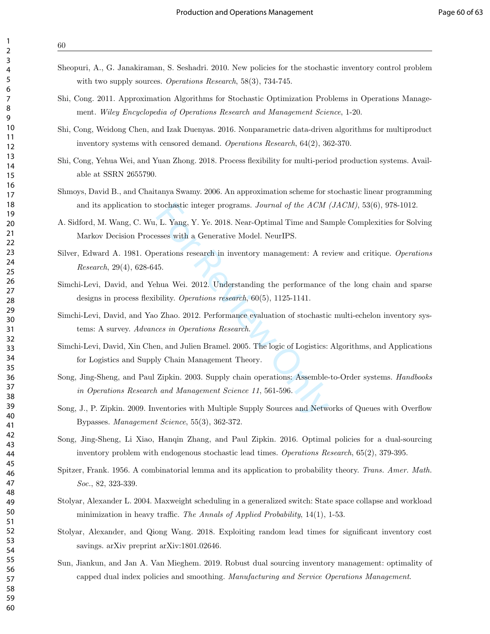| 60                                                                                                                                                                                                        |  |
|-----------------------------------------------------------------------------------------------------------------------------------------------------------------------------------------------------------|--|
| Sheopuri, A., G. Janakiraman, S. Seshadri. 2010. New policies for the stochastic inventory control problem<br>with two supply sources. Operations Research, $58(3)$ , $734-745$ .                         |  |
| Shi, Cong. 2011. Approximation Algorithms for Stochastic Optimization Problems in Operations Manage-<br>ment. Wiley Encyclopedia of Operations Research and Management Science, 1-20.                     |  |
| Shi, Cong, Weidong Chen, and Izak Duenyas. 2016. Nonparametric data-driven algorithms for multiproduct<br>inventory systems with censored demand. Operations Research, $64(2)$ , $362-370$ .              |  |
| Shi, Cong, Yehua Wei, and Yuan Zhong. 2018. Process flexibility for multi-period production systems. Avail-<br>able at SSRN 2655790.                                                                      |  |
| Shmoys, David B., and Chaitanya Swamy. 2006. An approximation scheme for stochastic linear programming<br>and its application to stochastic integer programs. Journal of the ACM (JACM), 53(6), 978-1012. |  |
| A. Sidford, M. Wang, C. Wu, L. Yang, Y. Ye. 2018. Near-Optimal Time and Sample Complexities for Solving<br>Markov Decision Processes with a Generative Model. NeurIPS.                                    |  |
| Silver, Edward A. 1981. Operations research in inventory management: A review and critique. Operations<br><i>Research</i> , $29(4)$ , $628-645$ .                                                         |  |
| Simchi-Levi, David, and Yehua Wei. 2012. Understanding the performance of the long chain and sparse<br>designs in process flexibility. Operations research, $60(5)$ , 1125-1141.                          |  |
| Simchi-Levi, David, and Yao Zhao. 2012. Performance evaluation of stochastic multi-echelon inventory sys-<br>tems: A survey. Advances in Operations Research.                                             |  |
| Simchi-Levi, David, Xin Chen, and Julien Bramel. 2005. The logic of Logistics: Algorithms, and Applications<br>for Logistics and Supply Chain Management Theory.                                          |  |
| Song, Jing-Sheng, and Paul Zipkin. 2003. Supply chain operations: Assemble-to-Order systems. Handbooks<br>in Operations Research and Management Science 11, 561-596.                                      |  |
| Song, J., P. Zipkin. 2009. Inventories with Multiple Supply Sources and Networks of Queues with Overflow<br>Bypasses. Management Science, 55(3), 362-372.                                                 |  |
| Song, Jing-Sheng, Li Xiao, Hangin Zhang, and Paul Zipkin. 2016. Optimal policies for a dual-sourcing<br>inventory problem with endogenous stochastic lead times. Operations Research, 65(2), 379-395.     |  |
| Spitzer, Frank. 1956. A combinatorial lemma and its application to probability theory. Trans. Amer. Math.<br>Soc., 82, 323-339.                                                                           |  |
| Stolyar, Alexander L. 2004. Maxweight scheduling in a generalized switch: State space collapse and workload<br>minimization in heavy traffic. The Annals of Applied Probability, $14(1)$ , $1-53$ .       |  |
| Stolyar, Alexander, and Qiong Wang. 2018. Exploiting random lead times for significant inventory cost<br>savings. arXiv preprint arXiv:1801.02646.                                                        |  |
| Sun, Jiankun, and Jan A. Van Mieghem. 2019. Robust dual sourcing inventory management: optimality of<br>capped dual index policies and smoothing. Manufacturing and Service Operations Management.        |  |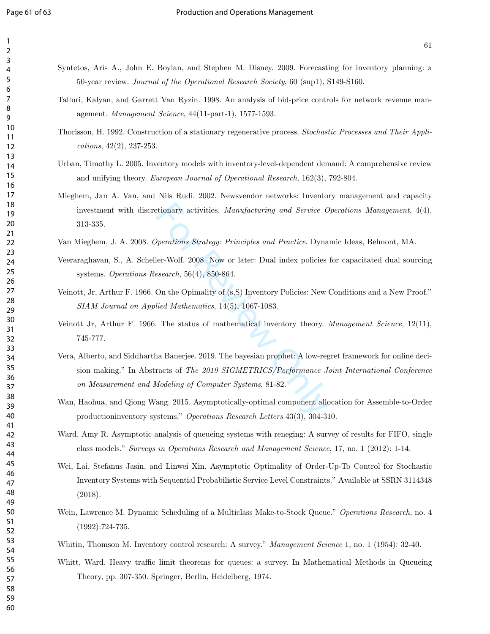$\overline{2}$ 

- Syntetos, Aris A., John E. Boylan, and Stephen M. Disney. 2009. Forecasting for inventory planning: a 50-year review. Journal of the Operational Research Society, 60 (sup1), S149-S160.
- Talluri, Kalyan, and Garrett Van Ryzin. 1998. An analysis of bid-price controls for network revenue management. Management Science, 44(11-part-1), 1577-1593.
- Thorisson, H. 1992. Construction of a stationary regenerative process. Stochastic Processes and Their Applications, 42(2), 237-253.
- Urban, Timothy L. 2005. Inventory models with inventory-level-dependent demand: A comprehensive review and unifying theory. European Journal of Operational Research, 162(3), 792-804.
- Mieghem, Jan A. Van, and Nils Rudi. 2002. Newsvendor networks: Inventory management and capacity investment with discretionary activities. Manufacturing and Service Operations Management,  $4(4)$ , 313-335.
- Van Mieghem, J. A. 2008. Operations Strategy: Principles and Practice. Dynamic Ideas, Belmont, MA.
- Veeraraghavan, S., A. Scheller-Wolf. 2008. Now or later: Dual index policies for capacitated dual sourcing systems. Operations Research, 56(4), 850-864.
- Veinott, Jr, Arthur F. 1966. On the Opimality of (s,S) Inventory Policies: New Conditions and a New Proof." SIAM Journal on Applied Mathematics, 14(5), 1067-1083.
- Veinott Jr, Arthur F. 1966. The status of mathematical inventory theory. Management Science, 12(11), 745-777.
- etionary activities. *Manufacturing and Service O*<br>
Derations Strategy: Principles and Practice. Dyna<br>
ler-Wolf. 2008. Now or later: Dual index policies<br>
sesearch, 56(4), 850-864.<br>
On the Opimality of (s,S) Inventory Polic Vera, Alberto, and Siddhartha Banerjee. 2019. The bayesian prophet: A low-regret framework for online decision making." In Abstracts of The 2019 SIGMETRICS/Performance Joint International Conference on Measurement and Modeling of Computer Systems, 81-82.
- Wan, Haohua, and Qiong Wang. 2015. Asymptotically-optimal component allocation for Assemble-to-Order productioninventory systems." Operations Research Letters 43(3), 304-310.
- Ward, Amy R. Asymptotic analysis of queueing systems with reneging: A survey of results for FIFO, single class models." Surveys in Operations Research and Management Science, 17, no. 1 (2012): 1-14.
- Wei, Lai, Stefanus Jasin, and Linwei Xin. Asymptotic Optimality of Order-Up-To Control for Stochastic Inventory Systems with Sequential Probabilistic Service Level Constraints." Available at SSRN 3114348 (2018).
- Wein, Lawrence M. Dynamic Scheduling of a Multiclass Make-to-Stock Queue." Operations Research, no. 4 (1992):724-735.
- Whitin, Thomson M. Inventory control research: A survey." Management Science 1, no. 1 (1954): 32-40.
- Whitt, Ward. Heavy traffic limit theorems for queues: a survey. In Mathematical Methods in Queueing Theory, pp. 307-350. Springer, Berlin, Heidelberg, 1974.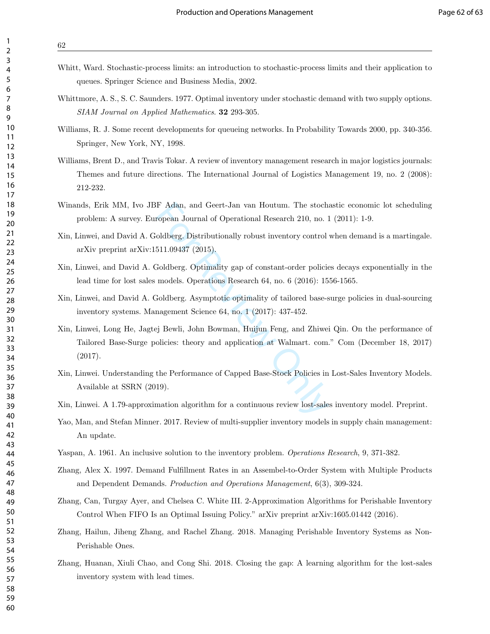Whitt, Ward. Stochastic-process limits: an introduction to stochastic-process limits and their application to queues. Springer Science and Business Media, 2002.

- Whittmore, A. S., S. C. Saunders. 1977. Optimal inventory under stochastic demand with two supply options. SIAM Journal on Applied Mathematics. 32 293-305.
- Williams, R. J. Some recent developments for queueing networks. In Probability Towards 2000, pp. 340-356. Springer, New York, NY, 1998.
- Williams, Brent D., and Travis Tokar. A review of inventory management research in major logistics journals: Themes and future directions. The International Journal of Logistics Management 19, no. 2 (2008): 212-232.
- Winands, Erik MM, Ivo JBF Adan, and Geert-Jan van Houtum. The stochastic economic lot scheduling problem: A survey. European Journal of Operational Research 210, no. 1 (2011): 1-9.
- Xin, Linwei, and David A. Goldberg. Distributionally robust inventory control when demand is a martingale. arXiv preprint arXiv:1511.09437 (2015).
- Xin, Linwei, and David A. Goldberg. Optimality gap of constant-order policies decays exponentially in the lead time for lost sales models. Operations Research 64, no. 6 (2016): 1556-1565.
- Xin, Linwei, and David A. Goldberg. Asymptotic optimality of tailored base-surge policies in dual-sourcing inventory systems. Management Science 64, no. 1 (2017): 437-452.
- F Adan, and Geert-Jan van Houtum. The stochar<br>ropean Journal of Operational Research 210, no. 1<br>oldberg. Distributionally robust inventory control<br>511.09437 (2015).<br>Soldberg. Optimality gap of constant-order policie<br>models Xin, Linwei, Long He, Jagtej Bewli, John Bowman, Huijun Feng, and Zhiwei Qin. On the performance of Tailored Base-Surge policies: theory and application at Walmart. com." Com (December 18, 2017) (2017).
- Xin, Linwei. Understanding the Performance of Capped Base-Stock Policies in Lost-Sales Inventory Models. Available at SSRN (2019).
- Xin, Linwei. A 1.79-approximation algorithm for a continuous review lost-sales inventory model. Preprint.
- Yao, Man, and Stefan Minner. 2017. Review of multi-supplier inventory models in supply chain management: An update.
- Yaspan, A. 1961. An inclusive solution to the inventory problem. Operations Research, 9, 371-382.
- Zhang, Alex X. 1997. Demand Fulfillment Rates in an Assembel-to-Order System with Multiple Products and Dependent Demands. Production and Operations Management, 6(3), 309-324.
- Zhang, Can, Turgay Ayer, and Chelsea C. White III. 2-Approximation Algorithms for Perishable Inventory Control When FIFO Is an Optimal Issuing Policy." arXiv preprint arXiv:1605.01442 (2016).
- Zhang, Hailun, Jiheng Zhang, and Rachel Zhang. 2018. Managing Perishable Inventory Systems as Non-Perishable Ones.
- Zhang, Huanan, Xiuli Chao, and Cong Shi. 2018. Closing the gap: A learning algorithm for the lost-sales inventory system with lead times.